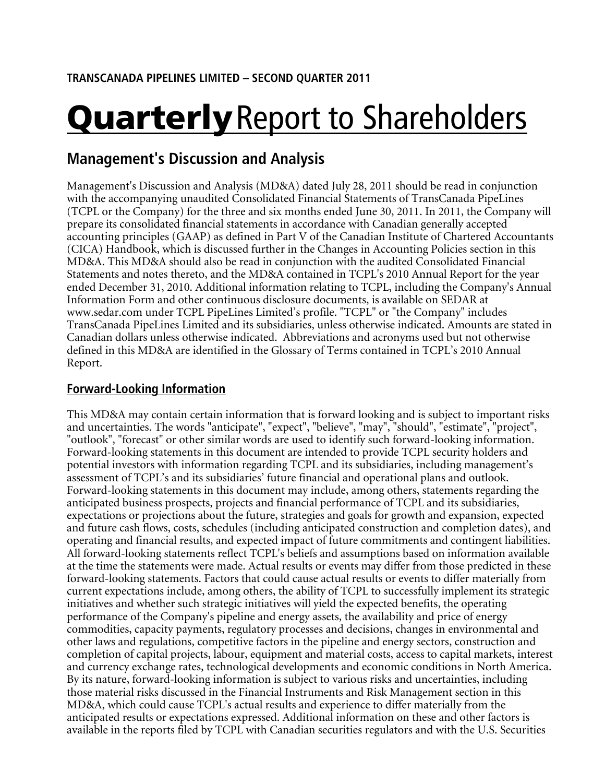# **Quarterly** Report to Shareholders

# **Management's Discussion and Analysis**

Management's Discussion and Analysis (MD&A) dated July 28, 2011 should be read in conjunction with the accompanying unaudited Consolidated Financial Statements of TransCanada PipeLines (TCPL or the Company) for the three and six months ended June 30, 2011. In 2011, the Company will prepare its consolidated financial statements in accordance with Canadian generally accepted accounting principles (GAAP) as defined in Part V of the Canadian Institute of Chartered Accountants (CICA) Handbook, which is discussed further in the Changes in Accounting Policies section in this MD&A. This MD&A should also be read in conjunction with the audited Consolidated Financial Statements and notes thereto, and the MD&A contained in TCPL's 2010 Annual Report for the year ended December 31, 2010. Additional information relating to TCPL, including the Company's Annual Information Form and other continuous disclosure documents, is available on SEDAR at www.sedar.com under TCPL PipeLines Limited's profile. "TCPL" or "the Company" includes TransCanada PipeLines Limited and its subsidiaries, unless otherwise indicated. Amounts are stated in Canadian dollars unless otherwise indicated. Abbreviations and acronyms used but not otherwise defined in this MD&A are identified in the Glossary of Terms contained in TCPL's 2010 Annual Report.

# **Forward-Looking Information**

This MD&A may contain certain information that is forward looking and is subject to important risks and uncertainties. The words "anticipate", "expect", "believe", "may", "should", "estimate", "project", "outlook", "forecast" or other similar words are used to identify such forward-looking information. Forward-looking statements in this document are intended to provide TCPL security holders and potential investors with information regarding TCPL and its subsidiaries, including management's assessment of TCPL's and its subsidiaries' future financial and operational plans and outlook. Forward-looking statements in this document may include, among others, statements regarding the anticipated business prospects, projects and financial performance of TCPL and its subsidiaries, expectations or projections about the future, strategies and goals for growth and expansion, expected and future cash flows, costs, schedules (including anticipated construction and completion dates), and operating and financial results, and expected impact of future commitments and contingent liabilities. All forward-looking statements reflect TCPL's beliefs and assumptions based on information available at the time the statements were made. Actual results or events may differ from those predicted in these forward-looking statements. Factors that could cause actual results or events to differ materially from current expectations include, among others, the ability of TCPL to successfully implement its strategic initiatives and whether such strategic initiatives will yield the expected benefits, the operating performance of the Company's pipeline and energy assets, the availability and price of energy commodities, capacity payments, regulatory processes and decisions, changes in environmental and other laws and regulations, competitive factors in the pipeline and energy sectors, construction and completion of capital projects, labour, equipment and material costs, access to capital markets, interest and currency exchange rates, technological developments and economic conditions in North America. By its nature, forward-looking information is subject to various risks and uncertainties, including those material risks discussed in the Financial Instruments and Risk Management section in this MD&A, which could cause TCPL's actual results and experience to differ materially from the anticipated results or expectations expressed. Additional information on these and other factors is available in the reports filed by TCPL with Canadian securities regulators and with the U.S. Securities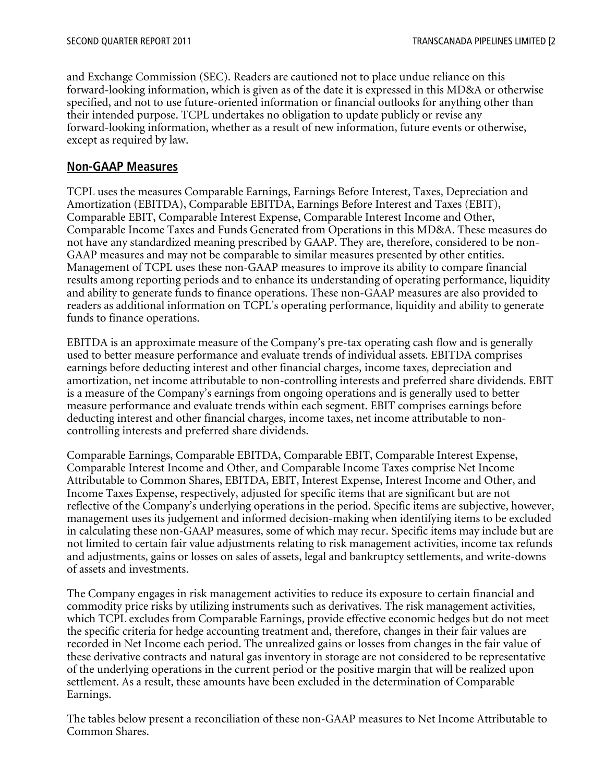and Exchange Commission (SEC). Readers are cautioned not to place undue reliance on this forward-looking information, which is given as of the date it is expressed in this MD&A or otherwise specified, and not to use future-oriented information or financial outlooks for anything other than their intended purpose. TCPL undertakes no obligation to update publicly or revise any forward-looking information, whether as a result of new information, future events or otherwise, except as required by law.

## **Non-GAAP Measures**

TCPL uses the measures Comparable Earnings, Earnings Before Interest, Taxes, Depreciation and Amortization (EBITDA), Comparable EBITDA, Earnings Before Interest and Taxes (EBIT), Comparable EBIT, Comparable Interest Expense, Comparable Interest Income and Other, Comparable Income Taxes and Funds Generated from Operations in this MD&A. These measures do not have any standardized meaning prescribed by GAAP. They are, therefore, considered to be non-GAAP measures and may not be comparable to similar measures presented by other entities. Management of TCPL uses these non-GAAP measures to improve its ability to compare financial results among reporting periods and to enhance its understanding of operating performance, liquidity and ability to generate funds to finance operations. These non-GAAP measures are also provided to readers as additional information on TCPL's operating performance, liquidity and ability to generate funds to finance operations.

EBITDA is an approximate measure of the Company's pre-tax operating cash flow and is generally used to better measure performance and evaluate trends of individual assets. EBITDA comprises earnings before deducting interest and other financial charges, income taxes, depreciation and amortization, net income attributable to non-controlling interests and preferred share dividends. EBIT is a measure of the Company's earnings from ongoing operations and is generally used to better measure performance and evaluate trends within each segment. EBIT comprises earnings before deducting interest and other financial charges, income taxes, net income attributable to noncontrolling interests and preferred share dividends.

Comparable Earnings, Comparable EBITDA, Comparable EBIT, Comparable Interest Expense, Comparable Interest Income and Other, and Comparable Income Taxes comprise Net Income Attributable to Common Shares, EBITDA, EBIT, Interest Expense, Interest Income and Other, and Income Taxes Expense, respectively, adjusted for specific items that are significant but are not reflective of the Company's underlying operations in the period. Specific items are subjective, however, management uses its judgement and informed decision-making when identifying items to be excluded in calculating these non-GAAP measures, some of which may recur. Specific items may include but are not limited to certain fair value adjustments relating to risk management activities, income tax refunds and adjustments, gains or losses on sales of assets, legal and bankruptcy settlements, and write-downs of assets and investments.

The Company engages in risk management activities to reduce its exposure to certain financial and commodity price risks by utilizing instruments such as derivatives. The risk management activities, which TCPL excludes from Comparable Earnings, provide effective economic hedges but do not meet the specific criteria for hedge accounting treatment and, therefore, changes in their fair values are recorded in Net Income each period. The unrealized gains or losses from changes in the fair value of these derivative contracts and natural gas inventory in storage are not considered to be representative of the underlying operations in the current period or the positive margin that will be realized upon settlement. As a result, these amounts have been excluded in the determination of Comparable Earnings.

The tables below present a reconciliation of these non-GAAP measures to Net Income Attributable to Common Shares.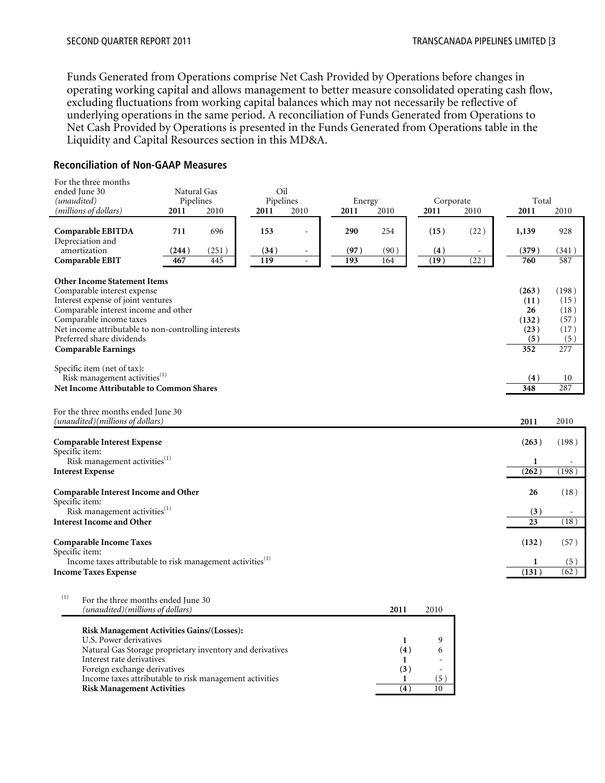Funds Generated from Operations comprise Net Cash Provided by Operations before changes in operating working capital and allows management to better measure consolidated operating cash flow, excluding fluctuations from working capital balances which may not necessarily be reflective of underlying operations in the same period. A reconciliation of Funds Generated from Operations to Net Cash Provided by Operations is presented in the Funds Generated from Operations table in the Liquidity and Capital Resources section in this MD&A.

#### **Reconciliation of Non-GAAP Measures**

| For the three months                                                                                                                                                                                                                                                                                                                                                                                                          |             |       |           |                          |      |        |           |                          |                                                                  |                                                                  |
|-------------------------------------------------------------------------------------------------------------------------------------------------------------------------------------------------------------------------------------------------------------------------------------------------------------------------------------------------------------------------------------------------------------------------------|-------------|-------|-----------|--------------------------|------|--------|-----------|--------------------------|------------------------------------------------------------------|------------------------------------------------------------------|
| ended June 30                                                                                                                                                                                                                                                                                                                                                                                                                 | Natural Gas |       | Oil       |                          |      |        |           |                          |                                                                  |                                                                  |
| (unaudited)                                                                                                                                                                                                                                                                                                                                                                                                                   | Pipelines   |       | Pipelines |                          |      | Energy | Corporate |                          | Total                                                            |                                                                  |
| (millions of dollars)                                                                                                                                                                                                                                                                                                                                                                                                         | 2011        | 2010  | 2011      | 2010                     | 2011 | 2010   | 2011      | 2010                     | 2011                                                             | 2010                                                             |
|                                                                                                                                                                                                                                                                                                                                                                                                                               |             |       |           |                          |      |        |           |                          |                                                                  |                                                                  |
| Comparable EBITDA                                                                                                                                                                                                                                                                                                                                                                                                             | 711         | 696   | 153       | $\overline{\phantom{a}}$ | 290  | 254    | (15)      | (22)                     | 1,139                                                            | 928                                                              |
| Depreciation and                                                                                                                                                                                                                                                                                                                                                                                                              |             |       |           |                          |      |        |           |                          |                                                                  |                                                                  |
| amortization                                                                                                                                                                                                                                                                                                                                                                                                                  | (244)       | (251) | (34)      | $\overline{\phantom{a}}$ | (97) | (90)   | (4)       | $\overline{\phantom{a}}$ | (379)                                                            | (341)                                                            |
| Comparable EBIT                                                                                                                                                                                                                                                                                                                                                                                                               | 467         | 445   | 119       | $\bar{\phantom{a}}$      | 193  | 164    | (19)      | (22)                     | 760                                                              | 587                                                              |
| <b>Other Income Statement Items</b><br>Comparable interest expense<br>Interest expense of joint ventures<br>Comparable interest income and other<br>Comparable income taxes<br>Net income attributable to non-controlling interests<br>Preferred share dividends<br><b>Comparable Earnings</b><br>Specific item (net of tax):<br>Risk management activities <sup>(1)</sup><br><b>Net Income Attributable to Common Shares</b> |             |       |           |                          |      |        |           |                          | (263)<br>(11)<br>26<br>(132)<br>(23)<br>(5)<br>352<br>(4)<br>348 | (198)<br>(15)<br>(18)<br>(57)<br>(17)<br>(5)<br>277<br>10<br>287 |
| For the three months ended June 30<br>(unaudited)(millions of dollars)                                                                                                                                                                                                                                                                                                                                                        |             |       |           |                          |      |        |           |                          | 2011                                                             | 2010                                                             |
| <b>Comparable Interest Expense</b><br>Specific item:<br>Risk management activities <sup>(1)</sup><br><b>Interest Expense</b>                                                                                                                                                                                                                                                                                                  |             |       |           |                          |      |        |           |                          | (263)<br>1<br>(262)                                              | (198)<br>(198)                                                   |
| Comparable Interest Income and Other<br>Specific item:<br>Risk management activities $^{(1)}$                                                                                                                                                                                                                                                                                                                                 |             |       |           |                          |      |        |           |                          | 26<br>(3)                                                        | (18)                                                             |
| <b>Interest Income and Other</b>                                                                                                                                                                                                                                                                                                                                                                                              |             |       |           |                          |      |        |           |                          | 23                                                               | (18)                                                             |
| <b>Comparable Income Taxes</b><br>Specific item:                                                                                                                                                                                                                                                                                                                                                                              |             |       |           |                          |      |        |           |                          | (132)                                                            | (57)                                                             |
| Income taxes attributable to risk management activities <sup>(1)</sup><br><b>Income Taxes Expense</b>                                                                                                                                                                                                                                                                                                                         |             |       |           |                          |      |        |           |                          | 1<br>(131)                                                       | (5)<br>(62)                                                      |
|                                                                                                                                                                                                                                                                                                                                                                                                                               |             |       |           |                          |      |        |           |                          |                                                                  |                                                                  |
|                                                                                                                                                                                                                                                                                                                                                                                                                               |             |       |           |                          |      |        |           |                          |                                                                  |                                                                  |

| 2011         | 2010 |
|--------------|------|
|              |      |
|              |      |
| (4)          |      |
|              |      |
| (3)          |      |
|              | 5    |
| $\mathbf{4}$ | 10   |
|              |      |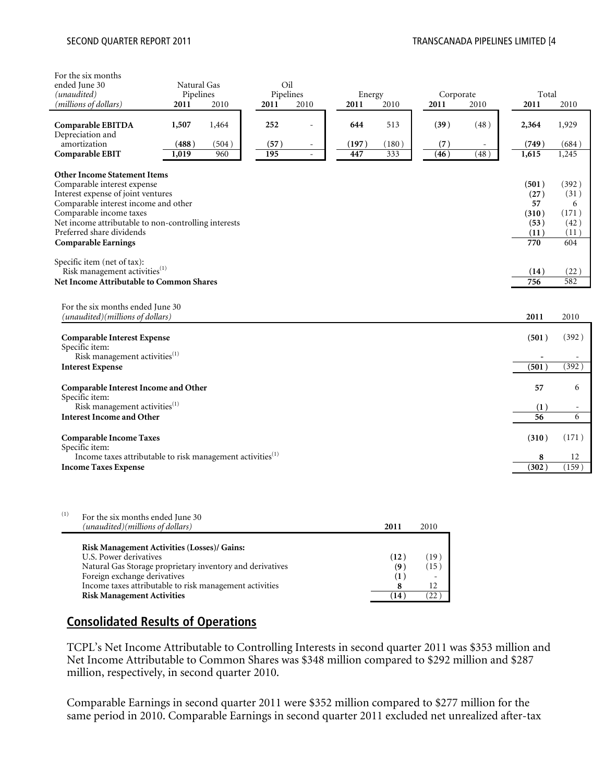| For the six months<br>ended June 30<br>(unaudited)<br>(millions of dollars) | Natural Gas<br>Pipelines<br>2011 | 2010  | Oil<br>Pipelines<br>2011 | 2010           | Energy<br>2011 | 2010  | Corporate<br>2011 | 2010 | Total<br>2011            | 2010        |
|-----------------------------------------------------------------------------|----------------------------------|-------|--------------------------|----------------|----------------|-------|-------------------|------|--------------------------|-------------|
| Comparable EBITDA<br>Depreciation and                                       | 1,507                            | 1,464 | 252                      |                | 644            | 513   | (39)              | (48) | 2,364                    | 1,929       |
| amortization                                                                | (488)                            | (504) | (57)                     |                | (197)          | (180) | (7)               |      | (749)                    | (684)       |
| Comparable EBIT                                                             | 1,019                            | 960   | 195                      | $\overline{a}$ | 447            | 333   | (46)              | (48) | 1,615                    | 1,245       |
| <b>Other Income Statement Items</b>                                         |                                  |       |                          |                |                |       |                   |      |                          |             |
| Comparable interest expense                                                 |                                  |       |                          |                |                |       |                   |      | (501)                    | (392)       |
| Interest expense of joint ventures<br>Comparable interest income and other  |                                  |       |                          |                |                |       |                   |      | (27)<br>57               | (31)<br>6   |
| Comparable income taxes                                                     |                                  |       |                          |                |                |       |                   |      | (310)                    | (171)       |
| Net income attributable to non-controlling interests                        |                                  |       |                          |                |                |       |                   |      | (53)                     | (42)        |
| Preferred share dividends<br><b>Comparable Earnings</b>                     |                                  |       |                          |                |                |       |                   |      | (11)<br>$\overline{770}$ | (11)<br>604 |
|                                                                             |                                  |       |                          |                |                |       |                   |      |                          |             |
| Specific item (net of tax):                                                 |                                  |       |                          |                |                |       |                   |      |                          |             |
| Risk management activities <sup>(1)</sup>                                   |                                  |       |                          |                |                |       |                   |      | (14)                     | (22)        |
| <b>Net Income Attributable to Common Shares</b>                             |                                  |       |                          |                |                |       |                   |      | 756                      | 582         |
| For the six months ended June 30                                            |                                  |       |                          |                |                |       |                   |      |                          |             |
| (unaudited)(millions of dollars)                                            |                                  |       |                          |                |                |       |                   |      | 2011                     | 2010        |
|                                                                             |                                  |       |                          |                |                |       |                   |      |                          |             |
| <b>Comparable Interest Expense</b>                                          |                                  |       |                          |                |                |       |                   |      | (501)                    | (392)       |
| Specific item:<br>Risk management activities <sup>(1)</sup>                 |                                  |       |                          |                |                |       |                   |      |                          |             |
| <b>Interest Expense</b>                                                     |                                  |       |                          |                |                |       |                   |      | (501)                    | (392)       |
|                                                                             |                                  |       |                          |                |                |       |                   |      |                          |             |
| Comparable Interest Income and Other                                        |                                  |       |                          |                |                |       |                   |      | 57                       | 6           |
| Specific item:<br>Risk management activities <sup>(1)</sup>                 |                                  |       |                          |                |                |       |                   |      | (1)                      |             |
| <b>Interest Income and Other</b>                                            |                                  |       |                          |                |                |       |                   |      | 56                       | 6           |
|                                                                             |                                  |       |                          |                |                |       |                   |      |                          |             |
| <b>Comparable Income Taxes</b><br>Specific item:                            |                                  |       |                          |                |                |       |                   |      | (310)                    | (171)       |
| Income taxes attributable to risk management activities <sup>(1)</sup>      |                                  |       |                          |                |                |       |                   |      | 8                        | 12          |
| <b>Income Taxes Expense</b>                                                 |                                  |       |                          |                |                |       |                   |      | (302)                    | (159)       |
|                                                                             |                                  |       |                          |                |                |       |                   |      |                          |             |

| (1) | For the six months ended June 30<br>(unaudited)(millions of dollars) | 2011 | 2010         |
|-----|----------------------------------------------------------------------|------|--------------|
|     | <b>Risk Management Activities (Losses)/ Gains:</b>                   |      |              |
|     | U.S. Power derivatives                                               | (12  | $19^{\circ}$ |
|     | Natural Gas Storage proprietary inventory and derivatives            | (9)  | (15)         |
|     | Foreign exchange derivatives                                         | (1)  |              |
|     | Income taxes attributable to risk management activities              | 8    | 12           |
|     | <b>Risk Management Activities</b>                                    | 14   | 22           |

# **Consolidated Results of Operations**

TCPL's Net Income Attributable to Controlling Interests in second quarter 2011 was \$353 million and Net Income Attributable to Common Shares was \$348 million compared to \$292 million and \$287 million, respectively, in second quarter 2010.

Comparable Earnings in second quarter 2011 were \$352 million compared to \$277 million for the same period in 2010. Comparable Earnings in second quarter 2011 excluded net unrealized after-tax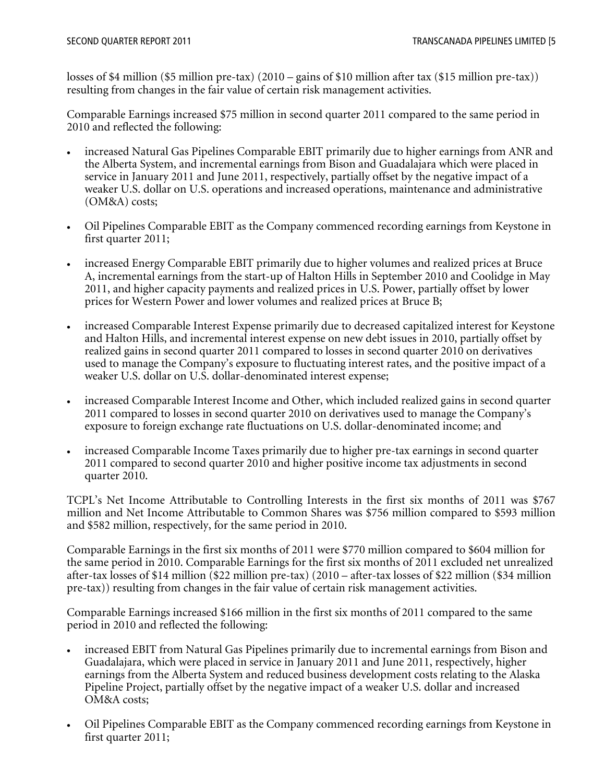losses of \$4 million (\$5 million pre-tax) (2010 – gains of \$10 million after tax (\$15 million pre-tax)) resulting from changes in the fair value of certain risk management activities.

Comparable Earnings increased \$75 million in second quarter 2011 compared to the same period in 2010 and reflected the following:

- increased Natural Gas Pipelines Comparable EBIT primarily due to higher earnings from ANR and the Alberta System, and incremental earnings from Bison and Guadalajara which were placed in service in January 2011 and June 2011, respectively, partially offset by the negative impact of a weaker U.S. dollar on U.S. operations and increased operations, maintenance and administrative (OM&A) costs;
- Oil Pipelines Comparable EBIT as the Company commenced recording earnings from Keystone in first quarter 2011;
- increased Energy Comparable EBIT primarily due to higher volumes and realized prices at Bruce A, incremental earnings from the start-up of Halton Hills in September 2010 and Coolidge in May 2011, and higher capacity payments and realized prices in U.S. Power, partially offset by lower prices for Western Power and lower volumes and realized prices at Bruce B;
- increased Comparable Interest Expense primarily due to decreased capitalized interest for Keystone and Halton Hills, and incremental interest expense on new debt issues in 2010, partially offset by realized gains in second quarter 2011 compared to losses in second quarter 2010 on derivatives used to manage the Company's exposure to fluctuating interest rates, and the positive impact of a weaker U.S. dollar on U.S. dollar-denominated interest expense;
- increased Comparable Interest Income and Other, which included realized gains in second quarter 2011 compared to losses in second quarter 2010 on derivatives used to manage the Company's exposure to foreign exchange rate fluctuations on U.S. dollar-denominated income; and
- increased Comparable Income Taxes primarily due to higher pre-tax earnings in second quarter 2011 compared to second quarter 2010 and higher positive income tax adjustments in second quarter 2010.

TCPL's Net Income Attributable to Controlling Interests in the first six months of 2011 was \$767 million and Net Income Attributable to Common Shares was \$756 million compared to \$593 million and \$582 million, respectively, for the same period in 2010.

Comparable Earnings in the first six months of 2011 were \$770 million compared to \$604 million for the same period in 2010. Comparable Earnings for the first six months of 2011 excluded net unrealized after-tax losses of \$14 million (\$22 million pre-tax) (2010 – after-tax losses of \$22 million (\$34 million pre-tax)) resulting from changes in the fair value of certain risk management activities.

Comparable Earnings increased \$166 million in the first six months of 2011 compared to the same period in 2010 and reflected the following:

- increased EBIT from Natural Gas Pipelines primarily due to incremental earnings from Bison and Guadalajara, which were placed in service in January 2011 and June 2011, respectively, higher earnings from the Alberta System and reduced business development costs relating to the Alaska Pipeline Project, partially offset by the negative impact of a weaker U.S. dollar and increased OM&A costs;
- Oil Pipelines Comparable EBIT as the Company commenced recording earnings from Keystone in first quarter 2011;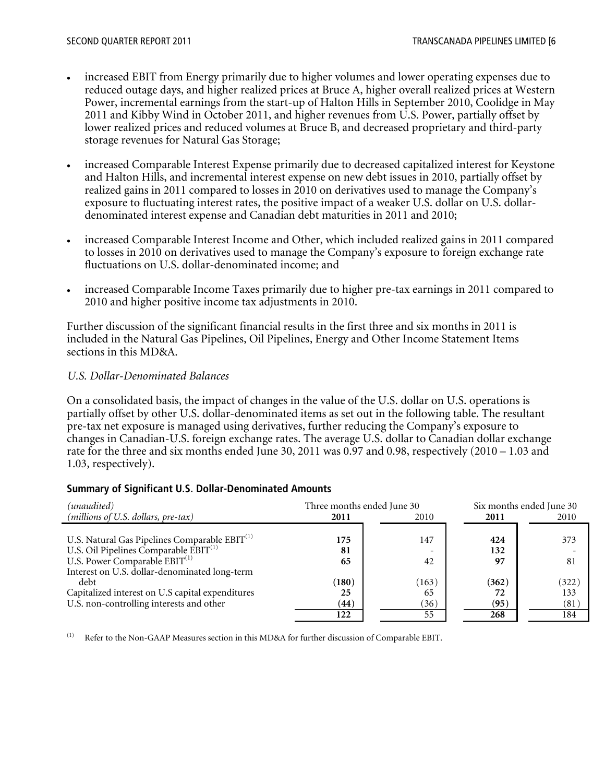- increased EBIT from Energy primarily due to higher volumes and lower operating expenses due to reduced outage days, and higher realized prices at Bruce A, higher overall realized prices at Western Power, incremental earnings from the start-up of Halton Hills in September 2010, Coolidge in May 2011 and Kibby Wind in October 2011, and higher revenues from U.S. Power, partially offset by lower realized prices and reduced volumes at Bruce B, and decreased proprietary and third-party storage revenues for Natural Gas Storage;
- increased Comparable Interest Expense primarily due to decreased capitalized interest for Keystone and Halton Hills, and incremental interest expense on new debt issues in 2010, partially offset by realized gains in 2011 compared to losses in 2010 on derivatives used to manage the Company's exposure to fluctuating interest rates, the positive impact of a weaker U.S. dollar on U.S. dollardenominated interest expense and Canadian debt maturities in 2011 and 2010;
- increased Comparable Interest Income and Other, which included realized gains in 2011 compared to losses in 2010 on derivatives used to manage the Company's exposure to foreign exchange rate fluctuations on U.S. dollar-denominated income; and
- increased Comparable Income Taxes primarily due to higher pre-tax earnings in 2011 compared to 2010 and higher positive income tax adjustments in 2010.

Further discussion of the significant financial results in the first three and six months in 2011 is included in the Natural Gas Pipelines, Oil Pipelines, Energy and Other Income Statement Items sections in this MD&A.

#### *U.S. Dollar-Denominated Balances*

On a consolidated basis, the impact of changes in the value of the U.S. dollar on U.S. operations is partially offset by other U.S. dollar-denominated items as set out in the following table. The resultant pre-tax net exposure is managed using derivatives, further reducing the Company's exposure to changes in Canadian-U.S. foreign exchange rates. The average U.S. dollar to Canadian dollar exchange rate for the three and six months ended June 30, 2011 was 0.97 and 0.98, respectively (2010 – 1.03 and 1.03, respectively).

#### **Summary of Significant U.S. Dollar-Denominated Amounts**

| (unaudited)                                                                                                                                                                             | Three months ended June 30 |                                       | Six months ended June 30 |                      |  |
|-----------------------------------------------------------------------------------------------------------------------------------------------------------------------------------------|----------------------------|---------------------------------------|--------------------------|----------------------|--|
| (millions of U.S. dollars, pre-tax)                                                                                                                                                     | 2011                       | 2010                                  | 2011                     | 2010                 |  |
| U.S. Natural Gas Pipelines Comparable $EBIT^{(1)}$<br>U.S. Oil Pipelines Comparable $EBIT^{(1)}$<br>U.S. Power Comparable $EBIT^{(1)}$<br>Interest on U.S. dollar-denominated long-term | 175<br>81<br>65            | 147<br>$\overline{\phantom{a}}$<br>42 | 424<br>132<br>97         | 373<br>81            |  |
| debt<br>Capitalized interest on U.S capital expenditures<br>U.S. non-controlling interests and other                                                                                    | (180)<br>25<br>(44)        | (163)<br>65<br>(36)                   | (362)<br>72<br>(95)      | (322)<br>133<br>(81) |  |
|                                                                                                                                                                                         | 122                        | 55                                    | 268                      | 184                  |  |

Refer to the Non-GAAP Measures section in this MD&A for further discussion of Comparable EBIT.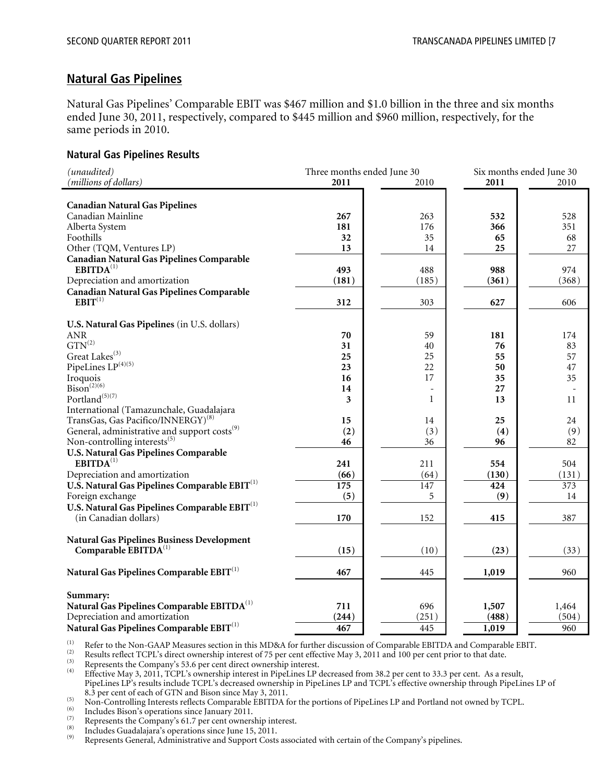## **Natural Gas Pipelines**

Natural Gas Pipelines' Comparable EBIT was \$467 million and \$1.0 billion in the three and six months ended June 30, 2011, respectively, compared to \$445 million and \$960 million, respectively, for the same periods in 2010.

#### **Natural Gas Pipelines Results**

| (unaudited)                                               | Three months ended June 30 |                          | Six months ended June 30 |       |  |
|-----------------------------------------------------------|----------------------------|--------------------------|--------------------------|-------|--|
| (millions of dollars)                                     | 2011                       | 2010                     | 2011                     | 2010  |  |
|                                                           |                            |                          |                          |       |  |
| <b>Canadian Natural Gas Pipelines</b>                     |                            |                          |                          |       |  |
| Canadian Mainline                                         | 267                        | 263                      | 532                      | 528   |  |
| Alberta System                                            | 181                        | 176                      | 366                      | 351   |  |
| Foothills                                                 | 32                         | 35                       | 65                       | 68    |  |
| Other (TQM, Ventures LP)                                  | 13                         | 14                       | 25                       | 27    |  |
| <b>Canadian Natural Gas Pipelines Comparable</b>          |                            |                          |                          |       |  |
| EBITDA <sup>(1)</sup>                                     | 493                        | 488                      | 988                      | 974   |  |
| Depreciation and amortization                             | (181)                      | (185)                    | (361)                    | (368) |  |
| <b>Canadian Natural Gas Pipelines Comparable</b>          |                            |                          |                          |       |  |
| $EBIT^{(1)}$                                              | 312                        | 303                      | 627                      | 606   |  |
|                                                           |                            |                          |                          |       |  |
| U.S. Natural Gas Pipelines (in U.S. dollars)              |                            |                          |                          |       |  |
| ANR                                                       | 70                         | 59                       | 181                      | 174   |  |
| $GTN^{(2)}$                                               | 31                         | 40                       | 76                       | 83    |  |
| Great Lakes <sup>(3)</sup>                                | 25                         | 25                       | 55                       | 57    |  |
| PipeLines LP(4)(5)                                        | 23                         | 22                       | 50                       | 47    |  |
| Iroquois                                                  | 16                         | 17                       | 35                       | 35    |  |
| $\overline{\text{Bison}}^{(2)(6)}$                        | 14                         | $\overline{\phantom{a}}$ | 27                       |       |  |
| Portland <sup>(5)(7)</sup>                                | 3                          | $\mathbf{1}$             | 13                       | 11    |  |
| International (Tamazunchale, Guadalajara                  |                            |                          |                          |       |  |
| TransGas, Gas Pacifico/INNERGY) <sup>(8)</sup>            | 15                         | 14                       | 25                       | 24    |  |
| General, administrative and support costs <sup>(9)</sup>  | (2)                        | (3)                      | (4)                      | (9)   |  |
| Non-controlling interests <sup>(5)</sup>                  | 46                         | 36                       | 96                       | 82    |  |
| U.S. Natural Gas Pipelines Comparable                     |                            |                          |                          |       |  |
| EBITDA <sup>(1)</sup>                                     | 241                        | 211                      | 554                      | 504   |  |
| Depreciation and amortization                             | (66)                       | (64)                     | (130)                    | (131) |  |
| U.S. Natural Gas Pipelines Comparable EBIT <sup>(1)</sup> | 175                        | 147                      | 424                      | 373   |  |
| Foreign exchange                                          | (5)                        | 5                        | (9)                      | 14    |  |
| U.S. Natural Gas Pipelines Comparable $EBIT^{(1)}$        |                            |                          |                          |       |  |
| (in Canadian dollars)                                     | 170                        | 152                      | 415                      | 387   |  |
|                                                           |                            |                          |                          |       |  |
| <b>Natural Gas Pipelines Business Development</b>         |                            |                          |                          |       |  |
| Comparable EBITDA <sup>(1)</sup>                          | (15)                       | (10)                     | (23)                     | (33)  |  |
|                                                           |                            |                          |                          |       |  |
| Natural Gas Pipelines Comparable EBIT <sup>(1)</sup>      | 467                        | 445                      | 1,019                    | 960   |  |
|                                                           |                            |                          |                          |       |  |
| Summary:                                                  |                            |                          |                          |       |  |
| Natural Gas Pipelines Comparable EBITDA <sup>(1)</sup>    | 711                        | 696                      | 1,507                    | 1,464 |  |
| Depreciation and amortization                             | (244)                      | (251)                    | (488)                    | (504) |  |
| Natural Gas Pipelines Comparable EBIT <sup>(1)</sup>      | 467                        | 445                      | 1,019                    | 960   |  |
|                                                           |                            |                          |                          |       |  |

<sup>(1)</sup> Refer to the Non-GAAP Measures section in this MD&A for further discussion of Comparable EBITDA and Comparable EBIT.<br>
Results reflect TCPL's direct ownership interest of 75 per cent effective May 3, 2011 and 100 per PipeLines LP's results include TCPL's decreased ownership in PipeLines LP and TCPL's effective ownership through PipeLines LP of

8.3 per cent of each of GTN and Bison since May 3, 2011.<br>
Non-Controlling Interests reflects Comparable EBITDA for the portions of PipeLines LP and Portland not owned by TCPL.<br>
Includes Bison's operations since January 20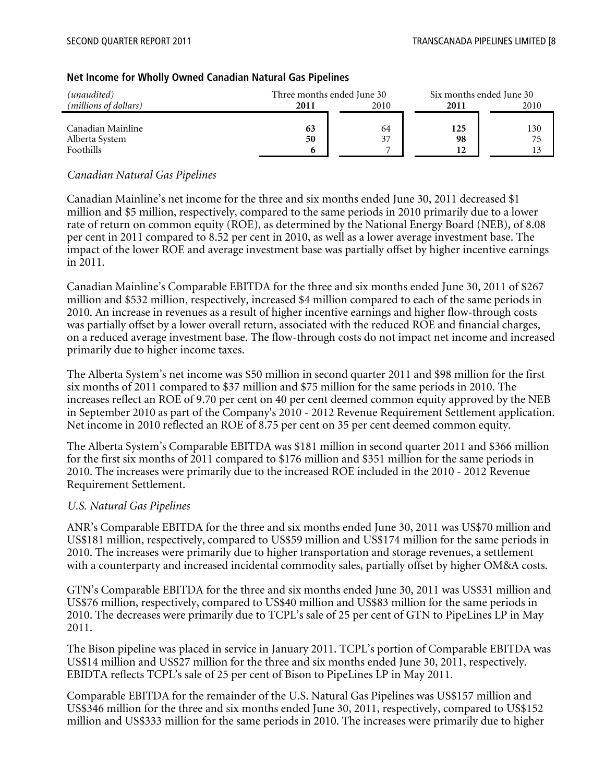#### **Net Income for Wholly Owned Canadian Natural Gas Pipelines**

| (unaudited)           |      | Three months ended June 30 |      | Six months ended June 30 |
|-----------------------|------|----------------------------|------|--------------------------|
| (millions of dollars) | 2011 | 2010                       | 2011 | 2010                     |
|                       |      |                            |      |                          |
| Canadian Mainline     | 63   | 64                         | 125  | 130                      |
| Alberta System        | 50   | 37                         | 98   |                          |
| Foothills             | 6    | −                          | 12   |                          |

#### *Canadian Natural Gas Pipelines*

Canadian Mainline's net income for the three and six months ended June 30, 2011 decreased \$1 million and \$5 million, respectively, compared to the same periods in 2010 primarily due to a lower rate of return on common equity (ROE), as determined by the National Energy Board (NEB), of 8.08 per cent in 2011 compared to 8.52 per cent in 2010, as well as a lower average investment base. The impact of the lower ROE and average investment base was partially offset by higher incentive earnings in 2011.

Canadian Mainline's Comparable EBITDA for the three and six months ended June 30, 2011 of \$267 million and \$532 million, respectively, increased \$4 million compared to each of the same periods in 2010. An increase in revenues as a result of higher incentive earnings and higher flow-through costs was partially offset by a lower overall return, associated with the reduced ROE and financial charges, on a reduced average investment base. The flow-through costs do not impact net income and increased primarily due to higher income taxes.

The Alberta System's net income was \$50 million in second quarter 2011 and \$98 million for the first six months of 2011 compared to \$37 million and \$75 million for the same periods in 2010. The increases reflect an ROE of 9.70 per cent on 40 per cent deemed common equity approved by the NEB in September 2010 as part of the Company's 2010 - 2012 Revenue Requirement Settlement application. Net income in 2010 reflected an ROE of 8.75 per cent on 35 per cent deemed common equity.

The Alberta System's Comparable EBITDA was \$181 million in second quarter 2011 and \$366 million for the first six months of  $2011$  compared to \$176 million and \$351 million for the same periods in 2010. The increases were primarily due to the increased ROE included in the 2010 - 2012 Revenue Requirement Settlement.

#### *U.S. Natural Gas Pipelines*

ANR's Comparable EBITDA for the three and six months ended June 30, 2011 was US\$70 million and US\$181 million, respectively, compared to US\$59 million and US\$174 million for the same periods in 2010. The increases were primarily due to higher transportation and storage revenues, a settlement with a counterparty and increased incidental commodity sales, partially offset by higher OM&A costs.

GTN's Comparable EBITDA for the three and six months ended June 30, 2011 was US\$31 million and US\$76 million, respectively, compared to US\$40 million and US\$83 million for the same periods in 2010. The decreases were primarily due to TCPL's sale of 25 per cent of GTN to PipeLines LP in May 2011.

The Bison pipeline was placed in service in January 2011. TCPL's portion of Comparable EBITDA was US\$14 million and US\$27 million for the three and six months ended June 30, 2011, respectively. EBIDTA reflects TCPL's sale of 25 per cent of Bison to PipeLines LP in May 2011.

Comparable EBITDA for the remainder of the U.S. Natural Gas Pipelines was US\$157 million and US\$346 million for the three and six months ended June 30, 2011, respectively, compared to US\$152 million and US\$333 million for the same periods in 2010. The increases were primarily due to higher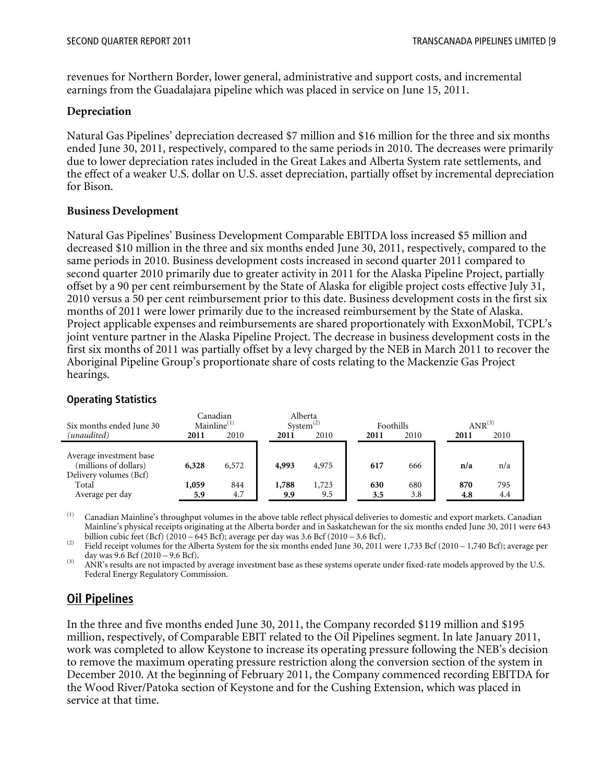revenues for Northern Border, lower general, administrative and support costs, and incremental earnings from the Guadalajara pipeline which was placed in service on June 15, 2011.

## **Depreciation**

Natural Gas Pipelines' depreciation decreased \$7 million and \$16 million for the three and six months ended June 30, 2011, respectively, compared to the same periods in 2010. The decreases were primarily due to lower depreciation rates included in the Great Lakes and Alberta System rate settlements, and the effect of a weaker U.S. dollar on U.S. asset depreciation, partially offset by incremental depreciation for Bison.

#### **Business Development**

Natural Gas Pipelines' Business Development Comparable EBITDA loss increased \$5 million and decreased \$10 million in the three and six months ended June 30, 2011, respectively, compared to the same periods in 2010. Business development costs increased in second quarter 2011 compared to second quarter 2010 primarily due to greater activity in 2011 for the Alaska Pipeline Project, partially offset by a 90 per cent reimbursement by the State of Alaska for eligible project costs effective July 31, 2010 versus a 50 per cent reimbursement prior to this date. Business development costs in the first six months of 2011 were lower primarily due to the increased reimbursement by the State of Alaska. Project applicable expenses and reimbursements are shared proportionately with ExxonMobil, TCPL's joint venture partner in the Alaska Pipeline Project. The decrease in business development costs in the first six months of 2011 was partially offset by a levy charged by the NEB in March 2011 to recover the Aboriginal Pipeline Group's proportionate share of costs relating to the Mackenzie Gas Project hearings.

#### **Operating Statistics**

| Six months ended June 30                                                                               | Canadian<br>Mainline <sup>(1)</sup> |                     | Alberta<br>System <sup>(2)</sup> |                       | Foothills         |                   |                   | $ANR^{(3)}$       |  |
|--------------------------------------------------------------------------------------------------------|-------------------------------------|---------------------|----------------------------------|-----------------------|-------------------|-------------------|-------------------|-------------------|--|
| (unaudited)                                                                                            | 2011                                | 2010                | 2011                             | 2010                  | 2011              | 2010              | 2011              | 2010              |  |
| Average investment base<br>(millions of dollars)<br>Delivery volumes (Bcf)<br>Total<br>Average per day | 6,328<br>1,059<br>5.9               | 6,572<br>844<br>4.7 | 4,993<br>1,788<br>9.9            | 4,975<br>1,723<br>9.5 | 617<br>630<br>3.5 | 666<br>680<br>3.8 | n/a<br>870<br>4.8 | n/a<br>795<br>4.4 |  |

(1) Canadian Mainline's throughput volumes in the above table reflect physical deliveries to domestic and export markets. Canadian Mainline's physical receipts originating at the Alberta border and in Saskatchewan for the six months ended June 30, 2011 were 643 billion cubic feet (Bcf) (2010 – 645 Bcf); average per day was 3.6 Bcf (2010 – 3.6 Bcf).

 $\frac{1}{2}$  Field receipt volumes for the Alberta System for the six months ended June 30, 2011 were 1,733 Bcf (2010 – 1,740 Bcf); average per

day was 9.6 Bcf (2010 – 9.6 Bcf).<br>(3) ANR's results are not impacted by average investment base as these systems operate under fixed-rate models approved by the U.S. Federal Energy Regulatory Commission.

# **Oil Pipelines**

In the three and five months ended June 30, 2011, the Company recorded \$119 million and \$195 million, respectively, of Comparable EBIT related to the Oil Pipelines segment. In late January 2011, work was completed to allow Keystone to increase its operating pressure following the NEB's decision to remove the maximum operating pressure restriction along the conversion section of the system in December 2010. At the beginning of February 2011, the Company commenced recording EBITDA for the Wood River/Patoka section of Keystone and for the Cushing Extension, which was placed in service at that time.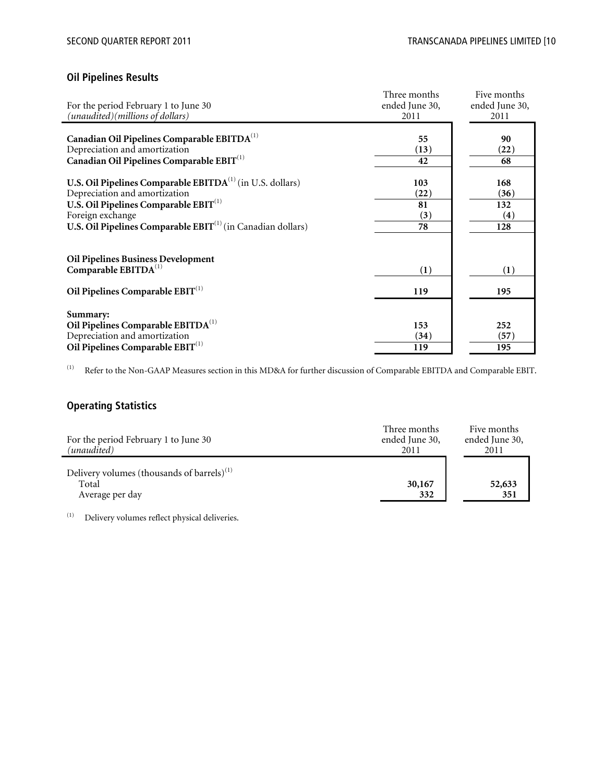## **Oil Pipelines Results**

| For the period February 1 to June 30<br>(unaudited)(millions of dollars)                                                                                                                                                                             | Three months<br>ended June 30,<br>2011 | Five months<br>ended June 30,<br>2011          |
|------------------------------------------------------------------------------------------------------------------------------------------------------------------------------------------------------------------------------------------------------|----------------------------------------|------------------------------------------------|
| Canadian Oil Pipelines Comparable EBITDA <sup>(1)</sup><br>Depreciation and amortization<br>Canadian Oil Pipelines Comparable EBIT <sup>(1)</sup>                                                                                                    | 55<br>(13)<br>42                       | 90<br>(22)<br>68                               |
| <b>U.S. Oil Pipelines Comparable EBITDA</b> $^{(1)}$ (in U.S. dollars)<br>Depreciation and amortization<br>U.S. Oil Pipelines Comparable $EBIT^{(1)}$<br>Foreign exchange<br>U.S. Oil Pipelines Comparable EBIT <sup>(1)</sup> (in Canadian dollars) | 103<br>(22)<br>81<br>(3)<br>78         | 168<br>(36)<br>132<br>$\left( 4\right)$<br>128 |
| <b>Oil Pipelines Business Development</b><br>Comparable EBITDA <sup>(1)</sup>                                                                                                                                                                        | (1)                                    | (1)                                            |
| Oil Pipelines Comparable EBIT <sup>(1)</sup>                                                                                                                                                                                                         | 119                                    | 195                                            |
| Summary:<br>Oil Pipelines Comparable EBITDA <sup>(1)</sup><br>Depreciation and amortization<br>Oil Pipelines Comparable $EBIT^{(1)}$                                                                                                                 | 153<br>(34)<br>119                     | 252<br>(57)<br>195                             |

(1) Refer to the Non-GAAP Measures section in this MD&A for further discussion of Comparable EBITDA and Comparable EBIT.

## **Operating Statistics**

| For the period February 1 to June 30<br>(unaudited)                                | Three months<br>ended June 30,<br>2011 | Five months<br>ended June 30,<br>2011 |
|------------------------------------------------------------------------------------|----------------------------------------|---------------------------------------|
| Delivery volumes (thousands of barrels) <sup>(1)</sup><br>Total<br>Average per day | 30,167<br>332                          | 52,633<br>351                         |

(1) Delivery volumes reflect physical deliveries.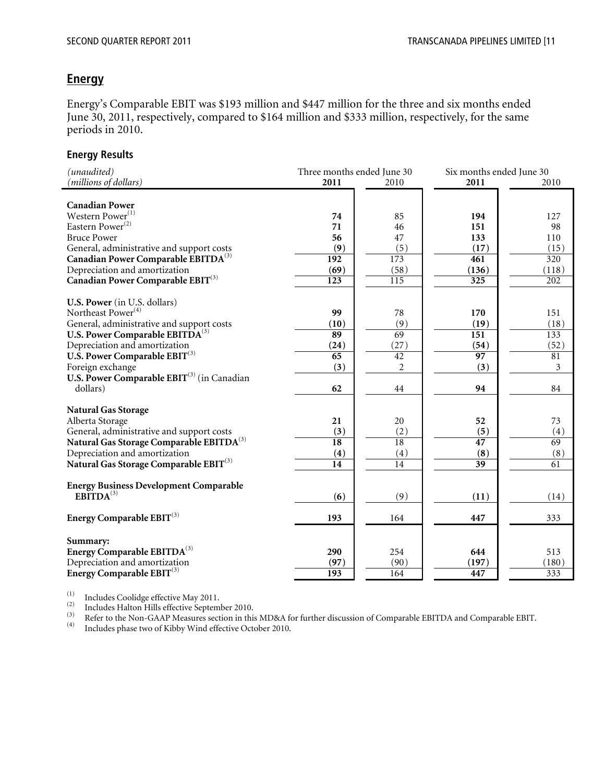# **Energy**

Energy's Comparable EBIT was \$193 million and \$447 million for the three and six months ended June 30, 2011, respectively, compared to \$164 million and \$333 million, respectively, for the same periods in 2010.

#### **Energy Results**

| (unaudited)<br>(millions of dollars)                   | Three months ended June 30<br>2011<br>2010 |                  | Six months ended June 30<br>2011 | 2010  |
|--------------------------------------------------------|--------------------------------------------|------------------|----------------------------------|-------|
|                                                        |                                            |                  |                                  |       |
| <b>Canadian Power</b>                                  |                                            |                  |                                  |       |
| Western Power <sup>(1)</sup>                           | 74                                         | 85               | 194                              | 127   |
| Eastern Power <sup>(2)</sup>                           | 71                                         | 46               | 151                              | 98    |
| <b>Bruce Power</b>                                     | 56                                         | 47               | 133                              | 110   |
| General, administrative and support costs              | (9)                                        | (5)              | (17)                             | (15)  |
| Canadian Power Comparable EBITDA <sup>(3)</sup>        | 192                                        | 173              | 461                              | 320   |
| Depreciation and amortization                          | (69)                                       | (58)             | (136)                            | (118) |
| Canadian Power Comparable EBIT <sup>(3)</sup>          | 123                                        | $\overline{115}$ | 325                              | 202   |
| U.S. Power (in U.S. dollars)                           |                                            |                  |                                  |       |
| Northeast Power <sup>(4)</sup>                         | 99                                         | 78               | 170                              | 151   |
| General, administrative and support costs              | (10)                                       | (9)              | (19)                             | (18)  |
| U.S. Power Comparable EBITDA(3)                        | 89                                         | 69               | 151                              | 133   |
| Depreciation and amortization                          | (24)                                       | (27)             | (54)                             | (52)  |
| U.S. Power Comparable EBIT <sup>(3)</sup>              | 65                                         | 42               | 97                               | 81    |
| Foreign exchange                                       | (3)                                        | $\overline{2}$   | (3)                              | 3     |
| U.S. Power Comparable EBIT <sup>(3)</sup> (in Canadian |                                            |                  |                                  |       |
| dollars)                                               | 62                                         | 44               | 94                               | 84    |
| <b>Natural Gas Storage</b>                             |                                            |                  |                                  |       |
| Alberta Storage                                        | 21                                         | 20               | 52                               | 73    |
| General, administrative and support costs              | (3)                                        | (2)              | (5)                              | (4)   |
| Natural Gas Storage Comparable EBITDA <sup>(3)</sup>   | 18                                         | 18               | 47                               | 69    |
| Depreciation and amortization                          | (4)                                        | (4)              | (8)                              | (8)   |
| Natural Gas Storage Comparable EBIT <sup>(3)</sup>     | 14                                         | 14               | $\overline{39}$                  | 61    |
| <b>Energy Business Development Comparable</b>          |                                            |                  |                                  |       |
| $EBITDA^{(3)}$                                         | (6)                                        | (9)              | (11)                             | (14)  |
| Energy Comparable $EBIT^{(3)}$                         | 193                                        | 164              | 447                              | 333   |
| Summary:                                               |                                            |                  |                                  |       |
| Energy Comparable EBITDA <sup>(3)</sup>                | 290                                        | 254              | 644                              | 513   |
| Depreciation and amortization                          | (97)                                       | (90)             | (197)                            | (180) |
| Energy Comparable $EBIT^{(3)}$                         | 193                                        | 164              | 447                              | 333   |
|                                                        |                                            |                  |                                  |       |

The United Scoolidge effective May 2011.<br>
(2) Includes Halton Hills effective September 2010.<br>
(3) Refer to the Non-GAAP Measures section in this MD&A for further discussion of Comparable EBITDA and Comparable EBIT.<br>
(4)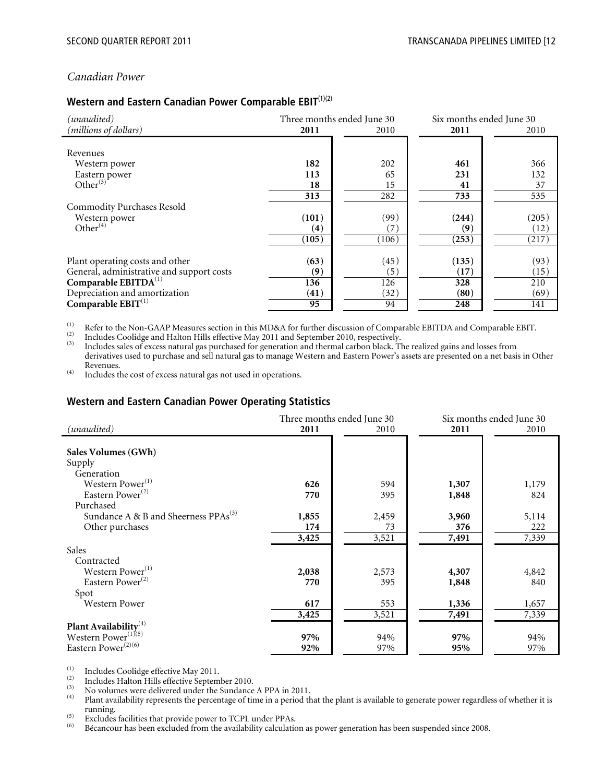#### *Canadian Power*

## **Western and Eastern Canadian Power Comparable EBIT**(1)(2)

| (unaudited)                               |       | Three months ended June 30 | Six months ended June 30 |       |
|-------------------------------------------|-------|----------------------------|--------------------------|-------|
| ( <i>millions</i> of <i>dollars</i> )     | 2011  | 2010                       | 2011                     | 2010  |
|                                           |       |                            |                          |       |
| Revenues                                  |       |                            |                          |       |
| Western power                             | 182   | 202                        | 461                      | 366   |
| Eastern power                             | 113   | 65                         | 231                      | 132   |
| Other $^{(3)}$                            | 18    | 15                         | 41                       | 37    |
|                                           | 313   | 282                        | 733                      | 535   |
| <b>Commodity Purchases Resold</b>         |       |                            |                          |       |
| Western power                             | (101) | (99)                       | (244)                    | (205) |
| Other $(4)$                               | (4)   | (7)                        | (9                       | (12)  |
|                                           | (105) | (106)                      | (253)                    | (217) |
|                                           |       |                            |                          |       |
| Plant operating costs and other           | (63)  | (45)                       | (135)                    | (93)  |
| General, administrative and support costs | (9)   | (5)                        | (17)                     | (15)  |
| Comparable $EBITDA(1)$                    | 136   | 126                        | 328                      | 210   |
| Depreciation and amortization             | (41)  | (32)                       | (80)                     | (69)  |
| Comparable $EBIT^{(1)}$                   | 95    | 94                         | 248                      | 141   |

The US of the Non-GAAP Measures section in this MD&A for further discussion of Comparable EBITDA and Comparable EBIT.<br>
Includes Coolidge and Halton Hills effective May 2011 and September 2010, respectively.<br>
Includes sale

derivatives used to purchase and sell natural gas to manage Western and Eastern Power's assets are presented on a net basis in Other Revenues.

 $(4)$  Includes the cost of excess natural gas not used in operations.

#### **Western and Eastern Canadian Power Operating Statistics**

|                                                                             | Three months ended June 30 |       | Six months ended June 30 |       |  |
|-----------------------------------------------------------------------------|----------------------------|-------|--------------------------|-------|--|
| (unaudited)                                                                 | 2011                       | 2010  | 2011                     | 2010  |  |
|                                                                             |                            |       |                          |       |  |
| Sales Volumes (GWh)                                                         |                            |       |                          |       |  |
| Supply                                                                      |                            |       |                          |       |  |
| Generation                                                                  |                            |       |                          |       |  |
| Western Power <sup>(1)</sup>                                                | 626                        | 594   | 1,307                    | 1,179 |  |
| Eastern Power <sup>(2)</sup>                                                | 770                        | 395   | 1,848                    | 824   |  |
| Purchased                                                                   |                            |       |                          |       |  |
| Sundance A & B and Sheerness PPAs <sup>(3)</sup>                            | 1,855                      | 2,459 | 3,960                    | 5,114 |  |
| Other purchases                                                             | 174                        | 73    | 376                      | 222   |  |
|                                                                             | 3,425                      | 3,521 | 7,491                    | 7,339 |  |
| Sales                                                                       |                            |       |                          |       |  |
| Contracted                                                                  |                            |       |                          |       |  |
| Western $\mathrm{Power}^{(1)}$                                              | 2,038                      | 2,573 | 4,307                    | 4,842 |  |
| Eastern Power <sup>(2)</sup>                                                | 770                        | 395   | 1,848                    | 840   |  |
| Spot                                                                        |                            |       |                          |       |  |
| <b>Western Power</b>                                                        | 617                        | 553   | 1,336                    | 1,657 |  |
|                                                                             | 3,425                      | 3,521 | 7,491                    | 7,339 |  |
| <b>Plant Availability</b> <sup>(4)</sup><br>Western Power <sup>(1)(5)</sup> |                            |       |                          |       |  |
|                                                                             | 97%                        | 94%   | 97%                      | 94%   |  |
| Eastern Power <sup>(2)(6)</sup>                                             | 92%                        | 97%   | 95%                      | 97%   |  |

(1) Includes Coolidge effective May 2011.<br>
(2) Includes Halton Hills effective September 2010.<br>
(3) No volumes were delivered under the Sundance A PPA in 2011.<br>
(4) Plant availability represents the percentage of time in

Plant availability represents the percentage of time in a period that the plant is available to generate power regardless of whether it is Funning.<br>
(5) Excludes facilities that provide power to TCPL under PPAs.<br>
(6) Bécancour has been excluded from the availability calculation as power generation has been suspended since 2008.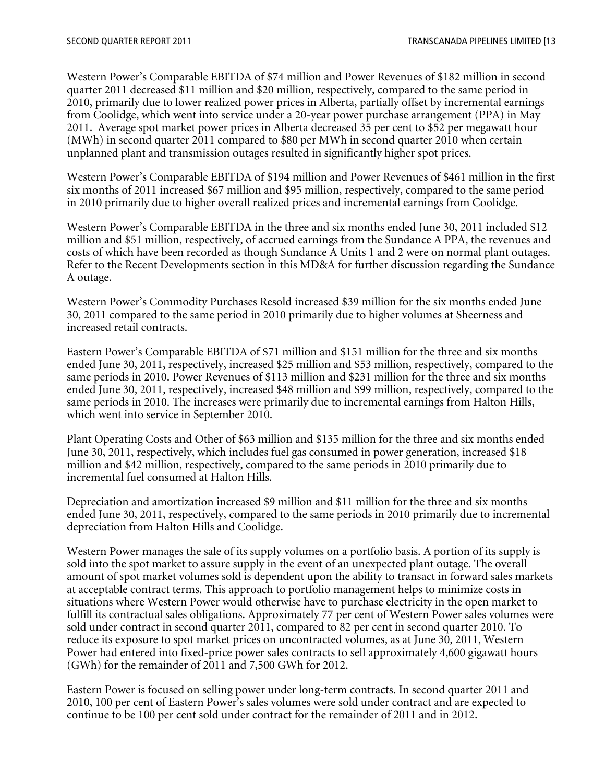Western Power's Comparable EBITDA of \$74 million and Power Revenues of \$182 million in second quarter 2011 decreased \$11 million and \$20 million, respectively, compared to the same period in 2010, primarily due to lower realized power prices in Alberta, partially offset by incremental earnings from Coolidge, which went into service under a 20-year power purchase arrangement (PPA) in May 2011. Average spot market power prices in Alberta decreased 35 per cent to \$52 per megawatt hour (MWh) in second quarter 2011 compared to \$80 per MWh in second quarter 2010 when certain unplanned plant and transmission outages resulted in significantly higher spot prices.

Western Power's Comparable EBITDA of \$194 million and Power Revenues of \$461 million in the first six months of 2011 increased \$67 million and \$95 million, respectively, compared to the same period in 2010 primarily due to higher overall realized prices and incremental earnings from Coolidge.

Western Power's Comparable EBITDA in the three and six months ended June 30, 2011 included \$12 million and \$51 million, respectively, of accrued earnings from the Sundance A PPA, the revenues and costs of which have been recorded as though Sundance A Units 1 and 2 were on normal plant outages. Refer to the Recent Developments section in this MD&A for further discussion regarding the Sundance A outage.

Western Power's Commodity Purchases Resold increased \$39 million for the six months ended June 30, 2011 compared to the same period in 2010 primarily due to higher volumes at Sheerness and increased retail contracts.

Eastern Power's Comparable EBITDA of \$71 million and \$151 million for the three and six months ended June 30, 2011, respectively, increased \$25 million and \$53 million, respectively, compared to the same periods in 2010. Power Revenues of \$113 million and \$231 million for the three and six months ended June 30, 2011, respectively, increased \$48 million and \$99 million, respectively, compared to the same periods in 2010. The increases were primarily due to incremental earnings from Halton Hills, which went into service in September 2010.

Plant Operating Costs and Other of \$63 million and \$135 million for the three and six months ended June 30, 2011, respectively, which includes fuel gas consumed in power generation, increased \$18 million and \$42 million, respectively, compared to the same periods in 2010 primarily due to incremental fuel consumed at Halton Hills.

Depreciation and amortization increased \$9 million and \$11 million for the three and six months ended June 30, 2011, respectively, compared to the same periods in 2010 primarily due to incremental depreciation from Halton Hills and Coolidge.

Western Power manages the sale of its supply volumes on a portfolio basis. A portion of its supply is sold into the spot market to assure supply in the event of an unexpected plant outage. The overall amount of spot market volumes sold is dependent upon the ability to transact in forward sales markets at acceptable contract terms. This approach to portfolio management helps to minimize costs in situations where Western Power would otherwise have to purchase electricity in the open market to fulfill its contractual sales obligations. Approximately 77 per cent of Western Power sales volumes were sold under contract in second quarter 2011, compared to 82 per cent in second quarter 2010. To reduce its exposure to spot market prices on uncontracted volumes, as at June 30, 2011, Western Power had entered into fixed-price power sales contracts to sell approximately 4,600 gigawatt hours (GWh) for the remainder of 2011 and 7,500 GWh for 2012.

Eastern Power is focused on selling power under long-term contracts. In second quarter 2011 and 2010, 100 per cent of Eastern Power's sales volumes were sold under contract and are expected to continue to be 100 per cent sold under contract for the remainder of 2011 and in 2012.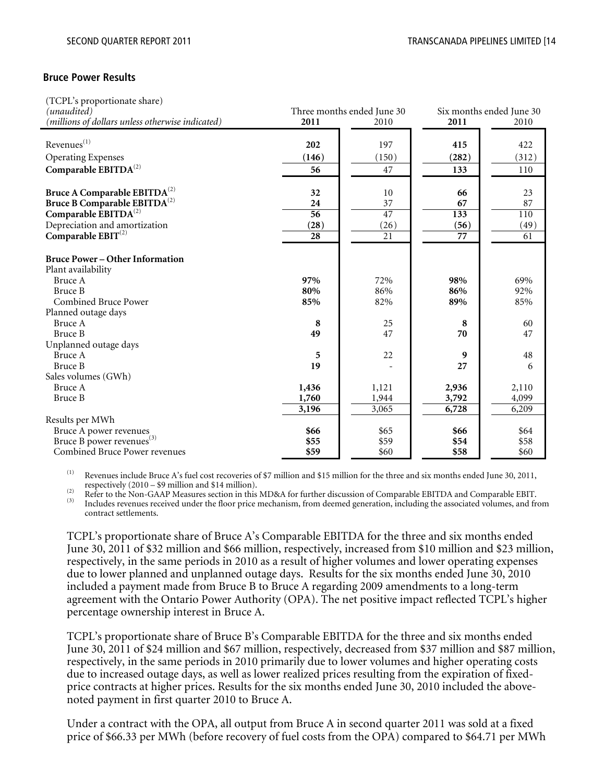#### **Bruce Power Results**

#### (TCPL's proportionate share)

| (unaudited)                                      |                 | Three months ended June 30 | Six months ended June 30 |            |  |  |
|--------------------------------------------------|-----------------|----------------------------|--------------------------|------------|--|--|
| (millions of dollars unless otherwise indicated) | 2011            | 2010                       | 2011                     | 2010       |  |  |
|                                                  |                 |                            |                          |            |  |  |
| $Revenues^{(1)}$                                 | 202             | 197                        | 415                      | 422        |  |  |
| <b>Operating Expenses</b>                        | (146)           | (150)                      | (282)                    | (312)      |  |  |
| Comparable EBITDA <sup>(2)</sup>                 | 56              | 47                         | 133                      | 110        |  |  |
| Bruce A Comparable EBITDA <sup>(2)</sup>         | 32              | 10                         | 66                       | 23         |  |  |
| Bruce B Comparable EBITDA <sup>(2)</sup>         | 24              | 37                         | 67                       | 87         |  |  |
| Comparable EBITDA <sup>(2)</sup>                 | $\overline{56}$ | 47                         | 133                      | 110        |  |  |
| Depreciation and amortization                    | (28)            | (26)                       | (56)                     | (49)       |  |  |
| Comparable $EBIT^{(2)}$                          | 28              | 21                         | 77                       | 61         |  |  |
| <b>Bruce Power - Other Information</b>           |                 |                            |                          |            |  |  |
| Plant availability                               |                 |                            |                          |            |  |  |
| Bruce A                                          | 97%             | 72%                        | 98%                      | 69%        |  |  |
| <b>Bruce B</b><br><b>Combined Bruce Power</b>    | 80%<br>85%      | 86%<br>82%                 | 86%<br>89%               | 92%<br>85% |  |  |
| Planned outage days                              |                 |                            |                          |            |  |  |
| Bruce A                                          | 8               | 25                         | 8                        | 60         |  |  |
| <b>Bruce B</b>                                   | 49              | 47                         | 70                       | 47         |  |  |
| Unplanned outage days                            |                 |                            |                          |            |  |  |
| Bruce A                                          | 5               | 22                         | 9                        | 48         |  |  |
| Bruce B                                          | 19              |                            | 27                       | 6          |  |  |
| Sales volumes (GWh)                              |                 |                            |                          |            |  |  |
| Bruce A                                          | 1,436           | 1,121                      | 2,936                    | 2,110      |  |  |
| <b>Bruce B</b>                                   | 1,760           | 1,944                      | 3,792                    | 4,099      |  |  |
|                                                  | 3,196           | 3,065                      | 6,728                    | 6,209      |  |  |
| Results per MWh                                  |                 |                            |                          |            |  |  |
| Bruce A power revenues                           | \$66            | \$65                       | \$66                     | \$64       |  |  |
| Bruce B power revenues <sup>(3)</sup>            | \$55            | \$59                       | \$54                     | \$58       |  |  |
| Combined Bruce Power revenues                    | \$59            | \$60                       | \$58                     | \$60       |  |  |

(1) Revenues include Bruce A's fuel cost recoveries of \$7 million and \$15 million for the three and six months ended June 30, 2011, respectively  $(2010 - $9$  million and \$14 million).

The matter of the Non-GAAP Measures section in this MD&A for further discussion of Comparable EBITDA and Comparable EBIT.<br>Includes revenues received under the floor price mechanism, from deemed generation, including the as

contract settlements.

TCPL's proportionate share of Bruce A's Comparable EBITDA for the three and six months ended June 30, 2011 of \$32 million and \$66 million, respectively, increased from \$10 million and \$23 million, respectively, in the same periods in 2010 as a result of higher volumes and lower operating expenses due to lower planned and unplanned outage days. Results for the six months ended June 30, 2010 included a payment made from Bruce B to Bruce A regarding 2009 amendments to a long-term agreement with the Ontario Power Authority (OPA). The net positive impact reflected TCPL's higher percentage ownership interest in Bruce A.

TCPL's proportionate share of Bruce B's Comparable EBITDA for the three and six months ended June 30, 2011 of \$24 million and \$67 million, respectively, decreased from \$37 million and \$87 million, respectively, in the same periods in 2010 primarily due to lower volumes and higher operating costs due to increased outage days, as well as lower realized prices resulting from the expiration of fixedprice contracts at higher prices. Results for the six months ended June 30, 2010 included the abovenoted payment in first quarter 2010 to Bruce A.

Under a contract with the OPA, all output from Bruce A in second quarter 2011 was sold at a fixed price of \$66.33 per MWh (before recovery of fuel costs from the OPA) compared to \$64.71 per MWh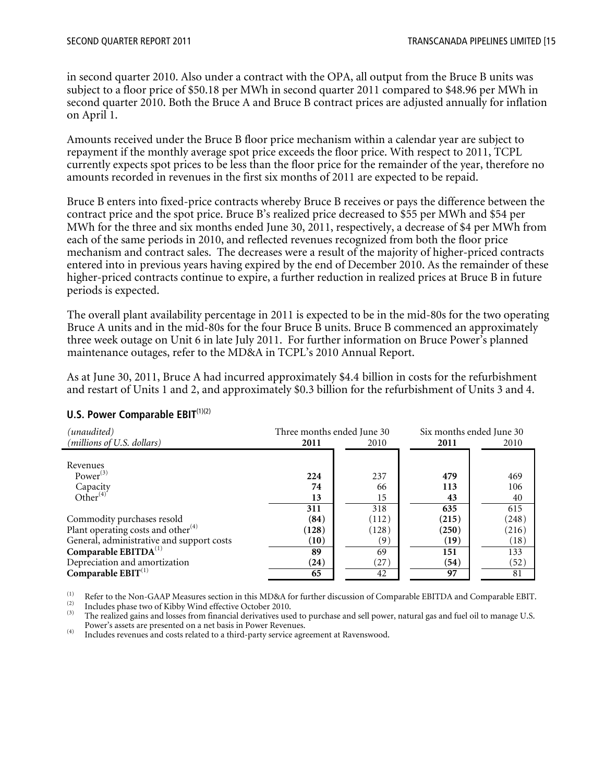in second quarter 2010. Also under a contract with the OPA, all output from the Bruce B units was subject to a floor price of \$50.18 per MWh in second quarter 2011 compared to \$48.96 per MWh in second quarter 2010. Both the Bruce A and Bruce B contract prices are adjusted annually for inflation on April 1.

Amounts received under the Bruce B floor price mechanism within a calendar year are subject to repayment if the monthly average spot price exceeds the floor price. With respect to 2011, TCPL currently expects spot prices to be less than the floor price for the remainder of the year, therefore no amounts recorded in revenues in the first six months of 2011 are expected to be repaid.

Bruce B enters into fixed-price contracts whereby Bruce B receives or pays the difference between the contract price and the spot price. Bruce B's realized price decreased to \$55 per MWh and \$54 per MWh for the three and six months ended June 30, 2011, respectively, a decrease of \$4 per MWh from each of the same periods in 2010, and reflected revenues recognized from both the floor price mechanism and contract sales. The decreases were a result of the majority of higher-priced contracts entered into in previous years having expired by the end of December 2010. As the remainder of these higher-priced contracts continue to expire, a further reduction in realized prices at Bruce B in future periods is expected.

The overall plant availability percentage in 2011 is expected to be in the mid-80s for the two operating Bruce A units and in the mid-80s for the four Bruce B units. Bruce B commenced an approximately three week outage on Unit 6 in late July 2011. For further information on Bruce Power's planned maintenance outages, refer to the MD&A in TCPL's 2010 Annual Report.

As at June 30, 2011, Bruce A had incurred approximately \$4.4 billion in costs for the refurbishment and restart of Units 1 and 2, and approximately \$0.3 billion for the refurbishment of Units 3 and 4.

| (unaudited)                               | Three months ended June 30 |       | Six months ended June 30 |                   |  |
|-------------------------------------------|----------------------------|-------|--------------------------|-------------------|--|
| (millions of U.S. dollars)                | 2011                       | 2010  | 2011                     | 2010              |  |
|                                           |                            |       |                          |                   |  |
| Revenues                                  |                            |       |                          |                   |  |
| Power $^{(3)}$                            | 224                        | 237   | 479                      | 469               |  |
| Capacity                                  | 74                         | 66    | 113                      | 106               |  |
| Other $^{(4)}$                            | 13                         | 15    | 43                       | 40                |  |
|                                           | 311                        | 318   | 635                      | 615               |  |
| Commodity purchases resold                | (84)                       | (112) | (215)                    | (248)             |  |
| Plant operating costs and other $(4)$     | (128)                      | (128) | (250)                    | (216)             |  |
| General, administrative and support costs | (10)                       | (9)   | (19)                     | $\left(18\right)$ |  |
| Comparable $EBITDA(1)$                    | 89                         | 69    | 151                      | 133               |  |
| Depreciation and amortization             | (24)                       | (27)  | (54)                     | (52)              |  |
| Comparable $EBIT^{(1)}$                   | 65                         | 42    | 97                       | 81                |  |

#### **U.S. Power Comparable EBIT**<sup>(1)(2)</sup>

Power's assets are presented on a net basis in Power Revenues. (4) Includes revenues and costs related to a third-party service agreement at Ravenswood.

The realized gains and losses from financial derivatives used to purchase and sell power, natural gas and fuel oil to manage U.S.<br>The realized gains and losses from financial derivatives used to purchase and sell power, n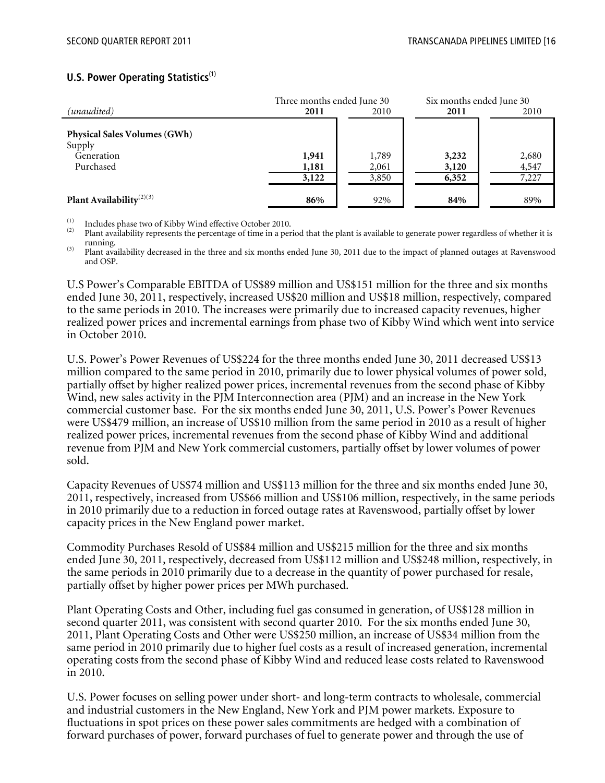#### **U.S. Power Operating Statistics**<sup>(1)</sup>

|                                                                          | Three months ended June 30 | Six months ended June 30 |                         |                         |
|--------------------------------------------------------------------------|----------------------------|--------------------------|-------------------------|-------------------------|
| (unaudited)                                                              | 2011                       | 2010                     | 2011                    | 2010                    |
| <b>Physical Sales Volumes (GWh)</b><br>Supply<br>Generation<br>Purchased | 1,941<br>1,181<br>3,122    | 1,789<br>2,061<br>3,850  | 3,232<br>3,120<br>6,352 | 2,680<br>4,547<br>7,227 |
|                                                                          |                            |                          |                         |                         |
| Plant Availability <sup>(2)(3)</sup>                                     | 86%                        | 92%                      | 84%                     | 89%                     |

The Uncludes phase two of Kibby Wind effective October 2010.<br>
Plant availability represents the percentage of time in a period that the plant is available to generate power regardless of whether it is<br>
running.

<sup>(3)</sup> Plant availability decreased in the three and six months ended June 30, 2011 due to the impact of planned outages at Ravenswood and OSP.

U.S Power's Comparable EBITDA of US\$89 million and US\$151 million for the three and six months ended June 30, 2011, respectively, increased US\$20 million and US\$18 million, respectively, compared to the same periods in 2010. The increases were primarily due to increased capacity revenues, higher realized power prices and incremental earnings from phase two of Kibby Wind which went into service in October 2010.

U.S. Power's Power Revenues of US\$224 for the three months ended June 30, 2011 decreased US\$13 million compared to the same period in 2010, primarily due to lower physical volumes of power sold, partially offset by higher realized power prices, incremental revenues from the second phase of Kibby Wind, new sales activity in the PJM Interconnection area (PJM) and an increase in the New York commercial customer base. For the six months ended June 30, 2011, U.S. Power's Power Revenues were US\$479 million, an increase of US\$10 million from the same period in 2010 as a result of higher realized power prices, incremental revenues from the second phase of Kibby Wind and additional revenue from PJM and New York commercial customers, partially offset by lower volumes of power sold.

Capacity Revenues of US\$74 million and US\$113 million for the three and six months ended June 30, 2011, respectively, increased from US\$66 million and US\$106 million, respectively, in the same periods in 2010 primarily due to a reduction in forced outage rates at Ravenswood, partially offset by lower capacity prices in the New England power market.

Commodity Purchases Resold of US\$84 million and US\$215 million for the three and six months ended June 30, 2011, respectively, decreased from US\$112 million and US\$248 million, respectively, in the same periods in 2010 primarily due to a decrease in the quantity of power purchased for resale, partially offset by higher power prices per MWh purchased.

Plant Operating Costs and Other, including fuel gas consumed in generation, of US\$128 million in second quarter 2011, was consistent with second quarter 2010. For the six months ended June 30, 2011, Plant Operating Costs and Other were US\$250 million, an increase of US\$34 million from the same period in 2010 primarily due to higher fuel costs as a result of increased generation, incremental operating costs from the second phase of Kibby Wind and reduced lease costs related to Ravenswood in 2010.

U.S. Power focuses on selling power under short- and long-term contracts to wholesale, commercial and industrial customers in the New England, New York and PJM power markets. Exposure to fluctuations in spot prices on these power sales commitments are hedged with a combination of forward purchases of power, forward purchases of fuel to generate power and through the use of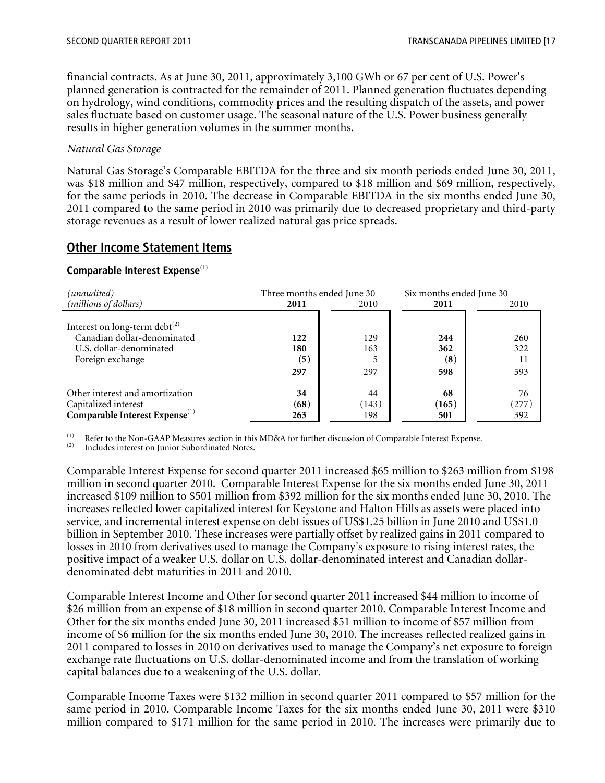financial contracts. As at June 30, 2011, approximately 3,100 GWh or 67 per cent of U.S. Power's planned generation is contracted for the remainder of 2011. Planned generation fluctuates depending on hydrology, wind conditions, commodity prices and the resulting dispatch of the assets, and power sales fluctuate based on customer usage. The seasonal nature of the U.S. Power business generally results in higher generation volumes in the summer months.

#### *Natural Gas Storage*

Natural Gas Storage's Comparable EBITDA for the three and six month periods ended June 30, 2011, was \$18 million and \$47 million, respectively, compared to \$18 million and \$69 million, respectively, for the same periods in 2010. The decrease in Comparable EBITDA in the six months ended June 30, 2011 compared to the same period in 2010 was primarily due to decreased proprietary and third-party storage revenues as a result of lower realized natural gas price spreads.

#### **Other Income Statement Items**

#### **Comparable Interest Expense**(1)

| (unaudited)                                | Three months ended June 30 |       | Six months ended June 30 |       |
|--------------------------------------------|----------------------------|-------|--------------------------|-------|
| (millions of dollars)                      | 2011                       | 2010  | 2011                     | 2010  |
| Interest on long-term $debt^{(2)}$         | 122                        | 129   | 244                      | 260   |
| Canadian dollar-denominated                | 180                        | 163   | 362                      | 322   |
| U.S. dollar-denominated                    | (5)                        | 5     | (8)                      | 11    |
| Foreign exchange                           | 297                        | 297   | 598                      | 593   |
| Other interest and amortization            | 34                         | 44    | 68                       | 76    |
| Capitalized interest                       | (68)                       | (143) | (165)                    | (277) |
| Comparable Interest Expense <sup>(1)</sup> | 263                        | 198   | 501                      | 392   |

(1) Refer to the Non-GAAP Measures section in this MD&A for further discussion of Comparable Interest Expense.<br>  $\frac{1}{2}$  Includes interest on Junior Subordinated Notes.

Comparable Interest Expense for second quarter 2011 increased \$65 million to \$263 million from \$198 million in second quarter 2010. Comparable Interest Expense for the six months ended June 30, 2011 increased \$109 million to \$501 million from \$392 million for the six months ended June 30, 2010. The increases reflected lower capitalized interest for Keystone and Halton Hills as assets were placed into service, and incremental interest expense on debt issues of US\$1.25 billion in June 2010 and US\$1.0 billion in September 2010. These increases were partially offset by realized gains in 2011 compared to losses in 2010 from derivatives used to manage the Company's exposure to rising interest rates, the positive impact of a weaker U.S. dollar on U.S. dollar-denominated interest and Canadian dollardenominated debt maturities in 2011 and 2010.

Comparable Interest Income and Other for second quarter 2011 increased \$44 million to income of \$26 million from an expense of \$18 million in second quarter 2010. Comparable Interest Income and Other for the six months ended June 30, 2011 increased \$51 million to income of \$57 million from income of \$6 million for the six months ended June 30, 2010. The increases reflected realized gains in 2011 compared to losses in 2010 on derivatives used to manage the Company's net exposure to foreign exchange rate fluctuations on U.S. dollar-denominated income and from the translation of working capital balances due to a weakening of the U.S. dollar.

Comparable Income Taxes were \$132 million in second quarter 2011 compared to \$57 million for the same period in 2010. Comparable Income Taxes for the six months ended June 30, 2011 were \$310 million compared to \$171 million for the same period in 2010. The increases were primarily due to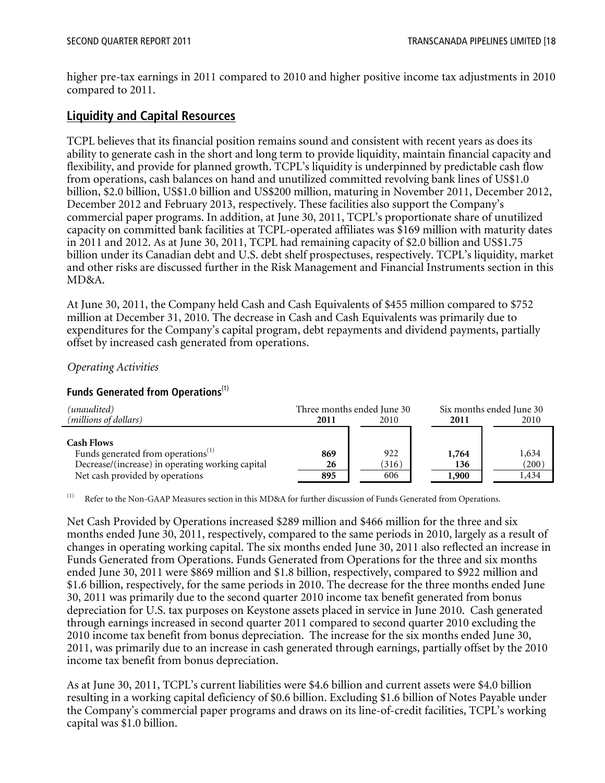higher pre-tax earnings in 2011 compared to 2010 and higher positive income tax adjustments in 2010 compared to 2011.

## **Liquidity and Capital Resources**

TCPL believes that its financial position remains sound and consistent with recent years as does its ability to generate cash in the short and long term to provide liquidity, maintain financial capacity and flexibility, and provide for planned growth. TCPL's liquidity is underpinned by predictable cash flow from operations, cash balances on hand and unutilized committed revolving bank lines of US\$1.0 billion, \$2.0 billion, US\$1.0 billion and US\$200 million, maturing in November 2011, December 2012, December 2012 and February 2013, respectively. These facilities also support the Company's commercial paper programs. In addition, at June 30, 2011, TCPL's proportionate share of unutilized capacity on committed bank facilities at TCPL-operated affiliates was \$169 million with maturity dates in 2011 and 2012. As at June 30, 2011, TCPL had remaining capacity of \$2.0 billion and US\$1.75 billion under its Canadian debt and U.S. debt shelf prospectuses, respectively. TCPL's liquidity, market and other risks are discussed further in the Risk Management and Financial Instruments section in this MD&A.

At June 30, 2011, the Company held Cash and Cash Equivalents of \$455 million compared to \$752 million at December 31, 2010. The decrease in Cash and Cash Equivalents was primarily due to expenditures for the Company's capital program, debt repayments and dividend payments, partially offset by increased cash generated from operations.

#### *Operating Activities*

#### **Funds Generated from Operations**(1)

| (unaudited)                                      |      | Three months ended June 30 |       | Six months ended June 30 |
|--------------------------------------------------|------|----------------------------|-------|--------------------------|
| (millions of dollars)                            | 2011 | 2010                       | 2011  | 2010                     |
|                                                  |      |                            |       |                          |
| <b>Cash Flows</b>                                |      |                            |       |                          |
| Funds generated from operations <sup>(1)</sup>   | 869  | 922                        | 1,764 | 1,634                    |
| Decrease/(increase) in operating working capital | 26   | (316)                      | 136   | (200)                    |
| Net cash provided by operations                  | 895  | 606                        | 1,900 | 1,434                    |

(1) Refer to the Non-GAAP Measures section in this MD&A for further discussion of Funds Generated from Operations.

Net Cash Provided by Operations increased \$289 million and \$466 million for the three and six months ended June 30, 2011, respectively, compared to the same periods in 2010, largely as a result of changes in operating working capital. The six months ended June 30, 2011 also reflected an increase in Funds Generated from Operations. Funds Generated from Operations for the three and six months ended June 30, 2011 were \$869 million and \$1.8 billion, respectively, compared to \$922 million and \$1.6 billion, respectively, for the same periods in 2010. The decrease for the three months ended June 30, 2011 was primarily due to the second quarter 2010 income tax benefit generated from bonus depreciation for U.S. tax purposes on Keystone assets placed in service in June 2010. Cash generated through earnings increased in second quarter 2011 compared to second quarter 2010 excluding the 2010 income tax benefit from bonus depreciation. The increase for the six months ended June 30, 2011, was primarily due to an increase in cash generated through earnings, partially offset by the 2010 income tax benefit from bonus depreciation.

As at June 30, 2011, TCPL's current liabilities were \$4.6 billion and current assets were \$4.0 billion resulting in a working capital deficiency of \$0.6 billion. Excluding \$1.6 billion of Notes Payable under the Company's commercial paper programs and draws on its line-of-credit facilities, TCPL's working capital was \$1.0 billion.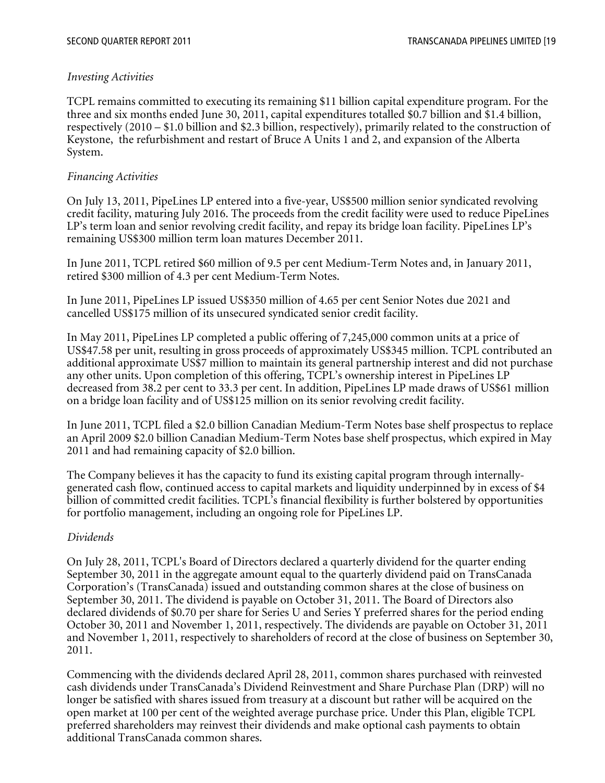#### *Investing Activities*

TCPL remains committed to executing its remaining \$11 billion capital expenditure program. For the three and six months ended June 30, 2011, capital expenditures totalled \$0.7 billion and \$1.4 billion, respectively (2010 – \$1.0 billion and \$2.3 billion, respectively), primarily related to the construction of Keystone, the refurbishment and restart of Bruce A Units 1 and 2, and expansion of the Alberta System.

#### *Financing Activities*

On July 13, 2011, PipeLines LP entered into a five-year, US\$500 million senior syndicated revolving credit facility, maturing July 2016. The proceeds from the credit facility were used to reduce PipeLines LP's term loan and senior revolving credit facility, and repay its bridge loan facility. PipeLines LP's remaining US\$300 million term loan matures December 2011.

In June 2011, TCPL retired \$60 million of 9.5 per cent Medium-Term Notes and, in January 2011, retired \$300 million of 4.3 per cent Medium-Term Notes.

In June 2011, PipeLines LP issued US\$350 million of 4.65 per cent Senior Notes due 2021 and cancelled US\$175 million of its unsecured syndicated senior credit facility.

In May 2011, PipeLines LP completed a public offering of 7,245,000 common units at a price of US\$47.58 per unit, resulting in gross proceeds of approximately US\$345 million. TCPL contributed an additional approximate US\$7 million to maintain its general partnership interest and did not purchase any other units. Upon completion of this offering, TCPL's ownership interest in PipeLines LP decreased from 38.2 per cent to 33.3 per cent. In addition, PipeLines LP made draws of US\$61 million on a bridge loan facility and of US\$125 million on its senior revolving credit facility.

In June 2011, TCPL filed a \$2.0 billion Canadian Medium-Term Notes base shelf prospectus to replace an April 2009 \$2.0 billion Canadian Medium-Term Notes base shelf prospectus, which expired in May 2011 and had remaining capacity of \$2.0 billion.

The Company believes it has the capacity to fund its existing capital program through internallygenerated cash flow, continued access to capital markets and liquidity underpinned by in excess of \$4 billion of committed credit facilities. TCPL's financial flexibility is further bolstered by opportunities for portfolio management, including an ongoing role for PipeLines LP.

#### *Dividends*

On July 28, 2011, TCPL's Board of Directors declared a quarterly dividend for the quarter ending September 30, 2011 in the aggregate amount equal to the quarterly dividend paid on TransCanada Corporation's (TransCanada) issued and outstanding common shares at the close of business on September 30, 2011. The dividend is payable on October 31, 2011. The Board of Directors also declared dividends of \$0.70 per share for Series U and Series Y preferred shares for the period ending October 30, 2011 and November 1, 2011, respectively. The dividends are payable on October 31, 2011 and November 1, 2011, respectively to shareholders of record at the close of business on September 30, 2011.

Commencing with the dividends declared April 28, 2011, common shares purchased with reinvested cash dividends under TransCanada's Dividend Reinvestment and Share Purchase Plan (DRP) will no longer be satisfied with shares issued from treasury at a discount but rather will be acquired on the open market at 100 per cent of the weighted average purchase price. Under this Plan, eligible TCPL preferred shareholders may reinvest their dividends and make optional cash payments to obtain additional TransCanada common shares.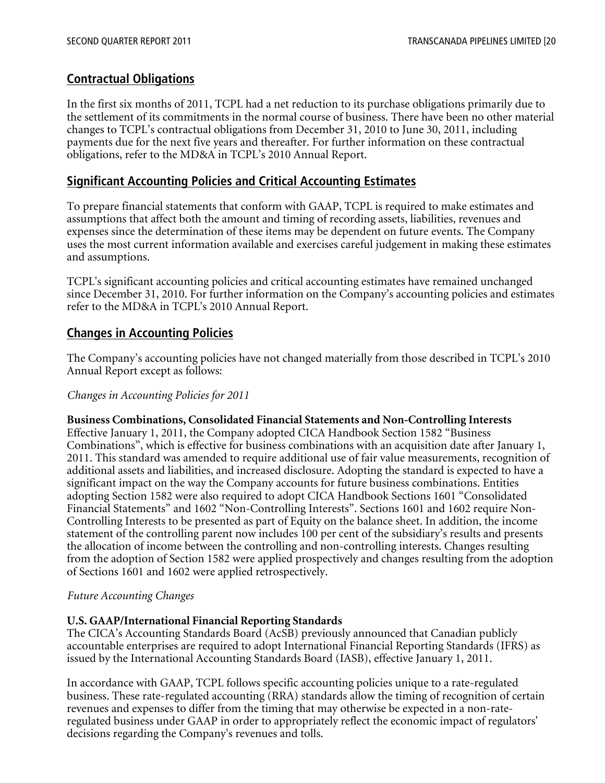## **Contractual Obligations**

In the first six months of 2011, TCPL had a net reduction to its purchase obligations primarily due to the settlement of its commitments in the normal course of business. There have been no other material changes to TCPL's contractual obligations from December 31, 2010 to June 30, 2011, including payments due for the next five years and thereafter. For further information on these contractual obligations, refer to the MD&A in TCPL's 2010 Annual Report.

## **Significant Accounting Policies and Critical Accounting Estimates**

To prepare financial statements that conform with GAAP, TCPL is required to make estimates and assumptions that affect both the amount and timing of recording assets, liabilities, revenues and expenses since the determination of these items may be dependent on future events. The Company uses the most current information available and exercises careful judgement in making these estimates and assumptions.

TCPL's significant accounting policies and critical accounting estimates have remained unchanged since December 31, 2010. For further information on the Company's accounting policies and estimates refer to the MD&A in TCPL's 2010 Annual Report.

## **Changes in Accounting Policies**

The Company's accounting policies have not changed materially from those described in TCPL's 2010 Annual Report except as follows:

#### *Changes in Accounting Policies for 2011*

#### **Business Combinations, Consolidated Financial Statements and Non-Controlling Interests**

Effective January 1, 2011, the Company adopted CICA Handbook Section 1582 "Business Combinations", which is effective for business combinations with an acquisition date after January 1, 2011. This standard was amended to require additional use of fair value measurements, recognition of additional assets and liabilities, and increased disclosure. Adopting the standard is expected to have a significant impact on the way the Company accounts for future business combinations. Entities adopting Section 1582 were also required to adopt CICA Handbook Sections 1601 "Consolidated Financial Statements" and 1602 "Non-Controlling Interests". Sections 1601 and 1602 require Non-Controlling Interests to be presented as part of Equity on the balance sheet. In addition, the income statement of the controlling parent now includes 100 per cent of the subsidiary's results and presents the allocation of income between the controlling and non-controlling interests. Changes resulting from the adoption of Section 1582 were applied prospectively and changes resulting from the adoption of Sections 1601 and 1602 were applied retrospectively.

#### *Future Accounting Changes*

#### **U.S. GAAP/International Financial Reporting Standards**

The CICA's Accounting Standards Board (AcSB) previously announced that Canadian publicly accountable enterprises are required to adopt International Financial Reporting Standards (IFRS) as issued by the International Accounting Standards Board (IASB), effective January 1, 2011.

In accordance with GAAP, TCPL follows specific accounting policies unique to a rate-regulated business. These rate-regulated accounting (RRA) standards allow the timing of recognition of certain revenues and expenses to differ from the timing that may otherwise be expected in a non-rateregulated business under GAAP in order to appropriately reflect the economic impact of regulators' decisions regarding the Company's revenues and tolls.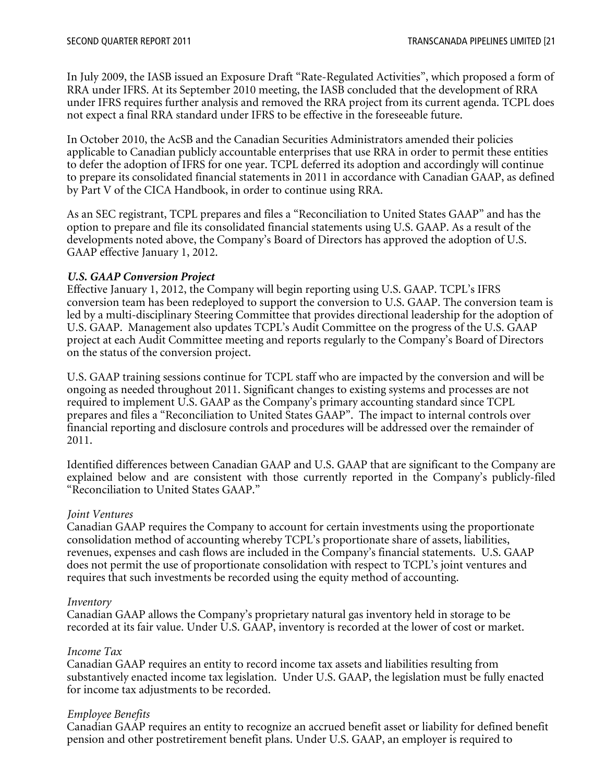In July 2009, the IASB issued an Exposure Draft "Rate-Regulated Activities", which proposed a form of RRA under IFRS. At its September 2010 meeting, the IASB concluded that the development of RRA under IFRS requires further analysis and removed the RRA project from its current agenda. TCPL does not expect a final RRA standard under IFRS to be effective in the foreseeable future.

In October 2010, the AcSB and the Canadian Securities Administrators amended their policies applicable to Canadian publicly accountable enterprises that use RRA in order to permit these entities to defer the adoption of IFRS for one year. TCPL deferred its adoption and accordingly will continue to prepare its consolidated financial statements in 2011 in accordance with Canadian GAAP, as defined by Part V of the CICA Handbook, in order to continue using RRA.

As an SEC registrant, TCPL prepares and files a "Reconciliation to United States GAAP" and has the option to prepare and file its consolidated financial statements using U.S. GAAP. As a result of the developments noted above, the Company's Board of Directors has approved the adoption of U.S. GAAP effective January 1, 2012.

#### *U.S. GAAP Conversion Project*

Effective January 1, 2012, the Company will begin reporting using U.S. GAAP. TCPL's IFRS conversion team has been redeployed to support the conversion to U.S. GAAP. The conversion team is led by a multi-disciplinary Steering Committee that provides directional leadership for the adoption of U.S. GAAP. Management also updates TCPL's Audit Committee on the progress of the U.S. GAAP project at each Audit Committee meeting and reports regularly to the Company's Board of Directors on the status of the conversion project.

U.S. GAAP training sessions continue for TCPL staff who are impacted by the conversion and will be ongoing as needed throughout 2011. Significant changes to existing systems and processes are not required to implement U.S. GAAP as the Company's primary accounting standard since TCPL prepares and files a "Reconciliation to United States GAAP". The impact to internal controls over financial reporting and disclosure controls and procedures will be addressed over the remainder of 2011.

Identified differences between Canadian GAAP and U.S. GAAP that are significant to the Company are explained below and are consistent with those currently reported in the Company's publicly-filed "Reconciliation to United States GAAP."

#### *Joint Ventures*

Canadian GAAP requires the Company to account for certain investments using the proportionate consolidation method of accounting whereby TCPL's proportionate share of assets, liabilities, revenues, expenses and cash flows are included in the Company's financial statements. U.S. GAAP does not permit the use of proportionate consolidation with respect to TCPL's joint ventures and requires that such investments be recorded using the equity method of accounting.

#### *Inventory*

Canadian GAAP allows the Company's proprietary natural gas inventory held in storage to be recorded at its fair value. Under U.S. GAAP, inventory is recorded at the lower of cost or market.

#### *Income Tax*

Canadian GAAP requires an entity to record income tax assets and liabilities resulting from substantively enacted income tax legislation. Under U.S. GAAP, the legislation must be fully enacted for income tax adjustments to be recorded.

#### *Employee Benefits*

Canadian GAAP requires an entity to recognize an accrued benefit asset or liability for defined benefit pension and other postretirement benefit plans. Under U.S. GAAP, an employer is required to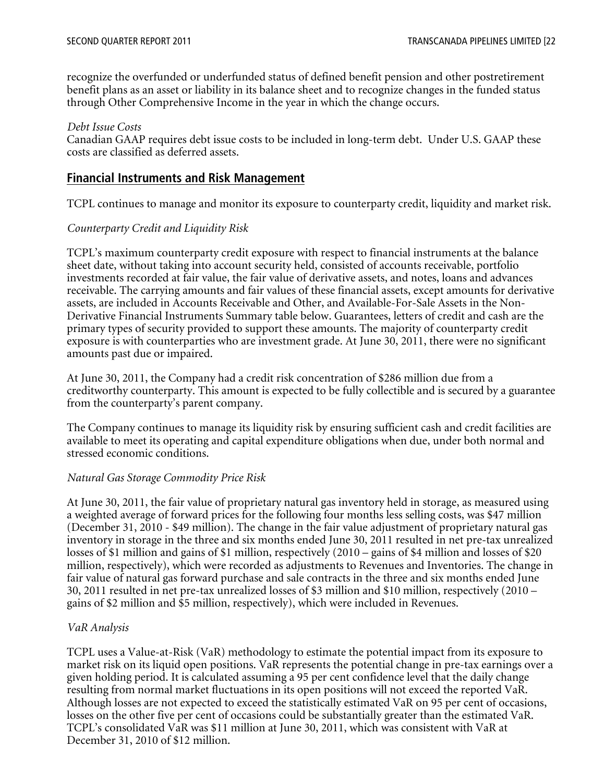recognize the overfunded or underfunded status of defined benefit pension and other postretirement benefit plans as an asset or liability in its balance sheet and to recognize changes in the funded status through Other Comprehensive Income in the year in which the change occurs.

#### *Debt Issue Costs*

Canadian GAAP requires debt issue costs to be included in long-term debt. Under U.S. GAAP these costs are classified as deferred assets.

## **Financial Instruments and Risk Management**

TCPL continues to manage and monitor its exposure to counterparty credit, liquidity and market risk.

#### *Counterparty Credit and Liquidity Risk*

TCPL's maximum counterparty credit exposure with respect to financial instruments at the balance sheet date, without taking into account security held, consisted of accounts receivable, portfolio investments recorded at fair value, the fair value of derivative assets, and notes, loans and advances receivable. The carrying amounts and fair values of these financial assets, except amounts for derivative assets, are included in Accounts Receivable and Other, and Available-For-Sale Assets in the Non-Derivative Financial Instruments Summary table below. Guarantees, letters of credit and cash are the primary types of security provided to support these amounts. The majority of counterparty credit exposure is with counterparties who are investment grade. At June 30, 2011, there were no significant amounts past due or impaired.

At June 30, 2011, the Company had a credit risk concentration of \$286 million due from a creditworthy counterparty. This amount is expected to be fully collectible and is secured by a guarantee from the counterparty's parent company.

The Company continues to manage its liquidity risk by ensuring sufficient cash and credit facilities are available to meet its operating and capital expenditure obligations when due, under both normal and stressed economic conditions.

#### *Natural Gas Storage Commodity Price Risk*

At June 30, 2011, the fair value of proprietary natural gas inventory held in storage, as measured using a weighted average of forward prices for the following four months less selling costs, was \$47 million (December 31, 2010 - \$49 million). The change in the fair value adjustment of proprietary natural gas inventory in storage in the three and six months ended June 30, 2011 resulted in net pre-tax unrealized losses of \$1 million and gains of \$1 million, respectively (2010 – gains of \$4 million and losses of \$20 million, respectively), which were recorded as adjustments to Revenues and Inventories. The change in fair value of natural gas forward purchase and sale contracts in the three and six months ended June 30, 2011 resulted in net pre-tax unrealized losses of \$3 million and \$10 million, respectively (2010 – gains of \$2 million and \$5 million, respectively), which were included in Revenues.

#### *VaR Analysis*

TCPL uses a Value-at-Risk (VaR) methodology to estimate the potential impact from its exposure to market risk on its liquid open positions. VaR represents the potential change in pre-tax earnings over a given holding period. It is calculated assuming a 95 per cent confidence level that the daily change resulting from normal market fluctuations in its open positions will not exceed the reported VaR. Although losses are not expected to exceed the statistically estimated VaR on 95 per cent of occasions, losses on the other five per cent of occasions could be substantially greater than the estimated VaR. TCPL's consolidated VaR was \$11 million at June 30, 2011, which was consistent with VaR at December 31, 2010 of \$12 million.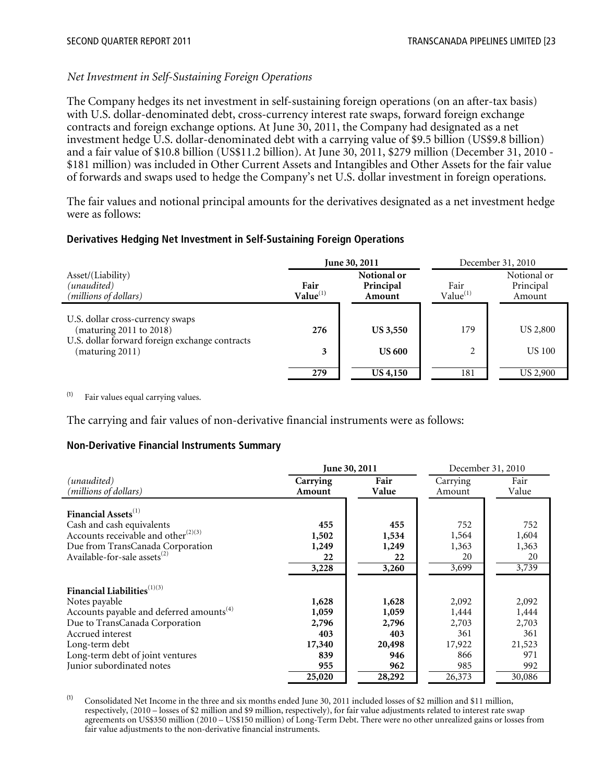## *Net Investment in Self-Sustaining Foreign Operations*

The Company hedges its net investment in self-sustaining foreign operations (on an after-tax basis) with U.S. dollar-denominated debt, cross-currency interest rate swaps, forward foreign exchange contracts and foreign exchange options. At June 30, 2011, the Company had designated as a net investment hedge U.S. dollar-denominated debt with a carrying value of \$9.5 billion (US\$9.8 billion) and a fair value of \$10.8 billion (US\$11.2 billion). At June 30, 2011, \$279 million (December 31, 2010 - \$181 million) was included in Other Current Assets and Intangibles and Other Assets for the fair value of forwards and swaps used to hedge the Company's net U.S. dollar investment in foreign operations.

The fair values and notional principal amounts for the derivatives designated as a net investment hedge were as follows:

#### **Derivatives Hedging Net Investment in Self-Sustaining Foreign Operations**

|                                                                                                                    |                              | <b>June 30, 2011</b>               | December 31, 2010 |                                    |  |
|--------------------------------------------------------------------------------------------------------------------|------------------------------|------------------------------------|-------------------|------------------------------------|--|
| Asset/(Liability)<br>(unaudited)<br>(millions of dollars)                                                          | Fair<br>Value <sup>(1)</sup> | Notional or<br>Principal<br>Amount |                   | Notional or<br>Principal<br>Amount |  |
| U.S. dollar cross-currency swaps<br>(maturing $2011$ to $2018$ )<br>U.S. dollar forward foreign exchange contracts | 276                          | <b>US 3,550</b>                    | 179               | US 2,800                           |  |
| (maturing 2011)                                                                                                    | 3                            | <b>US 600</b>                      | 2                 | <b>US 100</b>                      |  |
|                                                                                                                    | 279                          | <b>US 4,150</b>                    | 181               | US 2,900                           |  |

(1) Fair values equal carrying values.

The carrying and fair values of non-derivative financial instruments were as follows:

#### **Non-Derivative Financial Instruments Summary**

|                                                      |          | June 30, 2011 | December 31, 2010 |        |  |
|------------------------------------------------------|----------|---------------|-------------------|--------|--|
| (unaudited)                                          | Carrying | Fair          | Carrying          | Fair   |  |
| ( <i>millions of dollars</i> )                       | Amount   | Value         | Amount            | Value  |  |
|                                                      |          |               |                   |        |  |
| Financial Assets <sup>(1)</sup>                      |          |               |                   |        |  |
| Cash and cash equivalents                            | 455      | 455           | 752               | 752    |  |
| Accounts receivable and other $^{(2)(3)}$            | 1,502    | 1,534         | 1,564             | 1,604  |  |
| Due from TransCanada Corporation                     | 1,249    | 1,249         | 1,363             | 1,363  |  |
| Available-for-sale assets <sup>(2)</sup>             | 22       | 22            | 20                | 20     |  |
|                                                      | 3,228    | 3,260         | 3,699             | 3,739  |  |
|                                                      |          |               |                   |        |  |
| Financial Liabilities <sup>(1)(3)</sup>              |          |               |                   |        |  |
| Notes payable                                        | 1,628    | 1,628         | 2,092             | 2,092  |  |
| Accounts payable and deferred amounts <sup>(4)</sup> | 1,059    | 1,059         | 1,444             | 1,444  |  |
| Due to TransCanada Corporation                       | 2,796    | 2,796         | 2,703             | 2,703  |  |
| Accrued interest                                     | 403      | 403           | 361               | 361    |  |
| Long-term debt                                       | 17,340   | 20,498        | 17,922            | 21,523 |  |
| Long-term debt of joint ventures                     | 839      | 946           | 866               | 971    |  |
| Junior subordinated notes                            | 955      | 962           | 985               | 992    |  |
|                                                      | 25,020   | 28,292        | 26,373            | 30,086 |  |

(1) Consolidated Net Income in the three and six months ended June 30, 2011 included losses of \$2 million and \$11 million, respectively, (2010 – losses of \$2 million and \$9 million, respectively), for fair value adjustments related to interest rate swap agreements on US\$350 million (2010 – US\$150 million) of Long-Term Debt. There were no other unrealized gains or losses from fair value adjustments to the non-derivative financial instruments.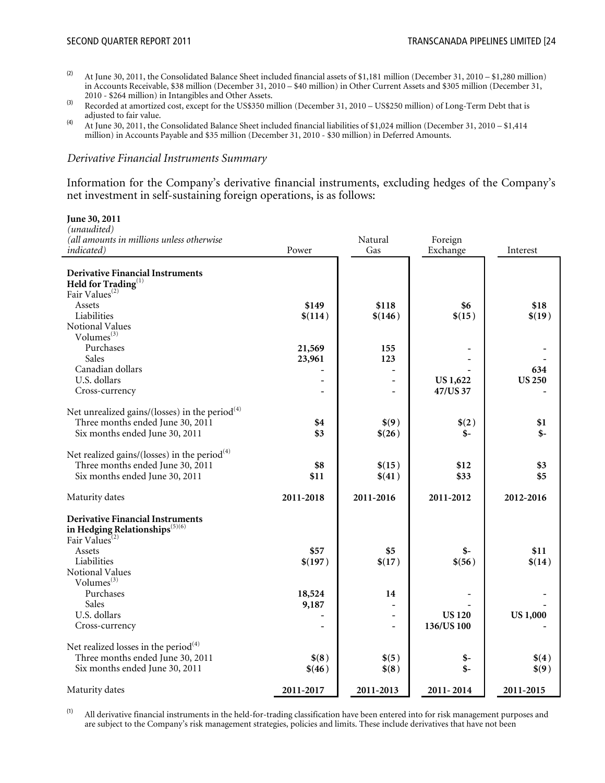- (2) At June 30, 2011, the Consolidated Balance Sheet included financial assets of \$1,181 million (December 31, 2010 \$1,280 million) in Accounts Receivable, \$38 million (December 31, 2010 – \$40 million) in Other Current Assets and \$305 million (December 31,
- 2010 \$264 million) in Intangibles and Other Assets.<br>
(3) Recorded at amortized cost, except for the US\$350 million (December 31, 2010 US\$250 million) of Long-Term Debt that is<br>
adjusted to fair value.
- <sup>(4)</sup> At June 30, 2011, the Consolidated Balance Sheet included financial liabilities of \$1,024 million (December 31, 2010 \$1,414 million) in Accounts Payable and \$35 million (December 31, 2010 - \$30 million) in Deferred Amounts.

#### *Derivative Financial Instruments Summary*

Information for the Company's derivative financial instruments, excluding hedges of the Company's net investment in self-sustaining foreign operations, is as follows:

| June 30, 2011                                            |           |                          |                     |                      |
|----------------------------------------------------------|-----------|--------------------------|---------------------|----------------------|
| (unaudited)<br>(all amounts in millions unless otherwise |           | Natural                  |                     |                      |
| <i>indicated</i> )                                       | Power     | Gas                      | Foreign<br>Exchange | Interest             |
|                                                          |           |                          |                     |                      |
| <b>Derivative Financial Instruments</b>                  |           |                          |                     |                      |
| Held for $\mathrm{Trading}^{(1)}$                        |           |                          |                     |                      |
| Fair Values <sup>(2)</sup>                               |           |                          |                     |                      |
| Assets                                                   | \$149     | \$118                    | \$6                 | \$18                 |
| Liabilities                                              | \$(114)   | \$(146)                  | \$(15)              | \$(19)               |
| Notional Values                                          |           |                          |                     |                      |
| Volumes <sup>(3)</sup>                                   |           |                          |                     |                      |
| Purchases                                                | 21,569    | 155                      |                     |                      |
| Sales<br>Canadian dollars                                | 23,961    | 123                      |                     |                      |
| U.S. dollars                                             |           |                          | <b>US 1,622</b>     | 634<br><b>US 250</b> |
| Cross-currency                                           |           |                          | 47/US 37            |                      |
|                                                          |           |                          |                     |                      |
| Net unrealized gains/(losses) in the period $(4)$        |           |                          |                     |                      |
| Three months ended June 30, 2011                         | \$4       | \$(9)                    | \$(2)               | \$1                  |
| Six months ended June 30, 2011                           | \$3       | \$(26)                   | $S-$                | \$-                  |
|                                                          |           |                          |                     |                      |
| Net realized gains/(losses) in the period <sup>(4)</sup> |           |                          |                     |                      |
| Three months ended June 30, 2011                         | \$8       | \$(15)                   | \$12                | \$3                  |
| Six months ended June 30, 2011                           | \$11      | \$(41)                   | \$33                | \$5                  |
| Maturity dates                                           | 2011-2018 | 2011-2016                | 2011-2012           | 2012-2016            |
|                                                          |           |                          |                     |                      |
| <b>Derivative Financial Instruments</b>                  |           |                          |                     |                      |
| in Hedging Relationships <sup>(5)(6)</sup>               |           |                          |                     |                      |
| Fair Values <sup>(2)</sup>                               |           |                          |                     |                      |
| Assets                                                   | \$57      | \$5                      | \$-                 | \$11                 |
| Liabilities                                              | \$(197)   | \$(17)                   | \$(56)              | \$(14)               |
| Notional Values                                          |           |                          |                     |                      |
| Volumes $^{(3)}$                                         |           |                          |                     |                      |
| Purchases<br>Sales                                       | 18,524    | 14                       |                     |                      |
| U.S. dollars                                             | 9,187     | $\overline{\phantom{0}}$ | <b>US 120</b>       | <b>US1,000</b>       |
| Cross-currency                                           |           | $\blacksquare$           | 136/US 100          |                      |
|                                                          |           |                          |                     |                      |
| Net realized losses in the period $(4)$                  |           |                          |                     |                      |
| Three months ended June 30, 2011                         | \$(8)     | \$(5)                    | $$-$                | \$(4)                |
| Six months ended June 30, 2011                           | \$(46)    | \$(8)                    | $\mathsf{s}$        | \$(9)                |
|                                                          |           |                          |                     |                      |
| Maturity dates                                           | 2011-2017 | 2011-2013                | 2011-2014           | 2011-2015            |

(1) All derivative financial instruments in the held-for-trading classification have been entered into for risk management purposes and are subject to the Company's risk management strategies, policies and limits. These include derivatives that have not been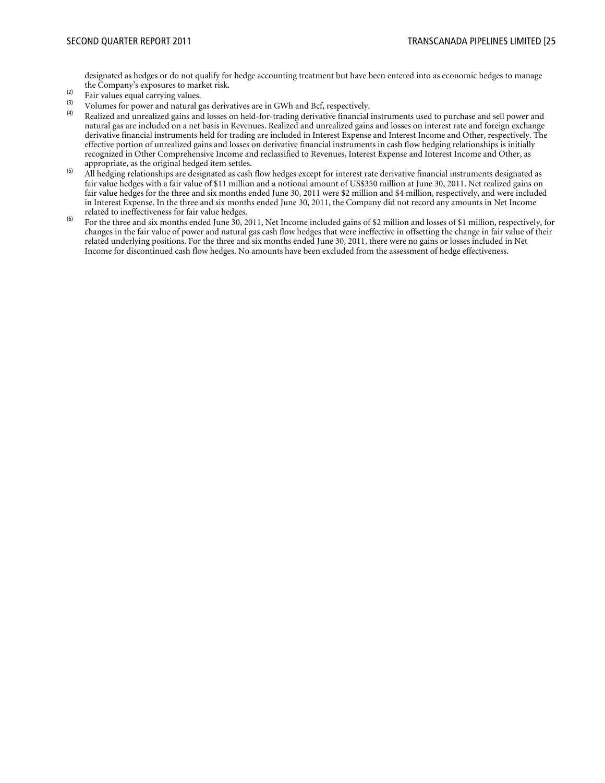designated as hedges or do not qualify for hedge accounting treatment but have been entered into as economic hedges to manage

- 
- 
- the Company's exposures to market risk.<br>
Pair values equal carrying values.<br>
(3) Volumes for power and natural gas derivatives are in GWh and Bcf, respectively.<br>
(4) Realized and unrealized gains and losses on held-for-tra natural gas are included on a net basis in Revenues. Realized and unrealized gains and losses on interest rate and foreign exchange derivative financial instruments held for trading are included in Interest Expense and Interest Income and Other, respectively. The effective portion of unrealized gains and losses on derivative financial instruments in cash flow hedging relationships is initially recognized in Other Comprehensive Income and reclassified to Revenues, Interest Expense and Interest Income and Other, as
- appropriate, as the original hedged item settles.<br>
(5) All hedging relationships are designated as cash flow hedges except for interest rate derivative financial instruments designated as fair value hedges with a fair value of \$11 million and a notional amount of US\$350 million at June 30, 2011. Net realized gains on fair value hedges for the three and six months ended June 30, 2011 were \$2 million and \$4 million, respectively, and were included in Interest Expense. In the three and six months ended June 30, 2011, the Company did not record any amounts in Net Income
- related to ineffectiveness for fair value hedges. (6) For the three and six months ended June 30, 2011, Net Income included gains of \$2 million and losses of \$1 million, respectively, for changes in the fair value of power and natural gas cash flow hedges that were ineffective in offsetting the change in fair value of their related underlying positions. For the three and six months ended June 30, 2011, there were no gains or losses included in Net Income for discontinued cash flow hedges. No amounts have been excluded from the assessment of hedge effectiveness.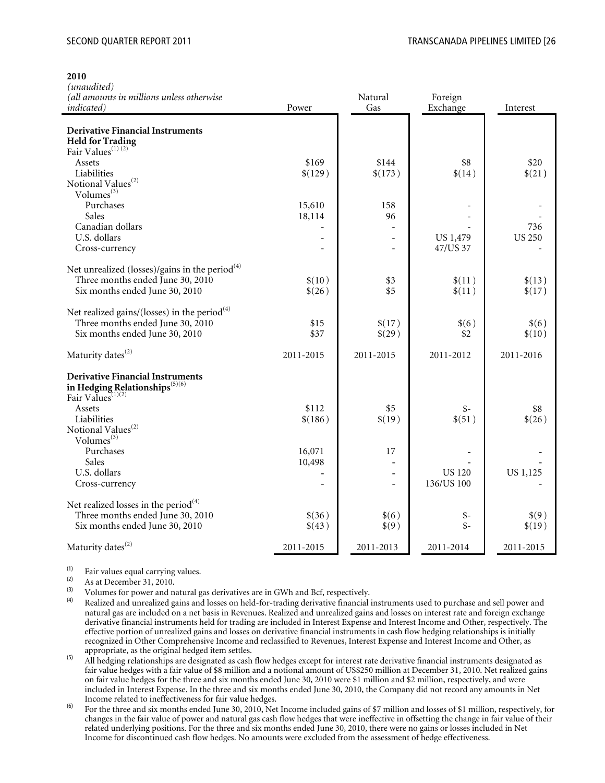#### **2010**

*(unaudited)* 

| (all amounts in millions unless otherwise<br><i>indicated</i> )                                                                | Power            | Natural<br>Gas   | Foreign<br>Exchange         | Interest         |  |  |
|--------------------------------------------------------------------------------------------------------------------------------|------------------|------------------|-----------------------------|------------------|--|--|
|                                                                                                                                |                  |                  |                             |                  |  |  |
| <b>Derivative Financial Instruments</b><br><b>Held for Trading</b><br>Fair Values $(1)$ $(2)$                                  |                  |                  |                             |                  |  |  |
| Assets<br>Liabilities                                                                                                          | \$169<br>\$(129) | \$144<br>\$(173) | \$8<br>\$(14)               | \$20<br>\$(21)   |  |  |
| Notional Values <sup>(2)</sup><br>Volumes <sup>(3)</sup><br>Purchases                                                          | 15,610           | 158              |                             |                  |  |  |
| Sales<br>Canadian dollars                                                                                                      | 18,114           | 96               |                             | 736              |  |  |
| U.S. dollars<br>Cross-currency                                                                                                 |                  |                  | US 1,479<br>47/US 37        | <b>US 250</b>    |  |  |
| Net unrealized (losses)/gains in the period $(4)$<br>Three months ended June 30, 2010<br>Six months ended June 30, 2010        | \$(10)<br>\$(26) | \$3<br>\$5       | \$(11)<br>\$(11)            | \$(13)<br>\$(17) |  |  |
| Net realized gains/(losses) in the period <sup>(4)</sup><br>Three months ended June 30, 2010<br>Six months ended June 30, 2010 | \$15<br>\$37     | \$(17)<br>\$(29) | \$(6)<br>\$2                | \$(6)<br>\$(10)  |  |  |
| Maturity dates <sup>(2)</sup>                                                                                                  | 2011-2015        | 2011-2015        | 2011-2012                   | 2011-2016        |  |  |
| <b>Derivative Financial Instruments</b><br>in Hedging Relationships <sup>(5)(6)</sup><br>Fair Values <sup>(1)(2)</sup>         |                  |                  |                             |                  |  |  |
| Assets<br>Liabilities<br>Notional Values <sup>(2)</sup>                                                                        | \$112<br>\$(186) | \$5<br>\$(19)    | $\mathcal{S}$ -<br>\$(51)   | \$8<br>\$(26)    |  |  |
| Volumes $^{(3)}$<br>Purchases<br>Sales                                                                                         | 16,071<br>10,498 | 17               |                             |                  |  |  |
| U.S. dollars<br>Cross-currency                                                                                                 |                  | $\overline{a}$   | <b>US 120</b><br>136/US 100 | US 1,125         |  |  |
| Net realized losses in the period $(4)$<br>Three months ended June 30, 2010<br>Six months ended June 30, 2010                  | \$(36)<br>\$(43) | \$(6)<br>\$(9)   | $$-$<br>$\mathsf{s}$ -      | \$(9)<br>\$(19)  |  |  |
| Maturity dates <sup>(2)</sup>                                                                                                  | 2011-2015        | 2011-2013        | 2011-2014                   | 2011-2015        |  |  |

(1) Fair values equal carrying values.<br>
As at December 31, 2010.<br>  $V_{\text{clumoc}}$  for notice and natural a

(3) Volumes for power and natural gas derivatives are in GWh and Bcf, respectively.<br>(4) Realized and unrealized gains and losses on held-for-trading derivative financial instruments used to purchase and sell power and natural gas are included on a net basis in Revenues. Realized and unrealized gains and losses on interest rate and foreign exchange derivative financial instruments held for trading are included in Interest Expense and Interest Income and Other, respectively. The effective portion of unrealized gains and losses on derivative financial instruments in cash flow hedging relationships is initially recognized in Other Comprehensive Income and reclassified to Revenues, Interest Expense and Interest Income and Other, as

 $\frac{1}{2}$  All hedging relationships are designated as cash flow hedges except for interest rate derivative financial instruments designated as fair value hedges with a fair value of \$8 million and a notional amount of US\$250 million at December 31, 2010. Net realized gains on fair value hedges for the three and six months ended June 30, 2010 were \$1 million and \$2 million, respectively, and were included in Interest Expense. In the three and six months ended June 30, 2010, the Company did not record any amounts in Net

Income related to ineffectiveness for fair value hedges.<br><sup>(6)</sup> For the three and six months ended June 30, 2010, Net Income included gains of \$7 million and losses of \$1 million, respectively, for changes in the fair value of power and natural gas cash flow hedges that were ineffective in offsetting the change in fair value of their related underlying positions. For the three and six months ended June 30, 2010, there were no gains or losses included in Net Income for discontinued cash flow hedges. No amounts were excluded from the assessment of hedge effectiveness.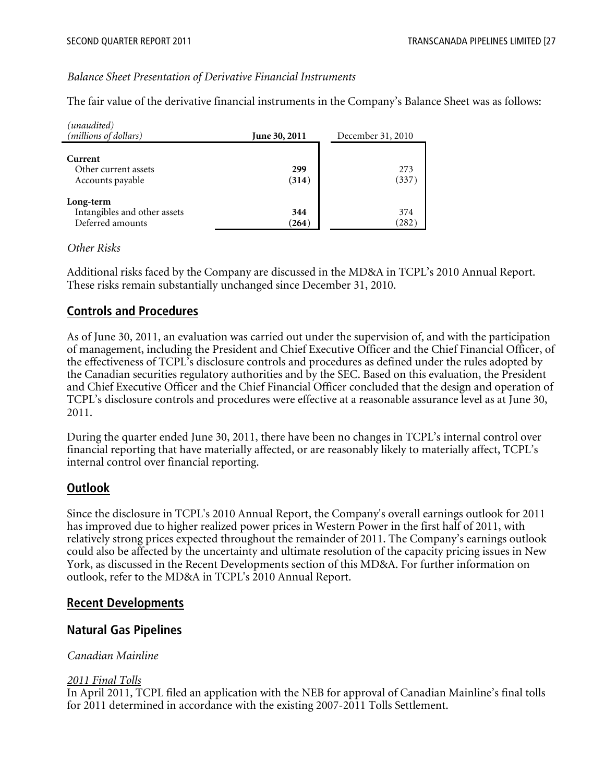#### *Balance Sheet Presentation of Derivative Financial Instruments*

The fair value of the derivative financial instruments in the Company's Balance Sheet was as follows:

| (unaudited)<br>(millions of dollars)                          | June 30, 2011 | December 31, 2010 |
|---------------------------------------------------------------|---------------|-------------------|
| Current<br>Other current assets<br>Accounts payable           | 299<br>(314)  | 273<br>(337)      |
| Long-term<br>Intangibles and other assets<br>Deferred amounts | 344<br>(264)  | 374<br>(282)      |

#### *Other Risks*

Additional risks faced by the Company are discussed in the MD&A in TCPL's 2010 Annual Report. These risks remain substantially unchanged since December 31, 2010.

## **Controls and Procedures**

As of June 30, 2011, an evaluation was carried out under the supervision of, and with the participation of management, including the President and Chief Executive Officer and the Chief Financial Officer, of the effectiveness of TCPL's disclosure controls and procedures as defined under the rules adopted by the Canadian securities regulatory authorities and by the SEC. Based on this evaluation, the President and Chief Executive Officer and the Chief Financial Officer concluded that the design and operation of TCPL's disclosure controls and procedures were effective at a reasonable assurance level as at June 30, 2011.

During the quarter ended June 30, 2011, there have been no changes in TCPL's internal control over financial reporting that have materially affected, or are reasonably likely to materially affect, TCPL's internal control over financial reporting.

## **Outlook**

Since the disclosure in TCPL's 2010 Annual Report, the Company's overall earnings outlook for 2011 has improved due to higher realized power prices in Western Power in the first half of 2011, with relatively strong prices expected throughout the remainder of 2011. The Company's earnings outlook could also be affected by the uncertainty and ultimate resolution of the capacity pricing issues in New York, as discussed in the Recent Developments section of this MD&A. For further information on outlook, refer to the MD&A in TCPL's 2010 Annual Report.

## **Recent Developments**

## **Natural Gas Pipelines**

#### *Canadian Mainline*

#### *2011 Final Tolls*

In April 2011, TCPL filed an application with the NEB for approval of Canadian Mainline's final tolls for 2011 determined in accordance with the existing 2007-2011 Tolls Settlement.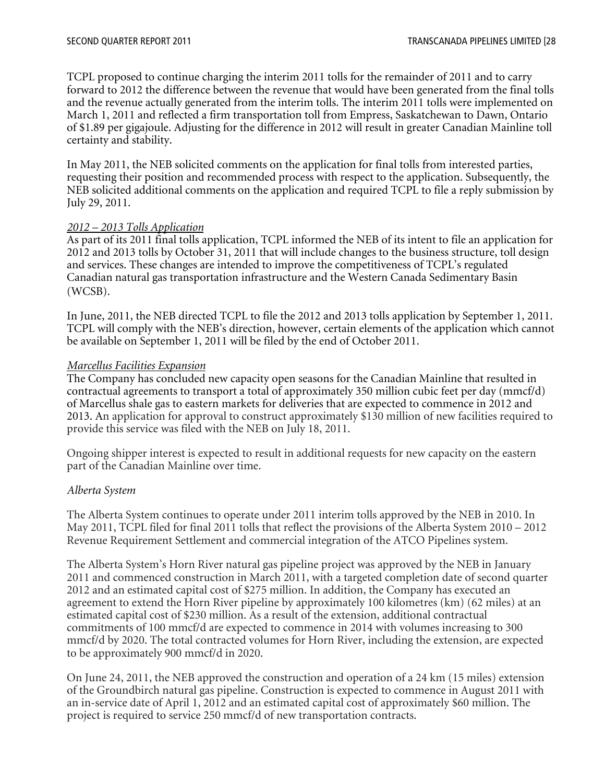TCPL proposed to continue charging the interim 2011 tolls for the remainder of 2011 and to carry forward to 2012 the difference between the revenue that would have been generated from the final tolls and the revenue actually generated from the interim tolls. The interim 2011 tolls were implemented on March 1, 2011 and reflected a firm transportation toll from Empress, Saskatchewan to Dawn, Ontario of \$1.89 per gigajoule. Adjusting for the difference in 2012 will result in greater Canadian Mainline toll certainty and stability.

In May 2011, the NEB solicited comments on the application for final tolls from interested parties, requesting their position and recommended process with respect to the application. Subsequently, the NEB solicited additional comments on the application and required TCPL to file a reply submission by July 29, 2011.

#### *2012 – 2013 Tolls Application*

As part of its 2011 final tolls application, TCPL informed the NEB of its intent to file an application for 2012 and 2013 tolls by October 31, 2011 that will include changes to the business structure, toll design and services. These changes are intended to improve the competitiveness of TCPL's regulated Canadian natural gas transportation infrastructure and the Western Canada Sedimentary Basin (WCSB).

In June, 2011, the NEB directed TCPL to file the 2012 and 2013 tolls application by September 1, 2011. TCPL will comply with the NEB's direction, however, certain elements of the application which cannot be available on September 1, 2011 will be filed by the end of October 2011.

#### *Marcellus Facilities Expansion*

The Company has concluded new capacity open seasons for the Canadian Mainline that resulted in contractual agreements to transport a total of approximately 350 million cubic feet per day (mmcf/d) of Marcellus shale gas to eastern markets for deliveries that are expected to commence in 2012 and 2013. An application for approval to construct approximately \$130 million of new facilities required to provide this service was filed with the NEB on July 18, 2011.

Ongoing shipper interest is expected to result in additional requests for new capacity on the eastern part of the Canadian Mainline over time.

#### *Alberta System*

The Alberta System continues to operate under 2011 interim tolls approved by the NEB in 2010. In May 2011, TCPL filed for final 2011 tolls that reflect the provisions of the Alberta System 2010 – 2012 Revenue Requirement Settlement and commercial integration of the ATCO Pipelines system.

The Alberta System's Horn River natural gas pipeline project was approved by the NEB in January 2011 and commenced construction in March 2011, with a targeted completion date of second quarter 2012 and an estimated capital cost of \$275 million. In addition, the Company has executed an agreement to extend the Horn River pipeline by approximately 100 kilometres (km) (62 miles) at an estimated capital cost of \$230 million. As a result of the extension, additional contractual commitments of 100 mmcf/d are expected to commence in 2014 with volumes increasing to 300 mmcf/d by 2020. The total contracted volumes for Horn River, including the extension, are expected to be approximately 900 mmcf/d in 2020.

On June 24, 2011, the NEB approved the construction and operation of a 24 km (15 miles) extension of the Groundbirch natural gas pipeline. Construction is expected to commence in August 2011 with an in-service date of April 1, 2012 and an estimated capital cost of approximately \$60 million. The project is required to service 250 mmcf/d of new transportation contracts.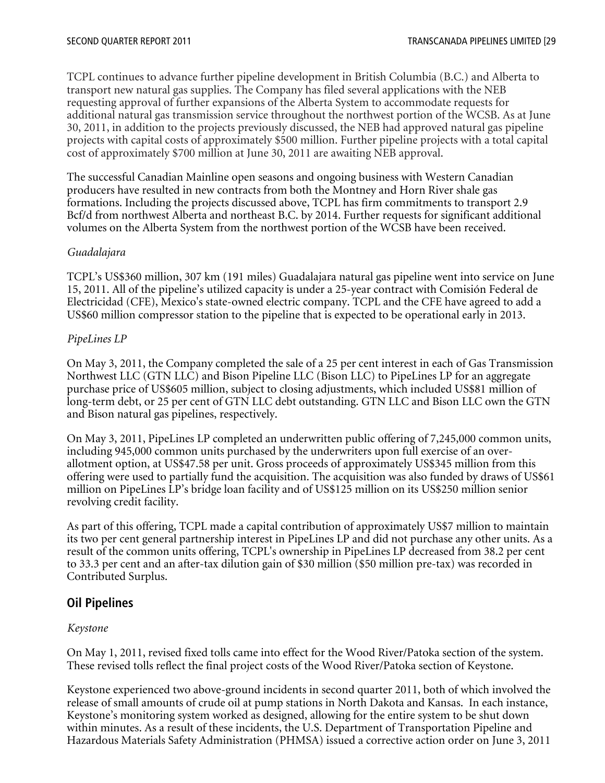TCPL continues to advance further pipeline development in British Columbia (B.C.) and Alberta to transport new natural gas supplies. The Company has filed several applications with the NEB requesting approval of further expansions of the Alberta System to accommodate requests for additional natural gas transmission service throughout the northwest portion of the WCSB. As at June 30, 2011, in addition to the projects previously discussed, the NEB had approved natural gas pipeline projects with capital costs of approximately \$500 million. Further pipeline projects with a total capital cost of approximately \$700 million at June 30, 2011 are awaiting NEB approval.

The successful Canadian Mainline open seasons and ongoing business with Western Canadian producers have resulted in new contracts from both the Montney and Horn River shale gas formations. Including the projects discussed above, TCPL has firm commitments to transport 2.9 Bcf/d from northwest Alberta and northeast B.C. by 2014. Further requests for significant additional volumes on the Alberta System from the northwest portion of the WCSB have been received.

#### *Guadalajara*

TCPL's US\$360 million, 307 km (191 miles) Guadalajara natural gas pipeline went into service on June 15, 2011. All of the pipeline's utilized capacity is under a 25-year contract with Comisión Federal de Electricidad (CFE), Mexico's state-owned electric company. TCPL and the CFE have agreed to add a US\$60 million compressor station to the pipeline that is expected to be operational early in 2013.

#### *PipeLines LP*

On May 3, 2011, the Company completed the sale of a 25 per cent interest in each of Gas Transmission Northwest LLC (GTN LLC) and Bison Pipeline LLC (Bison LLC) to PipeLines LP for an aggregate purchase price of US\$605 million, subject to closing adjustments, which included US\$81 million of long-term debt, or 25 per cent of GTN LLC debt outstanding. GTN LLC and Bison LLC own the GTN and Bison natural gas pipelines, respectively.

On May 3, 2011, PipeLines LP completed an underwritten public offering of 7,245,000 common units, including 945,000 common units purchased by the underwriters upon full exercise of an overallotment option, at US\$47.58 per unit. Gross proceeds of approximately US\$345 million from this offering were used to partially fund the acquisition. The acquisition was also funded by draws of US\$61 million on PipeLines LP's bridge loan facility and of US\$125 million on its US\$250 million senior revolving credit facility.

As part of this offering, TCPL made a capital contribution of approximately US\$7 million to maintain its two per cent general partnership interest in PipeLines LP and did not purchase any other units. As a result of the common units offering, TCPL's ownership in PipeLines LP decreased from 38.2 per cent to 33.3 per cent and an after-tax dilution gain of \$30 million (\$50 million pre-tax) was recorded in Contributed Surplus.

## **Oil Pipelines**

#### *Keystone*

On May 1, 2011, revised fixed tolls came into effect for the Wood River/Patoka section of the system. These revised tolls reflect the final project costs of the Wood River/Patoka section of Keystone.

Keystone experienced two above-ground incidents in second quarter 2011, both of which involved the release of small amounts of crude oil at pump stations in North Dakota and Kansas. In each instance, Keystone's monitoring system worked as designed, allowing for the entire system to be shut down within minutes. As a result of these incidents, the U.S. Department of Transportation Pipeline and Hazardous Materials Safety Administration (PHMSA) issued a corrective action order on June 3, 2011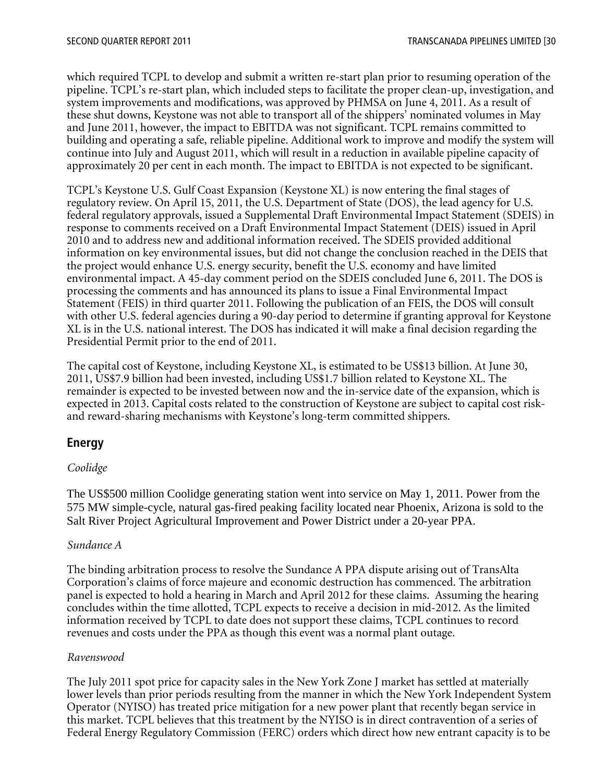which required TCPL to develop and submit a written re-start plan prior to resuming operation of the pipeline. TCPL's re-start plan, which included steps to facilitate the proper clean-up, investigation, and system improvements and modifications, was approved by PHMSA on June 4, 2011. As a result of these shut downs, Keystone was not able to transport all of the shippers' nominated volumes in May and June 2011, however, the impact to EBITDA was not significant. TCPL remains committed to building and operating a safe, reliable pipeline. Additional work to improve and modify the system will continue into July and August 2011, which will result in a reduction in available pipeline capacity of approximately 20 per cent in each month. The impact to EBITDA is not expected to be significant.

TCPL's Keystone U.S. Gulf Coast Expansion (Keystone XL) is now entering the final stages of regulatory review. On April 15, 2011, the U.S. Department of State (DOS), the lead agency for U.S. federal regulatory approvals, issued a Supplemental Draft Environmental Impact Statement (SDEIS) in response to comments received on a Draft Environmental Impact Statement (DEIS) issued in April 2010 and to address new and additional information received. The SDEIS provided additional information on key environmental issues, but did not change the conclusion reached in the DEIS that the project would enhance U.S. energy security, benefit the U.S. economy and have limited environmental impact. A 45-day comment period on the SDEIS concluded June 6, 2011. The DOS is processing the comments and has announced its plans to issue a Final Environmental Impact Statement (FEIS) in third quarter 2011. Following the publication of an FEIS, the DOS will consult with other U.S. federal agencies during a 90-day period to determine if granting approval for Keystone XL is in the U.S. national interest. The DOS has indicated it will make a final decision regarding the Presidential Permit prior to the end of 2011.

The capital cost of Keystone, including Keystone XL, is estimated to be US\$13 billion. At June 30, 2011, US\$7.9 billion had been invested, including US\$1.7 billion related to Keystone XL. The remainder is expected to be invested between now and the in-service date of the expansion, which is expected in 2013. Capital costs related to the construction of Keystone are subject to capital cost riskand reward-sharing mechanisms with Keystone's long-term committed shippers.

# **Energy**

## *Coolidge*

The US\$500 million Coolidge generating station went into service on May 1, 2011. Power from the 575 MW simple-cycle, natural gas-fired peaking facility located near Phoenix, Arizona is sold to the Salt River Project Agricultural Improvement and Power District under a 20-year PPA.

#### *Sundance A*

The binding arbitration process to resolve the Sundance A PPA dispute arising out of TransAlta Corporation's claims of force majeure and economic destruction has commenced. The arbitration panel is expected to hold a hearing in March and April 2012 for these claims. Assuming the hearing concludes within the time allotted, TCPL expects to receive a decision in mid-2012. As the limited information received by TCPL to date does not support these claims, TCPL continues to record revenues and costs under the PPA as though this event was a normal plant outage.

#### *Ravenswood*

The July 2011 spot price for capacity sales in the New York Zone J market has settled at materially lower levels than prior periods resulting from the manner in which the New York Independent System Operator (NYISO) has treated price mitigation for a new power plant that recently began service in this market. TCPL believes that this treatment by the NYISO is in direct contravention of a series of Federal Energy Regulatory Commission (FERC) orders which direct how new entrant capacity is to be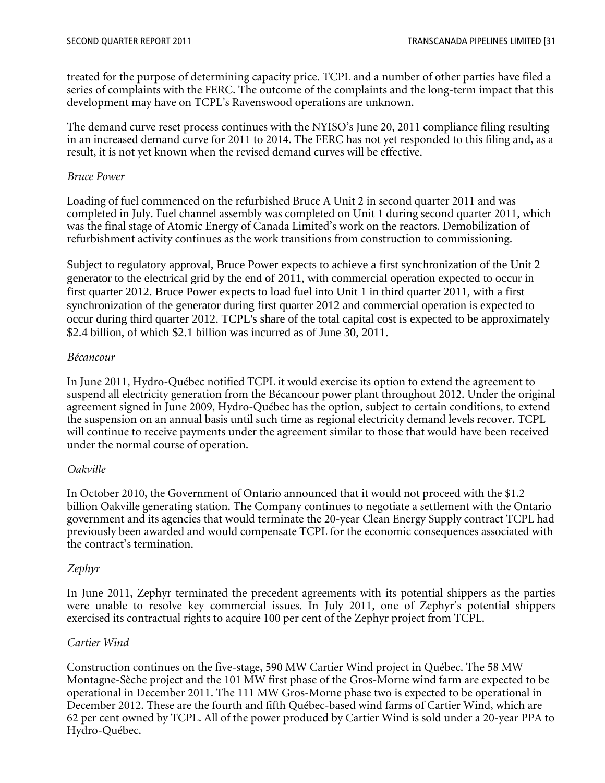treated for the purpose of determining capacity price. TCPL and a number of other parties have filed a series of complaints with the FERC. The outcome of the complaints and the long-term impact that this development may have on TCPL's Ravenswood operations are unknown.

The demand curve reset process continues with the NYISO's June 20, 2011 compliance filing resulting in an increased demand curve for 2011 to 2014. The FERC has not yet responded to this filing and, as a result, it is not yet known when the revised demand curves will be effective.

#### *Bruce Power*

Loading of fuel commenced on the refurbished Bruce A Unit 2 in second quarter 2011 and was completed in July. Fuel channel assembly was completed on Unit 1 during second quarter 2011, which was the final stage of Atomic Energy of Canada Limited's work on the reactors. Demobilization of refurbishment activity continues as the work transitions from construction to commissioning.

Subject to regulatory approval, Bruce Power expects to achieve a first synchronization of the Unit 2 generator to the electrical grid by the end of 2011, with commercial operation expected to occur in first quarter 2012. Bruce Power expects to load fuel into Unit 1 in third quarter 2011, with a first synchronization of the generator during first quarter 2012 and commercial operation is expected to occur during third quarter 2012. TCPL's share of the total capital cost is expected to be approximately \$2.4 billion, of which \$2.1 billion was incurred as of June 30, 2011.

#### *Bécancour*

In June 2011, Hydro-Québec notified TCPL it would exercise its option to extend the agreement to suspend all electricity generation from the Bécancour power plant throughout 2012. Under the original agreement signed in June 2009, Hydro-Québec has the option, subject to certain conditions, to extend the suspension on an annual basis until such time as regional electricity demand levels recover. TCPL will continue to receive payments under the agreement similar to those that would have been received under the normal course of operation.

#### *Oakville*

In October 2010, the Government of Ontario announced that it would not proceed with the \$1.2 billion Oakville generating station. The Company continues to negotiate a settlement with the Ontario government and its agencies that would terminate the 20-year Clean Energy Supply contract TCPL had previously been awarded and would compensate TCPL for the economic consequences associated with the contract's termination.

#### *Zephyr*

In June 2011, Zephyr terminated the precedent agreements with its potential shippers as the parties were unable to resolve key commercial issues. In July 2011, one of Zephyr's potential shippers exercised its contractual rights to acquire 100 per cent of the Zephyr project from TCPL.

#### *Cartier Wind*

Construction continues on the five-stage, 590 MW Cartier Wind project in Québec. The 58 MW Montagne-Sèche project and the 101 MW first phase of the Gros-Morne wind farm are expected to be operational in December 2011. The 111 MW Gros-Morne phase two is expected to be operational in December 2012. These are the fourth and fifth Québec-based wind farms of Cartier Wind, which are 62 per cent owned by TCPL. All of the power produced by Cartier Wind is sold under a 20-year PPA to Hydro-Québec.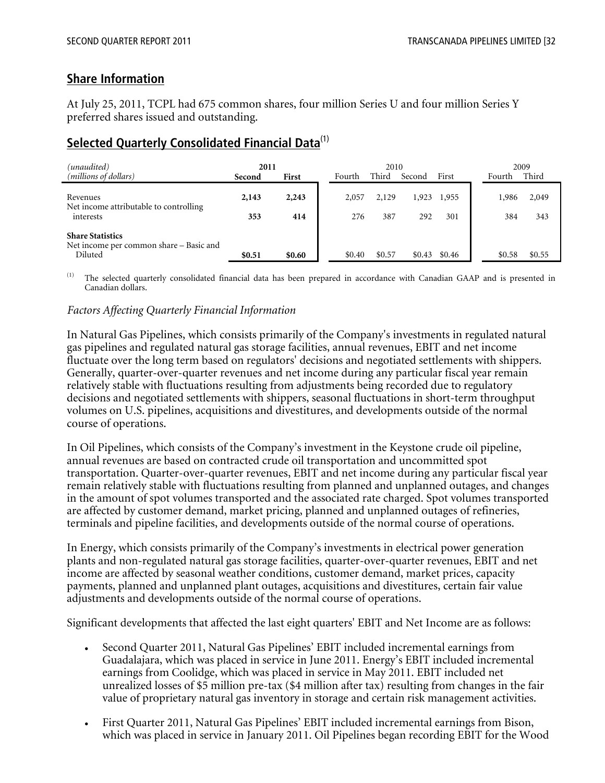## **Share Information**

At July 25, 2011, TCPL had 675 common shares, four million Series U and four million Series Y preferred shares issued and outstanding.

# **Selected Quarterly Consolidated Financial Data**<sup>(1)</sup>

| (unaudited)                                                                   | 2011         |              |              | 2010         |              |              |              | 2009         |
|-------------------------------------------------------------------------------|--------------|--------------|--------------|--------------|--------------|--------------|--------------|--------------|
| (millions of dollars)                                                         | Second       | First        | Fourth       | Third        | Second       | First        | Fourth       | Third        |
| Revenues<br>Net income attributable to controlling<br>interests               | 2,143<br>353 | 2,243<br>414 | 2,057<br>276 | 2,129<br>387 | 1,923<br>292 | 1,955<br>301 | 1,986<br>384 | 2,049<br>343 |
| <b>Share Statistics</b><br>Net income per common share – Basic and<br>Diluted | \$0.51       | \$0.60       | \$0.40       | \$0.57       | \$0.43       | \$0.46       | \$0.58       | \$0.55       |

(1) The selected quarterly consolidated financial data has been prepared in accordance with Canadian GAAP and is presented in Canadian dollars.

#### *Factors Affecting Quarterly Financial Information*

In Natural Gas Pipelines, which consists primarily of the Company's investments in regulated natural gas pipelines and regulated natural gas storage facilities, annual revenues, EBIT and net income fluctuate over the long term based on regulators' decisions and negotiated settlements with shippers. Generally, quarter-over-quarter revenues and net income during any particular fiscal year remain relatively stable with fluctuations resulting from adjustments being recorded due to regulatory decisions and negotiated settlements with shippers, seasonal fluctuations in short-term throughput volumes on U.S. pipelines, acquisitions and divestitures, and developments outside of the normal course of operations.

In Oil Pipelines, which consists of the Company's investment in the Keystone crude oil pipeline, annual revenues are based on contracted crude oil transportation and uncommitted spot transportation. Quarter-over-quarter revenues, EBIT and net income during any particular fiscal year remain relatively stable with fluctuations resulting from planned and unplanned outages, and changes in the amount of spot volumes transported and the associated rate charged. Spot volumes transported are affected by customer demand, market pricing, planned and unplanned outages of refineries, terminals and pipeline facilities, and developments outside of the normal course of operations.

In Energy, which consists primarily of the Company's investments in electrical power generation plants and non-regulated natural gas storage facilities, quarter-over-quarter revenues, EBIT and net income are affected by seasonal weather conditions, customer demand, market prices, capacity payments, planned and unplanned plant outages, acquisitions and divestitures, certain fair value adjustments and developments outside of the normal course of operations.

Significant developments that affected the last eight quarters' EBIT and Net Income are as follows:

- Second Quarter 2011, Natural Gas Pipelines' EBIT included incremental earnings from Guadalajara, which was placed in service in June 2011. Energy's EBIT included incremental earnings from Coolidge, which was placed in service in May 2011. EBIT included net unrealized losses of \$5 million pre-tax (\$4 million after tax) resulting from changes in the fair value of proprietary natural gas inventory in storage and certain risk management activities.
- First Quarter 2011, Natural Gas Pipelines' EBIT included incremental earnings from Bison, which was placed in service in January 2011. Oil Pipelines began recording EBIT for the Wood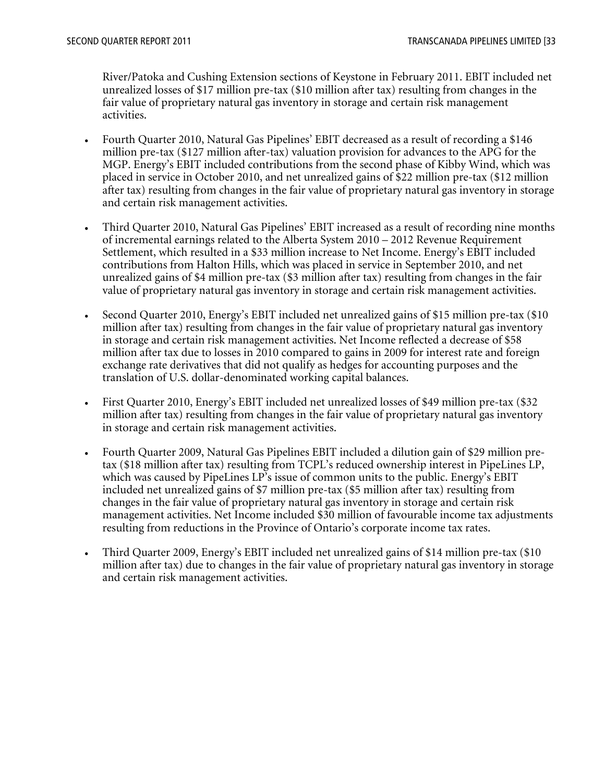River/Patoka and Cushing Extension sections of Keystone in February 2011. EBIT included net unrealized losses of \$17 million pre-tax (\$10 million after tax) resulting from changes in the fair value of proprietary natural gas inventory in storage and certain risk management activities.

- Fourth Quarter 2010, Natural Gas Pipelines' EBIT decreased as a result of recording a \$146 million pre-tax (\$127 million after-tax) valuation provision for advances to the APG for the MGP. Energy's EBIT included contributions from the second phase of Kibby Wind, which was placed in service in October 2010, and net unrealized gains of \$22 million pre-tax (\$12 million after tax) resulting from changes in the fair value of proprietary natural gas inventory in storage and certain risk management activities.
- Third Quarter 2010, Natural Gas Pipelines' EBIT increased as a result of recording nine months of incremental earnings related to the Alberta System 2010 – 2012 Revenue Requirement Settlement, which resulted in a \$33 million increase to Net Income. Energy's EBIT included contributions from Halton Hills, which was placed in service in September 2010, and net unrealized gains of \$4 million pre-tax (\$3 million after tax) resulting from changes in the fair value of proprietary natural gas inventory in storage and certain risk management activities.
- Second Quarter 2010, Energy's EBIT included net unrealized gains of \$15 million pre-tax (\$10 million after tax) resulting from changes in the fair value of proprietary natural gas inventory in storage and certain risk management activities. Net Income reflected a decrease of \$58 million after tax due to losses in 2010 compared to gains in 2009 for interest rate and foreign exchange rate derivatives that did not qualify as hedges for accounting purposes and the translation of U.S. dollar-denominated working capital balances.
- First Quarter 2010, Energy's EBIT included net unrealized losses of \$49 million pre-tax (\$32 million after tax) resulting from changes in the fair value of proprietary natural gas inventory in storage and certain risk management activities.
- Fourth Quarter 2009, Natural Gas Pipelines EBIT included a dilution gain of \$29 million pretax (\$18 million after tax) resulting from TCPL's reduced ownership interest in PipeLines LP, which was caused by PipeLines LP's issue of common units to the public. Energy's EBIT included net unrealized gains of \$7 million pre-tax (\$5 million after tax) resulting from changes in the fair value of proprietary natural gas inventory in storage and certain risk management activities. Net Income included \$30 million of favourable income tax adjustments resulting from reductions in the Province of Ontario's corporate income tax rates.
- Third Quarter 2009, Energy's EBIT included net unrealized gains of \$14 million pre-tax (\$10 million after tax) due to changes in the fair value of proprietary natural gas inventory in storage and certain risk management activities.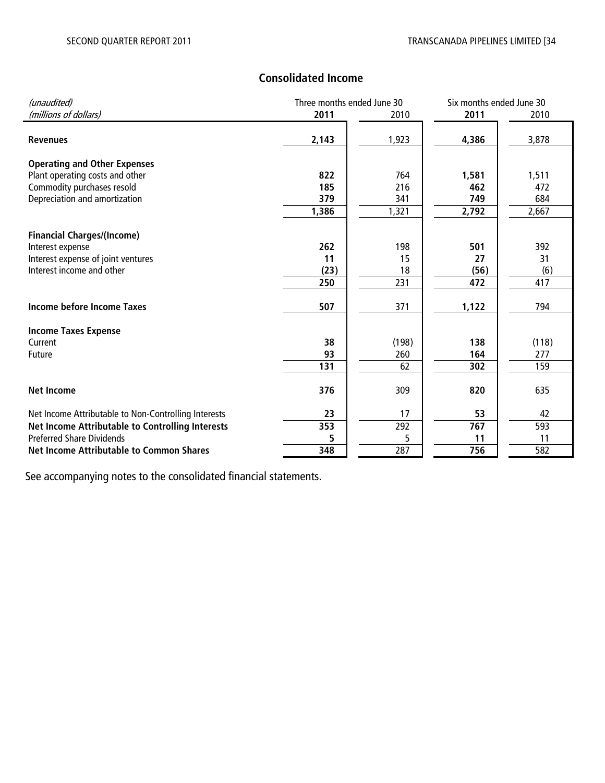## **Consolidated Income**

| (unaudited)                                             |       | Three months ended June 30 | Six months ended June 30 |       |  |
|---------------------------------------------------------|-------|----------------------------|--------------------------|-------|--|
| (millions of dollars)                                   | 2011  | 2010                       | 2011                     | 2010  |  |
|                                                         |       |                            |                          |       |  |
| <b>Revenues</b>                                         | 2,143 | 1,923                      | 4,386                    | 3,878 |  |
| <b>Operating and Other Expenses</b>                     |       |                            |                          |       |  |
| Plant operating costs and other                         | 822   | 764                        | 1,581                    | 1,511 |  |
| Commodity purchases resold                              | 185   | 216                        | 462                      | 472   |  |
| Depreciation and amortization                           | 379   | 341                        | 749                      | 684   |  |
|                                                         | 1,386 | 1,321                      | 2,792                    | 2,667 |  |
|                                                         |       |                            |                          |       |  |
| <b>Financial Charges/(Income)</b>                       |       |                            |                          |       |  |
| Interest expense                                        | 262   | 198                        | 501                      | 392   |  |
| Interest expense of joint ventures                      | 11    | 15                         | 27                       | 31    |  |
| Interest income and other                               | (23)  | 18                         | (56)                     | (6)   |  |
|                                                         | 250   | 231                        | 472                      | 417   |  |
| Income before Income Taxes                              | 507   | 371                        | 1,122                    | 794   |  |
|                                                         |       |                            |                          |       |  |
| <b>Income Taxes Expense</b>                             |       |                            |                          |       |  |
| Current                                                 | 38    | (198)                      | 138                      | (118) |  |
| Future                                                  | 93    | 260                        | 164                      | 277   |  |
|                                                         | 131   | 62                         | 302                      | 159   |  |
|                                                         |       |                            |                          |       |  |
| <b>Net Income</b>                                       | 376   | 309                        | 820                      | 635   |  |
| Net Income Attributable to Non-Controlling Interests    | 23    | 17                         | 53                       | 42    |  |
| <b>Net Income Attributable to Controlling Interests</b> | 353   | 292                        | 767                      | 593   |  |
| <b>Preferred Share Dividends</b>                        | 5     | 5                          | 11                       | 11    |  |
| <b>Net Income Attributable to Common Shares</b>         | 348   | 287                        | 756                      | 582   |  |
|                                                         |       |                            |                          |       |  |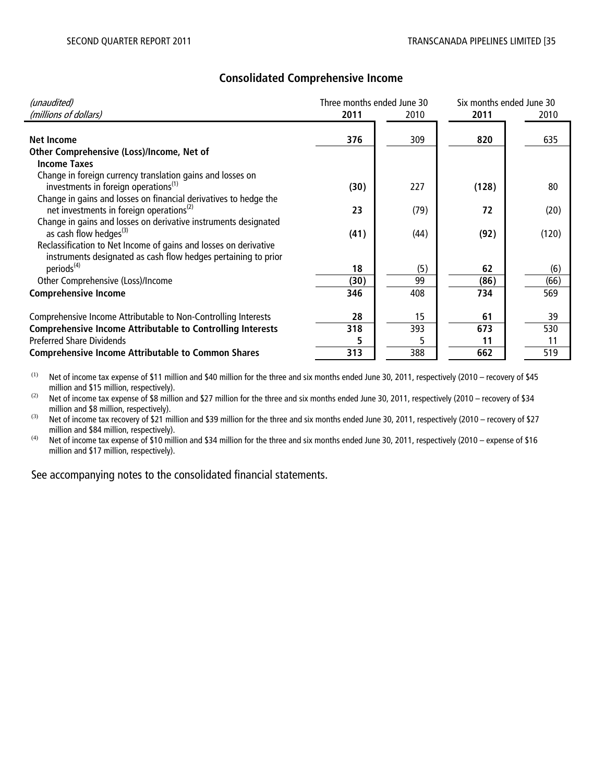| (unaudited)                                                       | Three months ended June 30 |      | Six months ended June 30 |       |  |
|-------------------------------------------------------------------|----------------------------|------|--------------------------|-------|--|
| (millions of dollars)                                             | 2011                       | 2010 | 2011                     | 2010  |  |
|                                                                   |                            |      |                          |       |  |
| Net Income                                                        | 376                        | 309  | 820                      | 635   |  |
| Other Comprehensive (Loss)/Income, Net of                         |                            |      |                          |       |  |
| <b>Income Taxes</b>                                               |                            |      |                          |       |  |
| Change in foreign currency translation gains and losses on        |                            |      |                          |       |  |
| investments in foreign operations <sup>(1)</sup>                  | (30)                       | 227  | (128)                    | 80    |  |
| Change in gains and losses on financial derivatives to hedge the  |                            |      |                          |       |  |
| net investments in foreign operations <sup>(2)</sup>              | 23                         | (79) | 72                       | (20)  |  |
| Change in gains and losses on derivative instruments designated   |                            |      |                          |       |  |
| as cash flow hedges <sup>(3)</sup>                                | (41)                       | (44) | (92)                     | (120) |  |
| Reclassification to Net Income of gains and losses on derivative  |                            |      |                          |       |  |
| instruments designated as cash flow hedges pertaining to prior    |                            |      |                          |       |  |
| periods <sup>(4)</sup>                                            | 18                         | (5)  | 62                       | (6)   |  |
| Other Comprehensive (Loss)/Income                                 | (30)                       | 99   | (86)                     | (66)  |  |
| <b>Comprehensive Income</b>                                       | 346                        | 408  | 734                      | 569   |  |
|                                                                   |                            |      |                          |       |  |
| Comprehensive Income Attributable to Non-Controlling Interests    | 28                         | 15   | 61                       | 39    |  |
| <b>Comprehensive Income Attributable to Controlling Interests</b> | 318                        | 393  | 673                      | 530   |  |
| <b>Preferred Share Dividends</b>                                  |                            | 5    | 11                       | 11    |  |
| <b>Comprehensive Income Attributable to Common Shares</b>         | 313                        | 388  | 662                      | 519   |  |

## **Consolidated Comprehensive Income**

(1) Net of income tax expense of \$11 million and \$40 million for the three and six months ended June 30, 2011, respectively (2010 – recovery of \$45 million and \$15 million, respectively).

(2) Net of income tax expense of \$8 million and \$27 million for the three and six months ended June 30, 2011, respectively (2010 – recovery of \$34 million and \$8 million, respectively).

(3) Net of income tax recovery of \$21 million and \$39 million for the three and six months ended June 30, 2011, respectively (2010 – recovery of \$27 million and \$84 million, respectively).

<sup>(4)</sup> Net of income tax expense of \$10 million and \$34 million for the three and six months ended June 30, 2011, respectively (2010 – expense of \$16 million and \$17 million, respectively).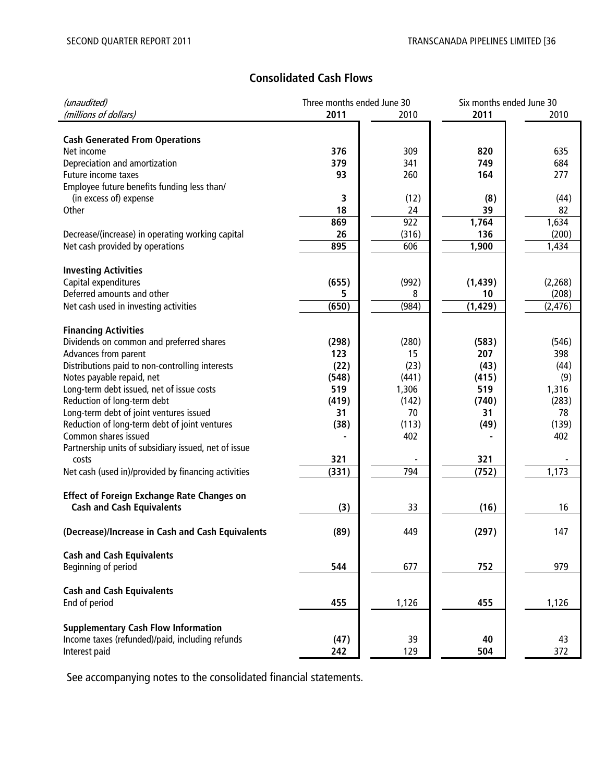# **Consolidated Cash Flows**

| (unaudited)                                          | Three months ended June 30 |       |          | Six months ended June 30 |
|------------------------------------------------------|----------------------------|-------|----------|--------------------------|
| (millions of dollars)                                | 2011                       | 2010  | 2011     | 2010                     |
|                                                      |                            |       |          |                          |
| <b>Cash Generated From Operations</b>                |                            |       |          |                          |
| Net income                                           | 376                        | 309   | 820      | 635                      |
| Depreciation and amortization                        | 379                        | 341   | 749      | 684                      |
| Future income taxes                                  | 93                         | 260   | 164      | 277                      |
| Employee future benefits funding less than/          |                            |       |          |                          |
| (in excess of) expense                               | 3                          | (12)  | (8)      | (44)                     |
| Other                                                | 18                         | 24    | 39       | 82                       |
|                                                      | 869                        | 922   | 1,764    | 1,634                    |
| Decrease/(increase) in operating working capital     | 26                         | (316) | 136      | (200)                    |
| Net cash provided by operations                      | 895                        | 606   | 1,900    | 1,434                    |
|                                                      |                            |       |          |                          |
| <b>Investing Activities</b>                          |                            |       |          |                          |
| Capital expenditures                                 | (655)                      | (992) | (1, 439) | (2,268)                  |
| Deferred amounts and other                           |                            | 8     | 10       | (208)                    |
|                                                      |                            |       |          |                          |
| Net cash used in investing activities                | (650)                      | (984) | (1, 429) | (2, 476)                 |
| <b>Financing Activities</b>                          |                            |       |          |                          |
|                                                      | (298)                      | (280) | (583)    | (546)                    |
| Dividends on common and preferred shares             |                            |       |          |                          |
| Advances from parent                                 | 123                        | 15    | 207      | 398                      |
| Distributions paid to non-controlling interests      | (22)                       | (23)  | (43)     | (44)                     |
| Notes payable repaid, net                            | (548)                      | (441) | (415)    | (9)                      |
| Long-term debt issued, net of issue costs            | 519                        | 1,306 | 519      | 1,316                    |
| Reduction of long-term debt                          | (419)                      | (142) | (740)    | (283)                    |
| Long-term debt of joint ventures issued              | 31                         | 70    | 31       | 78                       |
| Reduction of long-term debt of joint ventures        | (38)                       | (113) | (49)     | (139)                    |
| Common shares issued                                 |                            | 402   |          | 402                      |
| Partnership units of subsidiary issued, net of issue |                            |       |          |                          |
| costs                                                | 321                        |       | 321      |                          |
| Net cash (used in)/provided by financing activities  | (331)                      | 794   | (752)    | 1,173                    |
|                                                      |                            |       |          |                          |
| <b>Effect of Foreign Exchange Rate Changes on</b>    |                            |       |          |                          |
| <b>Cash and Cash Equivalents</b>                     | (3)                        | 33    | (16)     | 16                       |
|                                                      |                            |       |          |                          |
| (Decrease)/Increase in Cash and Cash Equivalents     | (89)                       | 449   | (297)    | 147                      |
|                                                      |                            |       |          |                          |
| <b>Cash and Cash Equivalents</b>                     |                            |       |          |                          |
| Beginning of period                                  | 544                        | 677   | 752      | 979                      |
| <b>Cash and Cash Equivalents</b>                     |                            |       |          |                          |
|                                                      |                            |       |          |                          |
| End of period                                        | 455                        | 1,126 | 455      | 1,126                    |
|                                                      |                            |       |          |                          |
| <b>Supplementary Cash Flow Information</b>           |                            |       | 40       |                          |
| Income taxes (refunded)/paid, including refunds      | (47)                       | 39    |          | 43                       |
| Interest paid                                        | 242                        | 129   | 504      | 372                      |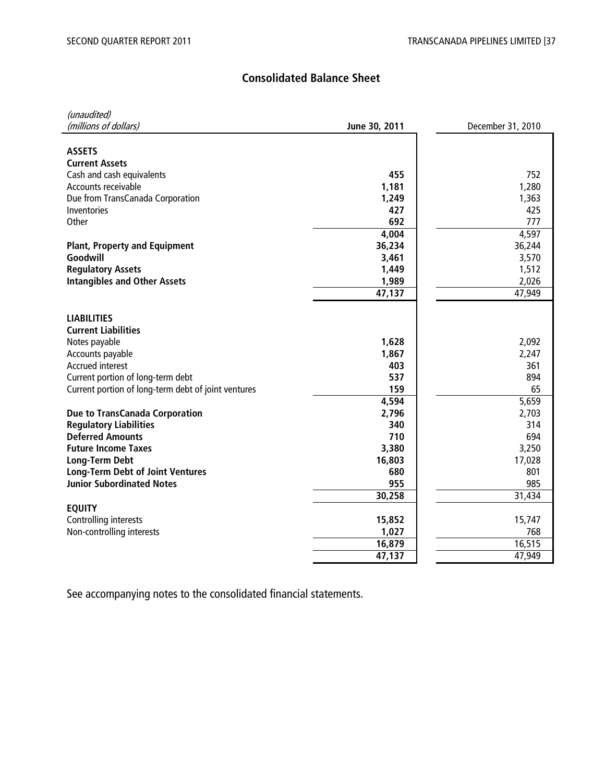## **Consolidated Balance Sheet**

| (unaudited)<br>(millions of dollars)                | June 30, 2011 | December 31, 2010 |
|-----------------------------------------------------|---------------|-------------------|
|                                                     |               |                   |
| <b>ASSETS</b>                                       |               |                   |
| <b>Current Assets</b>                               | 455           | 752               |
| Cash and cash equivalents<br>Accounts receivable    |               |                   |
|                                                     | 1,181         | 1,280             |
| Due from TransCanada Corporation<br>Inventories     | 1,249<br>427  | 1,363<br>425      |
| Other                                               | 692           | 777               |
|                                                     | 4,004         | 4,597             |
| <b>Plant, Property and Equipment</b>                | 36,234        | 36,244            |
| Goodwill                                            | 3,461         | 3,570             |
| <b>Regulatory Assets</b>                            | 1,449         | 1,512             |
| <b>Intangibles and Other Assets</b>                 | 1,989         | 2,026             |
|                                                     | 47,137        | 47,949            |
|                                                     |               |                   |
| <b>LIABILITIES</b>                                  |               |                   |
| <b>Current Liabilities</b>                          |               |                   |
| Notes payable                                       | 1,628         | 2,092             |
| Accounts payable                                    | 1,867         | 2,247             |
| <b>Accrued interest</b>                             | 403           | 361               |
| Current portion of long-term debt                   | 537           | 894               |
| Current portion of long-term debt of joint ventures | 159           | 65                |
|                                                     | 4,594         | 5,659             |
| Due to TransCanada Corporation                      | 2,796         | 2,703             |
| <b>Regulatory Liabilities</b>                       | 340           | 314               |
| <b>Deferred Amounts</b>                             | 710           | 694               |
| <b>Future Income Taxes</b>                          | 3,380         | 3,250             |
| <b>Long-Term Debt</b>                               | 16,803        | 17,028            |
| <b>Long-Term Debt of Joint Ventures</b>             | 680           | 801               |
| <b>Junior Subordinated Notes</b>                    | 955           | 985               |
|                                                     | 30,258        | 31,434            |
| <b>EQUITY</b>                                       |               |                   |
| Controlling interests                               | 15,852        | 15,747            |
| Non-controlling interests                           | 1,027         | 768               |
|                                                     | 16,879        | 16,515            |
|                                                     | 47,137        | 47,949            |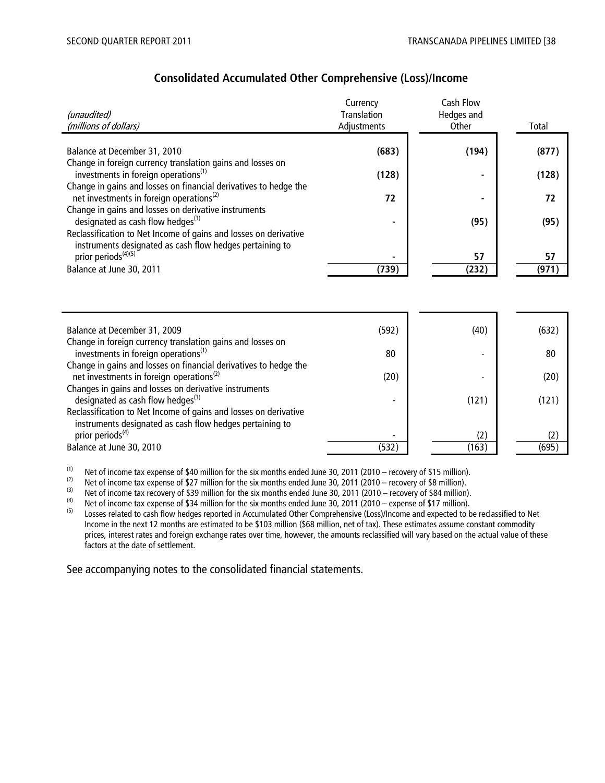instruments designated as cash flow hedges pertaining to

| (unaudited)<br>(millions of dollars)                             | Currency<br><b>Translation</b><br>Adjustments | Cash Flow<br>Hedges and<br>Other | Total |
|------------------------------------------------------------------|-----------------------------------------------|----------------------------------|-------|
| Balance at December 31, 2010                                     | (683)                                         | (194)                            | (877) |
| Change in foreign currency translation gains and losses on       |                                               |                                  |       |
| investments in foreign operations <sup>(1)</sup>                 | (128)                                         |                                  | (128) |
| Change in gains and losses on financial derivatives to hedge the |                                               |                                  |       |
| net investments in foreign operations <sup>(2)</sup>             | 72                                            |                                  | 72    |
| Change in gains and losses on derivative instruments             |                                               |                                  |       |
| designated as cash flow hedges <sup>(3)</sup>                    | -                                             | (95)                             | (95)  |
| Reclassification to Net Income of gains and losses on derivative |                                               |                                  |       |

prior periods<sup>(4)(5)</sup> **- 57 57 57 57 57** Balance at June 30, 2011 **(739)** (232) **(232)** (971)

## **Consolidated Accumulated Other Comprehensive (Loss)/Income**

| Balance at December 31, 2009                                     | (592) | (40)  | (632) |
|------------------------------------------------------------------|-------|-------|-------|
| Change in foreign currency translation gains and losses on       |       |       |       |
| investments in foreign operations <sup>(1)</sup>                 | 80    |       | 80    |
| Change in gains and losses on financial derivatives to hedge the |       |       |       |
| net investments in foreign operations <sup>(2)</sup>             | (20)  |       | (20)  |
| Changes in gains and losses on derivative instruments            |       |       |       |
| designated as cash flow hedges $^{(3)}$                          |       | (121) | (121) |
| Reclassification to Net Income of gains and losses on derivative |       |       |       |
| instruments designated as cash flow hedges pertaining to         |       |       |       |
| prior periods <sup>(4)</sup>                                     |       | (2)   | (2)   |
| Balance at June 30, 2010                                         | (532) | (163) | (695) |

(1) Net of income tax expense of \$40 million for the six months ended June 30, 2011 (2010 – recovery of \$15 million).<br>(2) Net of income tax expense of \$27 million for the six months ended June 30, 2011 (2010 – recovery of

(2) Net of income tax expense of \$27 million for the six months ended June 30, 2011 (2010 – recovery of \$8 million).<br>(3) Net of income tax recovery of \$39 million for the six months ended June 30, 2011 (2010 – recovery of

(3) Net of income tax recovery of \$39 million for the six months ended June 30, 2011 (2010 – recovery of \$84 million).<br>(4) Net of income tax expense of \$24 million for the six months ended June 20, 2011 (2010), expense of

(4) Net of income tax expense of \$34 million for the six months ended June 30, 2011 (2010 – expense of \$17 million).<br>(5) I osses related to cash flow bedges reported in Accumulated Other Comprehensive (Loss)/Income and ex

Losses related to cash flow hedges reported in Accumulated Other Comprehensive (Loss)/Income and expected to be reclassified to Net Income in the next 12 months are estimated to be \$103 million (\$68 million, net of tax). These estimates assume constant commodity prices, interest rates and foreign exchange rates over time, however, the amounts reclassified will vary based on the actual value of these factors at the date of settlement.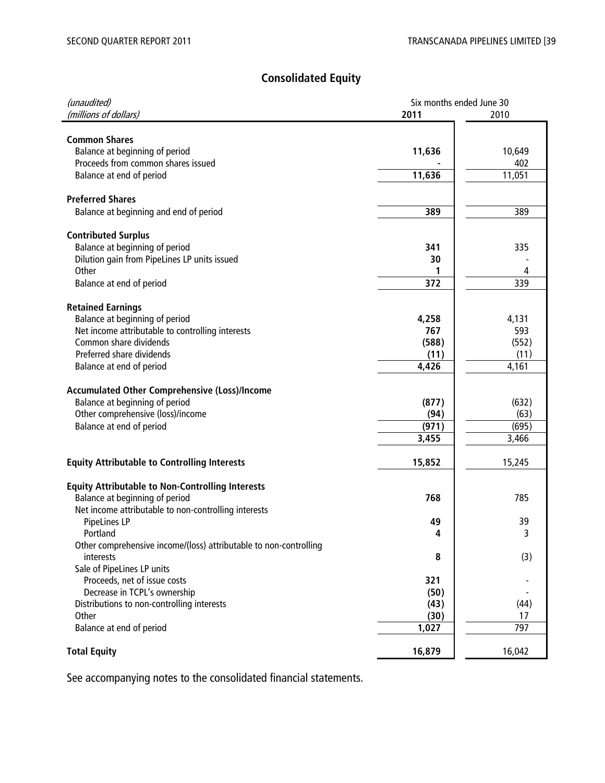# **Consolidated Equity**

| (unaudited)                                                       | Six months ended June 30 |        |  |
|-------------------------------------------------------------------|--------------------------|--------|--|
| (millions of dollars)                                             | 2011                     | 2010   |  |
|                                                                   |                          |        |  |
| <b>Common Shares</b>                                              |                          |        |  |
| Balance at beginning of period                                    | 11,636                   | 10,649 |  |
| Proceeds from common shares issued                                |                          | 402    |  |
| Balance at end of period                                          | 11,636                   | 11,051 |  |
|                                                                   |                          |        |  |
| <b>Preferred Shares</b>                                           |                          |        |  |
| Balance at beginning and end of period                            | 389                      | 389    |  |
|                                                                   |                          |        |  |
| <b>Contributed Surplus</b>                                        |                          |        |  |
| Balance at beginning of period                                    | 341                      | 335    |  |
| Dilution gain from PipeLines LP units issued                      | 30                       |        |  |
| Other                                                             |                          | 4      |  |
| Balance at end of period                                          | 372                      | 339    |  |
|                                                                   |                          |        |  |
| <b>Retained Earnings</b>                                          |                          |        |  |
| Balance at beginning of period                                    | 4,258                    | 4,131  |  |
| Net income attributable to controlling interests                  | 767                      | 593    |  |
| Common share dividends                                            | (588)                    | (552)  |  |
| Preferred share dividends                                         | (11)                     | (11)   |  |
| Balance at end of period                                          | 4,426                    | 4,161  |  |
|                                                                   |                          |        |  |
| Accumulated Other Comprehensive (Loss)/Income                     |                          |        |  |
| Balance at beginning of period                                    | (877)                    | (632)  |  |
| Other comprehensive (loss)/income                                 | (94)                     | (63)   |  |
| Balance at end of period                                          | (971)                    | (695)  |  |
|                                                                   | 3,455                    | 3,466  |  |
|                                                                   |                          |        |  |
| <b>Equity Attributable to Controlling Interests</b>               | 15,852                   | 15,245 |  |
|                                                                   |                          |        |  |
| <b>Equity Attributable to Non-Controlling Interests</b>           |                          |        |  |
| Balance at beginning of period                                    | 768                      | 785    |  |
| Net income attributable to non-controlling interests              |                          |        |  |
| PipeLines LP                                                      | 49                       | 39     |  |
| Portland                                                          | 4                        | 3      |  |
| Other comprehensive income/(loss) attributable to non-controlling |                          |        |  |
| interests                                                         | 8                        | (3)    |  |
| Sale of PipeLines LP units                                        |                          |        |  |
| Proceeds, net of issue costs                                      | 321                      |        |  |
| Decrease in TCPL's ownership                                      | (50)                     |        |  |
| Distributions to non-controlling interests                        | (43)                     | (44)   |  |
| Other                                                             | (30)                     | 17     |  |
| Balance at end of period                                          | 1,027                    | 797    |  |
|                                                                   |                          |        |  |
| <b>Total Equity</b>                                               | 16,879                   | 16,042 |  |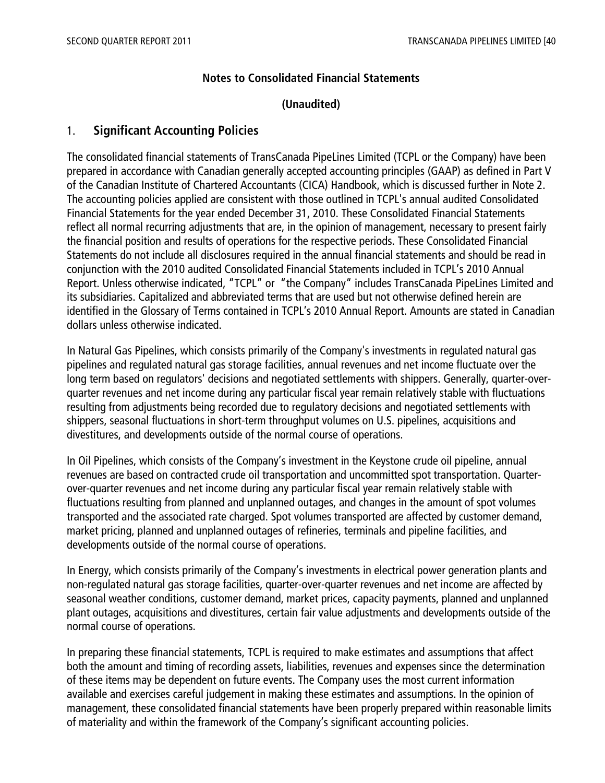### **Notes to Consolidated Financial Statements**

## **(Unaudited)**

## 1. **Significant Accounting Policies**

The consolidated financial statements of TransCanada PipeLines Limited (TCPL or the Company) have been prepared in accordance with Canadian generally accepted accounting principles (GAAP) as defined in Part V of the Canadian Institute of Chartered Accountants (CICA) Handbook, which is discussed further in Note 2. The accounting policies applied are consistent with those outlined in TCPL's annual audited Consolidated Financial Statements for the year ended December 31, 2010. These Consolidated Financial Statements reflect all normal recurring adjustments that are, in the opinion of management, necessary to present fairly the financial position and results of operations for the respective periods. These Consolidated Financial Statements do not include all disclosures required in the annual financial statements and should be read in conjunction with the 2010 audited Consolidated Financial Statements included in TCPL's 2010 Annual Report. Unless otherwise indicated, "TCPL" or "the Company" includes TransCanada PipeLines Limited and its subsidiaries. Capitalized and abbreviated terms that are used but not otherwise defined herein are identified in the Glossary of Terms contained in TCPL's 2010 Annual Report. Amounts are stated in Canadian dollars unless otherwise indicated.

In Natural Gas Pipelines, which consists primarily of the Company's investments in regulated natural gas pipelines and regulated natural gas storage facilities, annual revenues and net income fluctuate over the long term based on regulators' decisions and negotiated settlements with shippers. Generally, quarter-overquarter revenues and net income during any particular fiscal year remain relatively stable with fluctuations resulting from adjustments being recorded due to regulatory decisions and negotiated settlements with shippers, seasonal fluctuations in short-term throughput volumes on U.S. pipelines, acquisitions and divestitures, and developments outside of the normal course of operations.

In Oil Pipelines, which consists of the Company's investment in the Keystone crude oil pipeline, annual revenues are based on contracted crude oil transportation and uncommitted spot transportation. Quarterover-quarter revenues and net income during any particular fiscal year remain relatively stable with fluctuations resulting from planned and unplanned outages, and changes in the amount of spot volumes transported and the associated rate charged. Spot volumes transported are affected by customer demand, market pricing, planned and unplanned outages of refineries, terminals and pipeline facilities, and developments outside of the normal course of operations.

In Energy, which consists primarily of the Company's investments in electrical power generation plants and non-regulated natural gas storage facilities, quarter-over-quarter revenues and net income are affected by seasonal weather conditions, customer demand, market prices, capacity payments, planned and unplanned plant outages, acquisitions and divestitures, certain fair value adjustments and developments outside of the normal course of operations.

In preparing these financial statements, TCPL is required to make estimates and assumptions that affect both the amount and timing of recording assets, liabilities, revenues and expenses since the determination of these items may be dependent on future events. The Company uses the most current information available and exercises careful judgement in making these estimates and assumptions. In the opinion of management, these consolidated financial statements have been properly prepared within reasonable limits of materiality and within the framework of the Company's significant accounting policies.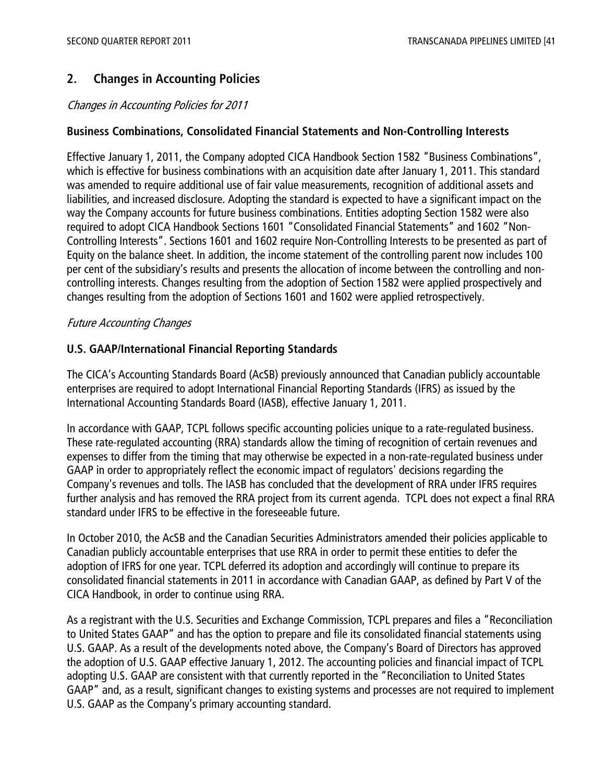## **2. Changes in Accounting Policies**

#### Changes in Accounting Policies for 2011

#### **Business Combinations, Consolidated Financial Statements and Non-Controlling Interests**

Effective January 1, 2011, the Company adopted CICA Handbook Section 1582 "Business Combinations", which is effective for business combinations with an acquisition date after January 1, 2011. This standard was amended to require additional use of fair value measurements, recognition of additional assets and liabilities, and increased disclosure. Adopting the standard is expected to have a significant impact on the way the Company accounts for future business combinations. Entities adopting Section 1582 were also required to adopt CICA Handbook Sections 1601 "Consolidated Financial Statements" and 1602 "Non-Controlling Interests". Sections 1601 and 1602 require Non-Controlling Interests to be presented as part of Equity on the balance sheet. In addition, the income statement of the controlling parent now includes 100 per cent of the subsidiary's results and presents the allocation of income between the controlling and noncontrolling interests. Changes resulting from the adoption of Section 1582 were applied prospectively and changes resulting from the adoption of Sections 1601 and 1602 were applied retrospectively.

#### Future Accounting Changes

## **U.S. GAAP/International Financial Reporting Standards**

The CICA's Accounting Standards Board (AcSB) previously announced that Canadian publicly accountable enterprises are required to adopt International Financial Reporting Standards (IFRS) as issued by the International Accounting Standards Board (IASB), effective January 1, 2011.

In accordance with GAAP, TCPL follows specific accounting policies unique to a rate-regulated business. These rate-regulated accounting (RRA) standards allow the timing of recognition of certain revenues and expenses to differ from the timing that may otherwise be expected in a non-rate-regulated business under GAAP in order to appropriately reflect the economic impact of regulators' decisions regarding the Company's revenues and tolls. The IASB has concluded that the development of RRA under IFRS requires further analysis and has removed the RRA project from its current agenda. TCPL does not expect a final RRA standard under IFRS to be effective in the foreseeable future.

In October 2010, the AcSB and the Canadian Securities Administrators amended their policies applicable to Canadian publicly accountable enterprises that use RRA in order to permit these entities to defer the adoption of IFRS for one year. TCPL deferred its adoption and accordingly will continue to prepare its consolidated financial statements in 2011 in accordance with Canadian GAAP, as defined by Part V of the CICA Handbook, in order to continue using RRA.

As a registrant with the U.S. Securities and Exchange Commission, TCPL prepares and files a "Reconciliation to United States GAAP" and has the option to prepare and file its consolidated financial statements using U.S. GAAP. As a result of the developments noted above, the Company's Board of Directors has approved the adoption of U.S. GAAP effective January 1, 2012. The accounting policies and financial impact of TCPL adopting U.S. GAAP are consistent with that currently reported in the "Reconciliation to United States GAAP" and, as a result, significant changes to existing systems and processes are not required to implement U.S. GAAP as the Company's primary accounting standard.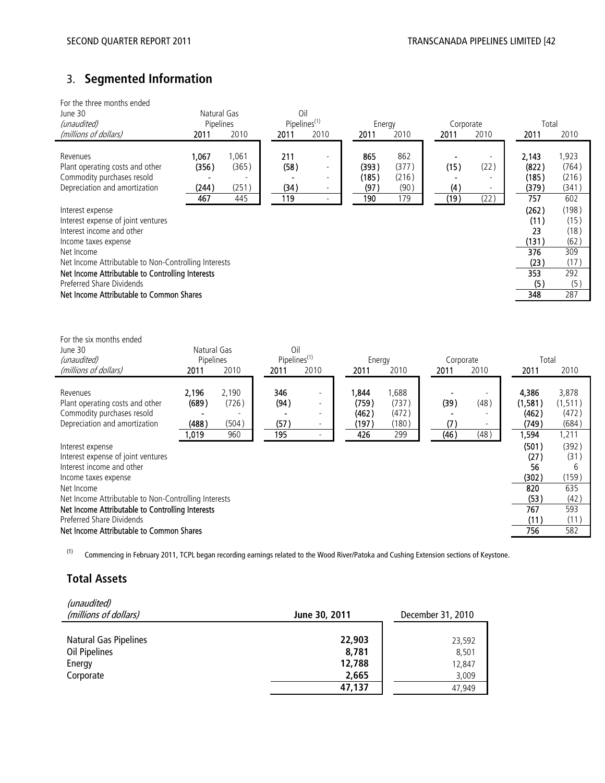# 3. **Segmented Information**

| For the three months ended<br>June 30<br>(unaudited)                                                                                                                              | Natural Gas<br>Pipelines       |                               | Oil<br>Pipelines <sup>(1)</sup> |                                                                                  | Energy                               |                                      | Corporate           |              | Total                                       |                                              |
|-----------------------------------------------------------------------------------------------------------------------------------------------------------------------------------|--------------------------------|-------------------------------|---------------------------------|----------------------------------------------------------------------------------|--------------------------------------|--------------------------------------|---------------------|--------------|---------------------------------------------|----------------------------------------------|
| (millions of dollars)                                                                                                                                                             | 2011                           | 2010                          | 2011                            | 2010                                                                             | 2011                                 | 2010                                 | 2011                | 2010         | 2011                                        | 2010                                         |
| Revenues<br>Plant operating costs and other<br>Commodity purchases resold<br>Depreciation and amortization                                                                        | 1,067<br>(356)<br>(244)<br>467 | ,061<br>(365)<br>(251)<br>445 | 211<br>(58)<br>(34)<br>119      | $\overline{\phantom{a}}$<br>$\overline{\phantom{a}}$<br>$\overline{\phantom{a}}$ | 865<br>(393)<br>(185)<br>(97)<br>190 | 862<br>(377)<br>(216)<br>(90)<br>179 | (15)<br>(4)<br>(19) | (22)<br>(22) | 2,143<br>(822)<br>(185)<br>(379)<br>757     | 1,923<br>(764)<br>(216)<br>(341<br>602       |
| Interest expense<br>Interest expense of joint ventures<br>Interest income and other<br>Income taxes expense<br>Net Income<br>Net Income Attributable to Non-Controlling Interests |                                |                               |                                 |                                                                                  |                                      |                                      |                     |              | (262)<br>(11)<br>23<br>(131)<br>376<br>(23) | (198)<br>(15)<br>(18)<br>(62)<br>309<br>(17) |
| Net Income Attributable to Controlling Interests<br><b>Preferred Share Dividends</b><br>Net Income Attributable to Common Shares                                                  |                                |                               |                                 |                                                                                  |                                      |                                      |                     |              | 353<br>(5)<br>348                           | 292<br>(5)<br>287                            |

| Natural Gas<br>2011              | 2010                                     | Oil<br>2011                                                                                                           | 2010                                                 | 2011                                    | 2010                                    | 2011                | 2010                                                                                             | Total<br>2011                                | 2010                                         |
|----------------------------------|------------------------------------------|-----------------------------------------------------------------------------------------------------------------------|------------------------------------------------------|-----------------------------------------|-----------------------------------------|---------------------|--------------------------------------------------------------------------------------------------|----------------------------------------------|----------------------------------------------|
| 2,196<br>(689)<br>(488)<br>1,019 | 2,190<br>(726)<br>(504)<br>960           | 346<br>(94)<br>(57)<br>195                                                                                            | $\overline{\phantom{a}}$<br>$\overline{\phantom{a}}$ | 1,844<br>(759)<br>(462)<br>(197)<br>426 | 1,688<br>(737)<br>(472)<br>(180)<br>299 | (39)<br>(7)<br>(46) | $\overline{\phantom{a}}$<br>(48)<br>$\overline{\phantom{a}}$<br>$\overline{\phantom{a}}$<br>(48) | 4,386<br>(1, 581)<br>(462)<br>(749)<br>1,594 | 3,878<br>(1, 511)<br>(472)<br>(684)<br>1,211 |
|                                  |                                          |                                                                                                                       |                                                      |                                         |                                         |                     |                                                                                                  | (501)<br>(27)<br>56<br>(302)                 | (392)<br>(31)<br>h<br>(159)                  |
|                                  |                                          |                                                                                                                       |                                                      |                                         |                                         |                     |                                                                                                  | 820<br>(53)<br>767<br>(11)                   | 635<br>(42)<br>593<br>(11)<br>582            |
|                                  | Net Income Attributable to Common Shares | Pipelines<br>Net Income Attributable to Non-Controlling Interests<br>Net Income Attributable to Controlling Interests |                                                      | Pipelines <sup>(1)</sup>                |                                         | Energy              |                                                                                                  | Corporate                                    | 756                                          |

(1) Commencing in February 2011, TCPL began recording earnings related to the Wood River/Patoka and Cushing Extension sections of Keystone.

#### **Total Assets**

| (unaudited)<br>(millions of dollars) | June 30, 2011 | December 31, 2010 |
|--------------------------------------|---------------|-------------------|
|                                      |               |                   |
| Natural Gas Pipelines                | 22,903        | 23,592            |
| Oil Pipelines                        | 8,781         | 8,501             |
| Energy                               | 12,788        | 12,847            |
| Corporate                            | 2,665         | 3,009             |
|                                      | 47,137        | 47.949            |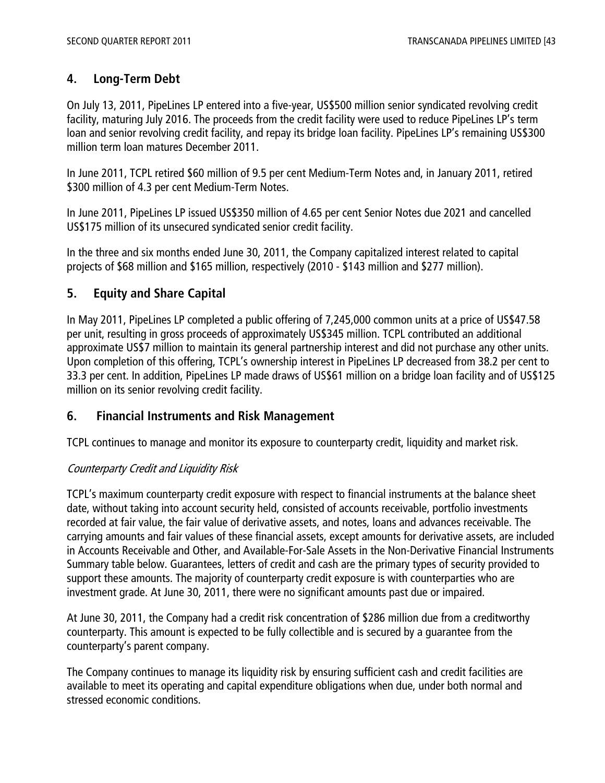## **4. Long-Term Debt**

On July 13, 2011, PipeLines LP entered into a five-year, US\$500 million senior syndicated revolving credit facility, maturing July 2016. The proceeds from the credit facility were used to reduce PipeLines LP's term loan and senior revolving credit facility, and repay its bridge loan facility. PipeLines LP's remaining US\$300 million term loan matures December 2011.

In June 2011, TCPL retired \$60 million of 9.5 per cent Medium-Term Notes and, in January 2011, retired \$300 million of 4.3 per cent Medium-Term Notes.

In June 2011, PipeLines LP issued US\$350 million of 4.65 per cent Senior Notes due 2021 and cancelled US\$175 million of its unsecured syndicated senior credit facility.

In the three and six months ended June 30, 2011, the Company capitalized interest related to capital projects of \$68 million and \$165 million, respectively (2010 - \$143 million and \$277 million).

## **5. Equity and Share Capital**

In May 2011, PipeLines LP completed a public offering of 7,245,000 common units at a price of US\$47.58 per unit, resulting in gross proceeds of approximately US\$345 million. TCPL contributed an additional approximate US\$7 million to maintain its general partnership interest and did not purchase any other units. Upon completion of this offering, TCPL's ownership interest in PipeLines LP decreased from 38.2 per cent to 33.3 per cent. In addition, PipeLines LP made draws of US\$61 million on a bridge loan facility and of US\$125 million on its senior revolving credit facility.

## **6. Financial Instruments and Risk Management**

TCPL continues to manage and monitor its exposure to counterparty credit, liquidity and market risk.

## Counterparty Credit and Liquidity Risk

TCPL's maximum counterparty credit exposure with respect to financial instruments at the balance sheet date, without taking into account security held, consisted of accounts receivable, portfolio investments recorded at fair value, the fair value of derivative assets, and notes, loans and advances receivable. The carrying amounts and fair values of these financial assets, except amounts for derivative assets, are included in Accounts Receivable and Other, and Available-For-Sale Assets in the Non-Derivative Financial Instruments Summary table below. Guarantees, letters of credit and cash are the primary types of security provided to support these amounts. The majority of counterparty credit exposure is with counterparties who are investment grade. At June 30, 2011, there were no significant amounts past due or impaired.

At June 30, 2011, the Company had a credit risk concentration of \$286 million due from a creditworthy counterparty. This amount is expected to be fully collectible and is secured by a guarantee from the counterparty's parent company.

The Company continues to manage its liquidity risk by ensuring sufficient cash and credit facilities are available to meet its operating and capital expenditure obligations when due, under both normal and stressed economic conditions.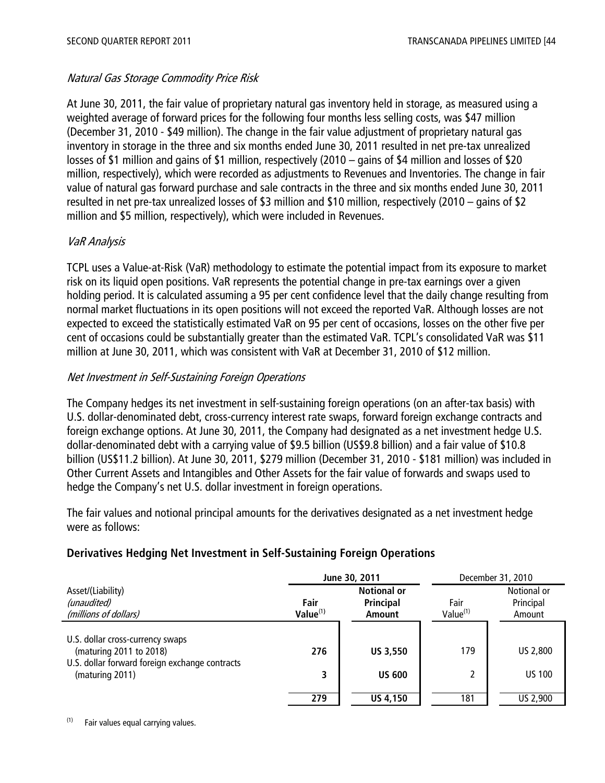## Natural Gas Storage Commodity Price Risk

At June 30, 2011, the fair value of proprietary natural gas inventory held in storage, as measured using a weighted average of forward prices for the following four months less selling costs, was \$47 million (December 31, 2010 - \$49 million). The change in the fair value adjustment of proprietary natural gas inventory in storage in the three and six months ended June 30, 2011 resulted in net pre-tax unrealized losses of \$1 million and gains of \$1 million, respectively (2010 – gains of \$4 million and losses of \$20 million, respectively), which were recorded as adjustments to Revenues and Inventories. The change in fair value of natural gas forward purchase and sale contracts in the three and six months ended June 30, 2011 resulted in net pre-tax unrealized losses of \$3 million and \$10 million, respectively (2010 – gains of \$2 million and \$5 million, respectively), which were included in Revenues.

## VaR Analysis

TCPL uses a Value-at-Risk (VaR) methodology to estimate the potential impact from its exposure to market risk on its liquid open positions. VaR represents the potential change in pre-tax earnings over a given holding period. It is calculated assuming a 95 per cent confidence level that the daily change resulting from normal market fluctuations in its open positions will not exceed the reported VaR. Although losses are not expected to exceed the statistically estimated VaR on 95 per cent of occasions, losses on the other five per cent of occasions could be substantially greater than the estimated VaR. TCPL's consolidated VaR was \$11 million at June 30, 2011, which was consistent with VaR at December 31, 2010 of \$12 million.

## Net Investment in Self-Sustaining Foreign Operations

The Company hedges its net investment in self-sustaining foreign operations (on an after-tax basis) with U.S. dollar-denominated debt, cross-currency interest rate swaps, forward foreign exchange contracts and foreign exchange options. At June 30, 2011, the Company had designated as a net investment hedge U.S. dollar-denominated debt with a carrying value of \$9.5 billion (US\$9.8 billion) and a fair value of \$10.8 billion (US\$11.2 billion). At June 30, 2011, \$279 million (December 31, 2010 - \$181 million) was included in Other Current Assets and Intangibles and Other Assets for the fair value of forwards and swaps used to hedge the Company's net U.S. dollar investment in foreign operations.

The fair values and notional principal amounts for the derivatives designated as a net investment hedge were as follows:

# **Derivatives Hedging Net Investment in Self-Sustaining Foreign Operations**

|                                                                                                               |                              | June 30, 2011                                           | December 31, 2010 |                                    |
|---------------------------------------------------------------------------------------------------------------|------------------------------|---------------------------------------------------------|-------------------|------------------------------------|
| Asset/(Liability)<br>(unaudited)<br>(millions of dollars)                                                     | Fair<br>Value <sup>(1)</sup> | <b>Notional or</b><br><b>Principal</b><br><b>Amount</b> |                   | Notional or<br>Principal<br>Amount |
| U.S. dollar cross-currency swaps<br>(maturing 2011 to 2018)<br>U.S. dollar forward foreign exchange contracts | 276                          | <b>US 3,550</b>                                         | 179               | US 2,800                           |
| (maturing 2011)                                                                                               | 3                            | <b>US 600</b>                                           |                   | <b>US 100</b>                      |
|                                                                                                               | 279                          | <b>US 4,150</b>                                         | 181               | US 2,900                           |

 $(1)$  Fair values equal carrying values.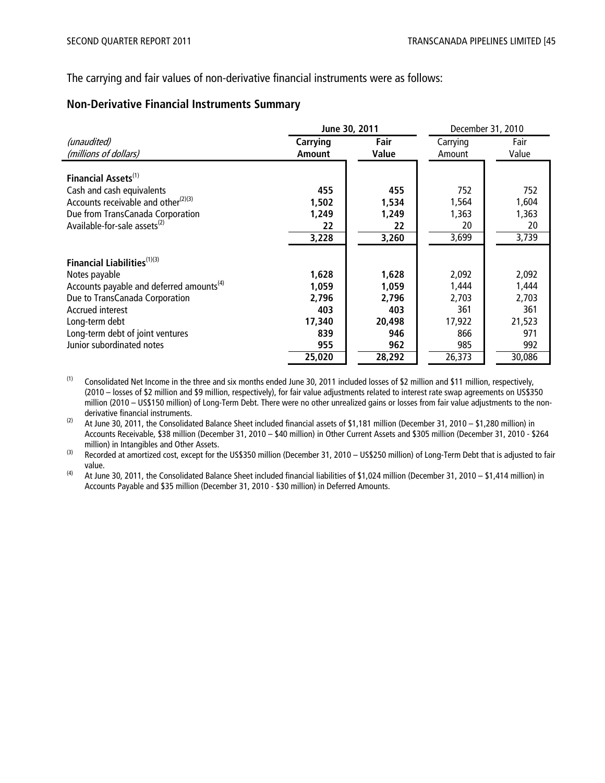The carrying and fair values of non-derivative financial instruments were as follows:

#### **Non-Derivative Financial Instruments Summary**

|                                                      | June 30, 2011 |        | December 31, 2010 |        |
|------------------------------------------------------|---------------|--------|-------------------|--------|
| (unaudited)                                          | Carrying      | Fair   | Carrying          | Fair   |
| (millions of dollars)                                | <b>Amount</b> | Value  | Amount            | Value  |
|                                                      |               |        |                   |        |
| Financial Assets <sup>(1)</sup>                      |               |        |                   |        |
| Cash and cash equivalents                            | 455           | 455    | 752               | 752    |
| Accounts receivable and other <sup>(2)(3)</sup>      | 1,502         | 1,534  | 1,564             | 1,604  |
| Due from TransCanada Corporation                     | 1.249         | 1,249  | 1,363             | 1,363  |
| Available-for-sale assets <sup>(2)</sup>             | 22            | 22     | 20                | 20     |
|                                                      | 3,228         | 3,260  | 3,699             | 3,739  |
|                                                      |               |        |                   |        |
| Financial Liabilities <sup>(1)(3)</sup>              |               |        |                   |        |
| Notes payable                                        | 1,628         | 1,628  | 2,092             | 2,092  |
| Accounts payable and deferred amounts <sup>(4)</sup> | 1,059         | 1,059  | 1,444             | 1,444  |
| Due to TransCanada Corporation                       | 2,796         | 2,796  | 2,703             | 2,703  |
| <b>Accrued interest</b>                              | 403           | 403    | 361               | 361    |
| Long-term debt                                       | 17,340        | 20,498 | 17,922            | 21,523 |
| Long-term debt of joint ventures                     | 839           | 946    | 866               | 971    |
| Junior subordinated notes                            | 955           | 962    | 985               | 992    |
|                                                      | 25,020        | 28,292 | 26,373            | 30,086 |

 $(1)$  Consolidated Net Income in the three and six months ended June 30, 2011 included losses of \$2 million and \$11 million, respectively, (2010 – losses of \$2 million and \$9 million, respectively), for fair value adjustments related to interest rate swap agreements on US\$350 million (2010 – US\$150 million) of Long-Term Debt. There were no other unrealized gains or losses from fair value adjustments to the nonderivative financial instruments.

(2) At June 30, 2011, the Consolidated Balance Sheet included financial assets of \$1,181 million (December 31, 2010 – \$1,280 million) in Accounts Receivable, \$38 million (December 31, 2010 – \$40 million) in Other Current Assets and \$305 million (December 31, 2010 - \$264 million) in Intangibles and Other Assets.

<sup>(3)</sup> Recorded at amortized cost, except for the US\$350 million (December 31, 2010 – US\$250 million) of Long-Term Debt that is adjusted to fair value.

<sup>(4)</sup> At June 30, 2011, the Consolidated Balance Sheet included financial liabilities of \$1,024 million (December 31, 2010 – \$1,414 million) in Accounts Payable and \$35 million (December 31, 2010 - \$30 million) in Deferred Amounts.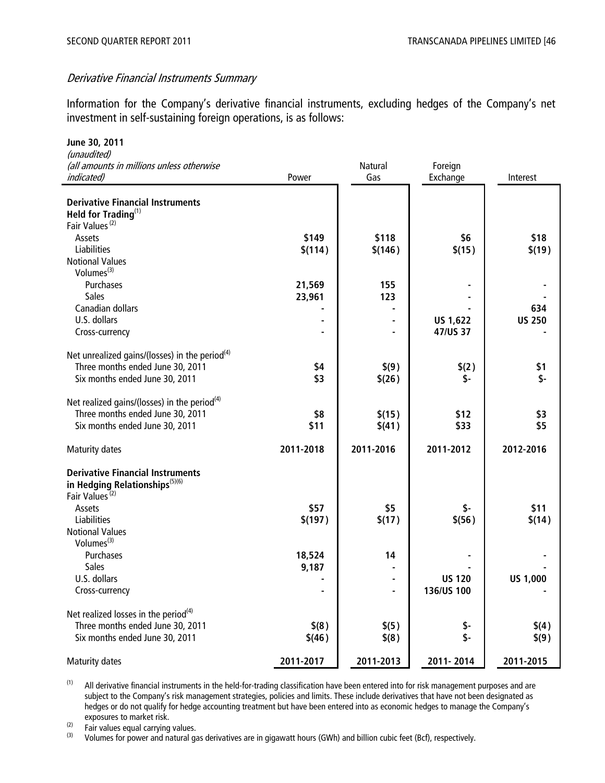#### Derivative Financial Instruments Summary

Information for the Company's derivative financial instruments, excluding hedges of the Company's net investment in self-sustaining foreign operations, is as follows:

| June 30, 2011                                                  |           |                |                     |               |
|----------------------------------------------------------------|-----------|----------------|---------------------|---------------|
| (unaudited)                                                    |           |                |                     |               |
| (all amounts in millions unless otherwise<br><i>indicated)</i> | Power     | Natural<br>Gas | Foreign<br>Exchange | Interest      |
|                                                                |           |                |                     |               |
| <b>Derivative Financial Instruments</b>                        |           |                |                     |               |
| Held for Trading <sup>(1)</sup>                                |           |                |                     |               |
| Fair Values <sup>(2)</sup>                                     |           |                |                     |               |
| Assets                                                         | \$149     | \$118          | \$6                 | \$18          |
| Liabilities                                                    | \$(114)   | \$(146)        | \$(15)              | \$(19)        |
| <b>Notional Values</b>                                         |           |                |                     |               |
| Volumes <sup>(3)</sup>                                         |           |                |                     |               |
| Purchases                                                      | 21,569    | 155            |                     |               |
| <b>Sales</b>                                                   | 23,961    | 123            |                     |               |
| Canadian dollars                                               |           |                |                     | 634           |
| U.S. dollars                                                   |           |                | <b>US 1,622</b>     | <b>US 250</b> |
| Cross-currency                                                 |           |                | 47/US 37            |               |
|                                                                |           |                |                     |               |
| Net unrealized gains/(losses) in the period <sup>(4)</sup>     |           |                |                     |               |
| Three months ended June 30, 2011                               | \$4       | \$(9)          | \$(2)               | \$1           |
| Six months ended June 30, 2011                                 | \$3       | \$(26)         | \$-                 | $$-$          |
|                                                                |           |                |                     |               |
| Net realized gains/(losses) in the period <sup>(4)</sup>       |           |                |                     |               |
| Three months ended June 30, 2011                               | \$8       | \$(15)         | \$12                | \$3           |
| Six months ended June 30, 2011                                 | \$11      | \$(41)         | \$33                | \$5           |
|                                                                |           |                |                     |               |
| <b>Maturity dates</b>                                          | 2011-2018 | 2011-2016      | 2011-2012           | 2012-2016     |
| <b>Derivative Financial Instruments</b>                        |           |                |                     |               |
| in Hedging Relationships <sup>(5)(6)</sup>                     |           |                |                     |               |
| Fair Values <sup>(2)</sup>                                     |           |                |                     |               |
| Assets                                                         | \$57      | \$5            | \$-                 | \$11          |
| <b>Liabilities</b>                                             | \$(197)   | \$(17)         | \$(56)              | \$(14)        |
| <b>Notional Values</b>                                         |           |                |                     |               |
| Volumes $(3)$                                                  |           |                |                     |               |
| Purchases                                                      | 18,524    | 14             |                     |               |
| <b>Sales</b>                                                   | 9,187     |                |                     |               |
| U.S. dollars                                                   |           |                | <b>US 120</b>       | US 1,000      |
| Cross-currency                                                 |           | ٠              | 136/US 100          |               |
| Net realized losses in the period <sup>(4)</sup>               |           |                |                     |               |
| Three months ended June 30, 2011                               | \$(8)     | \$(5)          | \$-                 | \$(4)         |
| Six months ended June 30, 2011                                 | \$(46)    | \$(8)          | $\mathsf{S}$ -      | \$(9)         |
|                                                                |           |                |                     |               |
| Maturity dates                                                 | 2011-2017 | 2011-2013      | 2011-2014           | 2011-2015     |

<sup>(1)</sup> All derivative financial instruments in the held-for-trading classification have been entered into for risk management purposes and are subject to the Company's risk management strategies, policies and limits. These include derivatives that have not been designated as hedges or do not qualify for hedge accounting treatment but have been entered into as economic hedges to manage the Company's exposures to market risk.

 $\begin{bmatrix} \n\text{(2)} & \text{Fair values equal carrying values.} \\
\text{(3)} & \text{Volumes for power and natural case.}\n\end{bmatrix}$ 

(3) Volumes for power and natural gas derivatives are in gigawatt hours (GWh) and billion cubic feet (Bcf), respectively.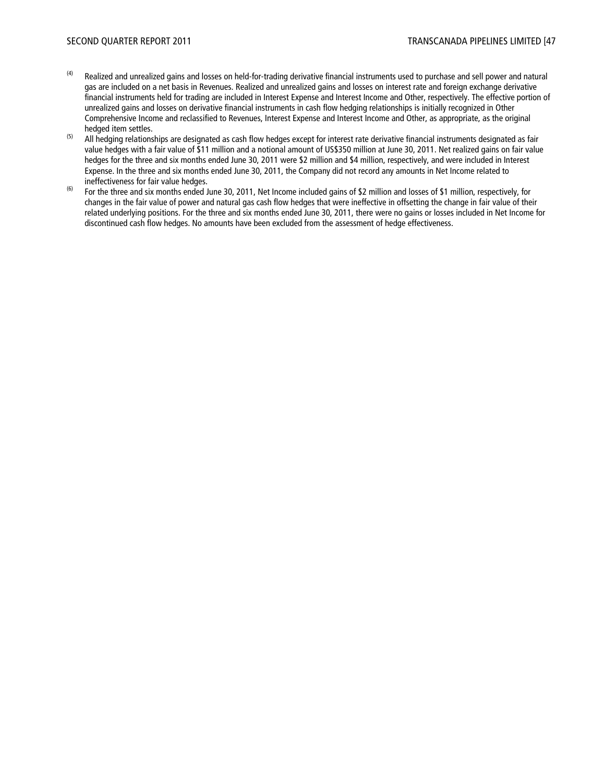- <sup>(4)</sup> Realized and unrealized gains and losses on held-for-trading derivative financial instruments used to purchase and sell power and natural gas are included on a net basis in Revenues. Realized and unrealized gains and losses on interest rate and foreign exchange derivative financial instruments held for trading are included in Interest Expense and Interest Income and Other, respectively. The effective portion of unrealized gains and losses on derivative financial instruments in cash flow hedging relationships is initially recognized in Other Comprehensive Income and reclassified to Revenues, Interest Expense and Interest Income and Other, as appropriate, as the original hedged item settles.
- $^{(5)}$  All hedging relationships are designated as cash flow hedges except for interest rate derivative financial instruments designated as fair value hedges with a fair value of \$11 million and a notional amount of US\$350 million at June 30, 2011. Net realized gains on fair value hedges for the three and six months ended June 30, 2011 were \$2 million and \$4 million, respectively, and were included in Interest Expense. In the three and six months ended June 30, 2011, the Company did not record any amounts in Net Income related to ineffectiveness for fair value hedges.
- (6) For the three and six months ended June 30, 2011, Net Income included gains of \$2 million and losses of \$1 million, respectively, for changes in the fair value of power and natural gas cash flow hedges that were ineffective in offsetting the change in fair value of their related underlying positions. For the three and six months ended June 30, 2011, there were no gains or losses included in Net Income for discontinued cash flow hedges. No amounts have been excluded from the assessment of hedge effectiveness.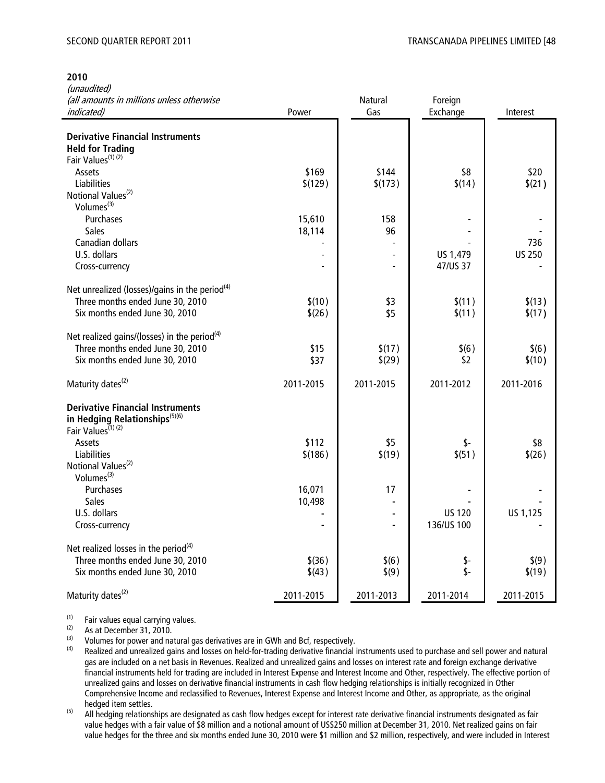#### (unaudited)

| (all amounts in millions unless otherwise                  |           | Natural                  | Foreign        |               |
|------------------------------------------------------------|-----------|--------------------------|----------------|---------------|
| <i>indicated)</i>                                          | Power     | Gas                      | Exchange       | Interest      |
|                                                            |           |                          |                |               |
| <b>Derivative Financial Instruments</b>                    |           |                          |                |               |
| <b>Held for Trading</b>                                    |           |                          |                |               |
| Fair Values <sup>(1)</sup> (2)                             |           |                          |                |               |
| <b>Assets</b>                                              | \$169     | \$144                    | \$8            | \$20          |
| Liabilities                                                | \$(129)   | \$(173)                  | \$(14)         | \$(21)        |
| Notional Values <sup>(2)</sup>                             |           |                          |                |               |
| Volumes <sup>(3)</sup>                                     |           |                          |                |               |
|                                                            |           |                          |                |               |
| Purchases                                                  | 15,610    | 158                      |                |               |
| <b>Sales</b>                                               | 18,114    | 96                       |                |               |
| Canadian dollars                                           |           |                          |                | 736           |
| U.S. dollars                                               |           |                          | US 1,479       | <b>US 250</b> |
| Cross-currency                                             |           |                          | 47/US 37       |               |
|                                                            |           |                          |                |               |
| Net unrealized (losses)/gains in the period <sup>(4)</sup> |           |                          |                |               |
| Three months ended June 30, 2010                           | \$(10)    | \$3                      | \$(11)         | \$(13)        |
| Six months ended June 30, 2010                             | \$(26)    | \$5                      | \$(11)         | \$(17)        |
| Net realized gains/(losses) in the period <sup>(4)</sup>   |           |                          |                |               |
| Three months ended June 30, 2010                           | \$15      | \$(17)                   | \$(6)          | \$(6)         |
| Six months ended June 30, 2010                             | \$37      | \$(29)                   | \$2            | \$(10)        |
|                                                            |           |                          |                |               |
| Maturity dates <sup>(2)</sup>                              | 2011-2015 | 2011-2015                | 2011-2012      | 2011-2016     |
|                                                            |           |                          |                |               |
| <b>Derivative Financial Instruments</b>                    |           |                          |                |               |
| in Hedging Relationships <sup>(5)(6)</sup>                 |           |                          |                |               |
| Fair Values <sup>(1)</sup> (2)                             |           |                          |                |               |
| Assets                                                     | \$112     | \$5                      | $\frac{1}{2}$  | \$8           |
| <b>Liabilities</b>                                         | \$(186)   | \$(19)                   | \$(51)         | \$(26)        |
| Notional Values <sup>(2)</sup>                             |           |                          |                |               |
| Volumes $(3)$                                              |           |                          |                |               |
| Purchases                                                  | 16,071    | 17                       |                |               |
| <b>Sales</b>                                               | 10,498    | $\overline{\phantom{a}}$ |                |               |
| U.S. dollars                                               |           |                          | <b>US 120</b>  | US 1,125      |
|                                                            |           |                          |                |               |
| Cross-currency                                             |           | $\blacksquare$           | 136/US 100     |               |
| Net realized losses in the period <sup>(4)</sup>           |           |                          |                |               |
| Three months ended June 30, 2010                           | \$(36)    | \$(6)                    | \$-            | \$(9)         |
| Six months ended June 30, 2010                             | \$ (43)   | \$(9)                    | $\mathsf{S}$ - | \$(19)        |
|                                                            |           |                          |                |               |
| Maturity dates <sup>(2)</sup>                              | 2011-2015 | 2011-2013                | 2011-2014      | 2011-2015     |

 $(1)$  Fair values equal carrying values.<br> $(2)$  As at Desember 21, 2010.

 $\frac{(2)}{(3)}$  As at December 31, 2010.

(3) Volumes for power and natural gas derivatives are in GWh and Bcf, respectively.

Realized and unrealized gains and losses on held-for-trading derivative financial instruments used to purchase and sell power and natural gas are included on a net basis in Revenues. Realized and unrealized gains and losses on interest rate and foreign exchange derivative financial instruments held for trading are included in Interest Expense and Interest Income and Other, respectively. The effective portion of unrealized gains and losses on derivative financial instruments in cash flow hedging relationships is initially recognized in Other Comprehensive Income and reclassified to Revenues, Interest Expense and Interest Income and Other, as appropriate, as the original hedged item settles.

(5) All hedging relationships are designated as cash flow hedges except for interest rate derivative financial instruments designated as fair value hedges with a fair value of \$8 million and a notional amount of US\$250 million at December 31, 2010. Net realized gains on fair value hedges for the three and six months ended June 30, 2010 were \$1 million and \$2 million, respectively, and were included in Interest

**<sup>2010</sup>**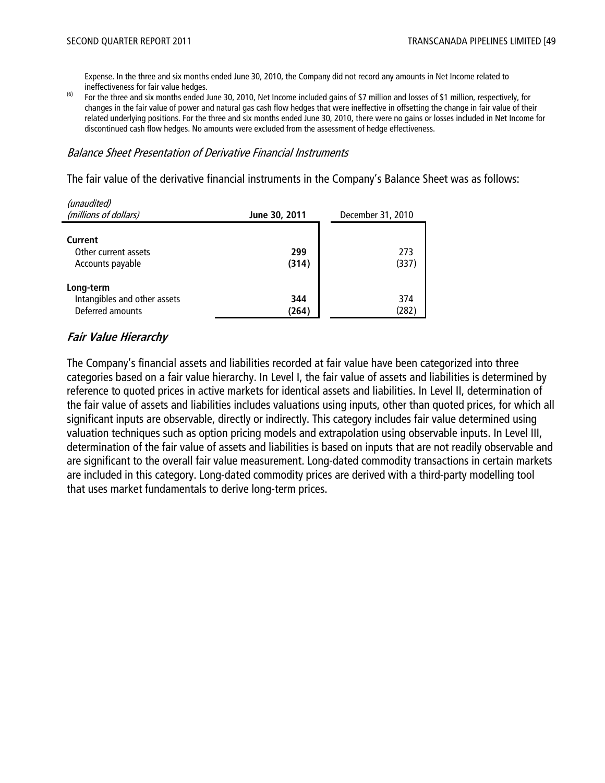Expense. In the three and six months ended June 30, 2010, the Company did not record any amounts in Net Income related to ineffectiveness for fair value hedges.

(6) For the three and six months ended June 30, 2010, Net Income included gains of \$7 million and losses of \$1 million, respectively, for changes in the fair value of power and natural gas cash flow hedges that were ineffective in offsetting the change in fair value of their related underlying positions. For the three and six months ended June 30, 2010, there were no gains or losses included in Net Income for discontinued cash flow hedges. No amounts were excluded from the assessment of hedge effectiveness.

#### Balance Sheet Presentation of Derivative Financial Instruments

The fair value of the derivative financial instruments in the Company's Balance Sheet was as follows:

| (unaudited)<br>(millions of dollars)                          | June 30, 2011 | December 31, 2010 |  |
|---------------------------------------------------------------|---------------|-------------------|--|
| Current<br>Other current assets<br>Accounts payable           | 299<br>(314)  | 273<br>(337)      |  |
| Long-term<br>Intangibles and other assets<br>Deferred amounts | 344<br>(264)  | 374<br>(282)      |  |

#### **Fair Value Hierarchy**

The Company's financial assets and liabilities recorded at fair value have been categorized into three categories based on a fair value hierarchy. In Level I, the fair value of assets and liabilities is determined by reference to quoted prices in active markets for identical assets and liabilities. In Level II, determination of the fair value of assets and liabilities includes valuations using inputs, other than quoted prices, for which all significant inputs are observable, directly or indirectly. This category includes fair value determined using valuation techniques such as option pricing models and extrapolation using observable inputs. In Level III, determination of the fair value of assets and liabilities is based on inputs that are not readily observable and are significant to the overall fair value measurement. Long-dated commodity transactions in certain markets are included in this category. Long-dated commodity prices are derived with a third-party modelling tool that uses market fundamentals to derive long-term prices.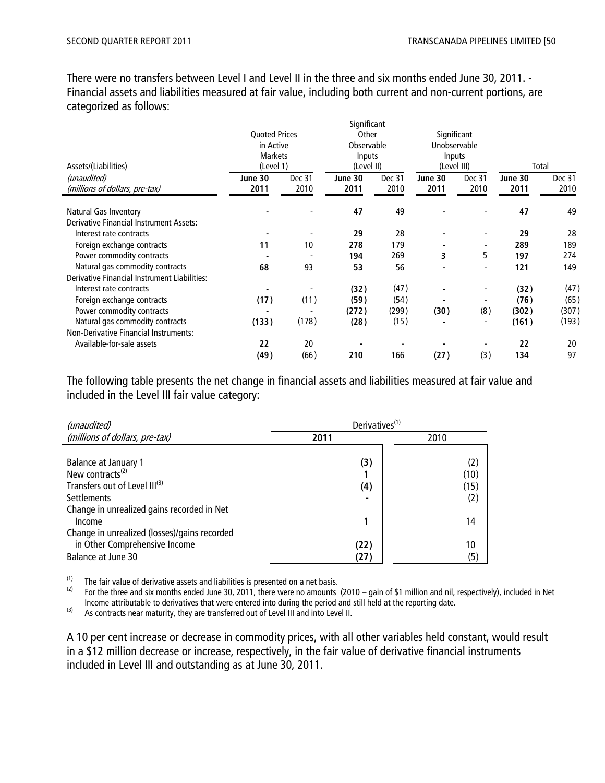There were no transfers between Level I and Level II in the three and six months ended June 30, 2011. - Financial assets and liabilities measured at fair value, including both current and non-current portions, are categorized as follows:

|                                                |                      |        | Significant |        |              |        |         |        |
|------------------------------------------------|----------------------|--------|-------------|--------|--------------|--------|---------|--------|
|                                                | <b>Quoted Prices</b> |        | Other       |        | Significant  |        |         |        |
|                                                | in Active            |        | Observable  |        | Unobservable |        |         |        |
|                                                | <b>Markets</b>       |        | Inputs      |        | Inputs       |        |         |        |
| Assets/(Liabilities)                           | (Level 1)            |        | (Level II)  |        | (Level III)  |        | Total   |        |
| (unaudited)                                    | June 30              | Dec 31 | June 30     | Dec 31 | June 30      | Dec 31 | June 30 | Dec 31 |
| (millions of dollars, pre-tax)                 | 2011                 | 2010   | 2011        | 2010   | 2011         | 2010   | 2011    | 2010   |
| Natural Gas Inventory                          |                      |        | 47          | 49     |              |        | 47      | 49     |
| <b>Derivative Financial Instrument Assets:</b> |                      |        |             |        |              |        |         |        |
| Interest rate contracts                        |                      |        | 29          | 28     |              |        | 29      | 28     |
| Foreign exchange contracts                     | 11                   | 10     | 278         | 179    |              | ۰.     | 289     | 189    |
| Power commodity contracts                      |                      |        | 194         | 269    | 3.           | 5      | 197     | 274    |
| Natural gas commodity contracts                | 68                   | 93     | 53          | 56     |              |        | 121     | 149    |
| Derivative Financial Instrument Liabilities:   |                      |        |             |        |              |        |         |        |
| Interest rate contracts                        |                      |        | (32)        | (47)   |              |        | (32)    | (47)   |
| Foreign exchange contracts                     | (17)                 | (11)   | (59)        | (54)   |              |        | (76)    | (65)   |
| Power commodity contracts                      |                      |        | (272)       | (299)  | (30)         | (8)    | (302)   | (307)  |
| Natural gas commodity contracts                | (133)                | (178)  | (28)        | (15)   |              |        | (161)   | (193)  |
| <b>Non-Derivative Financial Instruments:</b>   |                      |        |             |        |              |        |         |        |
| Available-for-sale assets                      | 22                   | 20     |             |        |              |        | 22      | 20     |
|                                                | (49)                 | (66)   | 210         | 166    | (27)         | (3)    | 134     | 97     |

The following table presents the net change in financial assets and liabilities measured at fair value and included in the Level III fair value category:

| (unaudited)                                  | Derivatives <sup>(1)</sup> |      |  |  |  |
|----------------------------------------------|----------------------------|------|--|--|--|
| (millions of dollars, pre-tax)               | 2011                       | 2010 |  |  |  |
|                                              |                            |      |  |  |  |
| <b>Balance at January 1</b>                  | (3)                        | (2)  |  |  |  |
| New contracts <sup><math>(2)</math></sup>    |                            | (10) |  |  |  |
| Transfers out of Level III(3)                | (4)                        | (15) |  |  |  |
| <b>Settlements</b>                           |                            | (2)  |  |  |  |
| Change in unrealized gains recorded in Net   |                            |      |  |  |  |
| Income                                       |                            | 14   |  |  |  |
| Change in unrealized (losses)/gains recorded |                            |      |  |  |  |
| in Other Comprehensive Income                | (22)                       | 10   |  |  |  |
| Balance at June 30                           | (27)                       | (5)  |  |  |  |

(1) The fair value of derivative assets and liabilities is presented on a net basis.<br>(2) Ear the three and six months ended June 30, 2011, there were no amounts

(2) For the three and six months ended June 30, 2011, there were no amounts (2010 – gain of \$1 million and nil, respectively), included in Net Income attributable to derivatives that were entered into during the period and still held at the reporting date.

 $(3)$  As contracts near maturity, they are transferred out of Level III and into Level II.

A 10 per cent increase or decrease in commodity prices, with all other variables held constant, would result in a \$12 million decrease or increase, respectively, in the fair value of derivative financial instruments included in Level III and outstanding as at June 30, 2011.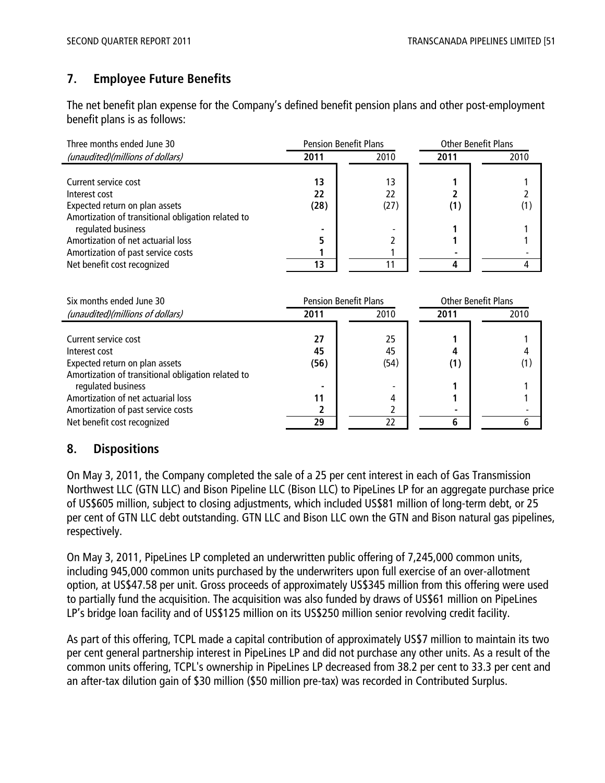# **7. Employee Future Benefits**

The net benefit plan expense for the Company's defined benefit pension plans and other post-employment benefit plans is as follows:

| Three months ended June 30                         | <b>Pension Benefit Plans</b> |      | <b>Other Benefit Plans</b> |                            |  |
|----------------------------------------------------|------------------------------|------|----------------------------|----------------------------|--|
| (unaudited)(millions of dollars)                   | 2011                         | 2010 | 2011                       | 2010                       |  |
|                                                    |                              |      |                            |                            |  |
| Current service cost                               | 13                           | 13   |                            |                            |  |
| Interest cost                                      | 22                           | 22   |                            |                            |  |
| Expected return on plan assets                     | (28)                         | (27) | (1)                        | (1)                        |  |
| Amortization of transitional obligation related to |                              |      |                            |                            |  |
| regulated business                                 |                              |      |                            |                            |  |
| Amortization of net actuarial loss                 | 5                            | 2    |                            |                            |  |
| Amortization of past service costs                 |                              |      |                            |                            |  |
| Net benefit cost recognized                        | 13                           | 11   | 4                          | 4                          |  |
|                                                    |                              |      |                            |                            |  |
| Six months ended June 30                           | <b>Pension Benefit Plans</b> |      |                            | <b>Other Benefit Plans</b> |  |
| (unaudited)(millions of dollars)                   | 2011                         | 2010 | 2011                       | 2010                       |  |
|                                                    |                              |      |                            |                            |  |
| Current service cost                               | 27                           | 25   |                            |                            |  |
| Interest cost                                      | 45                           | 45   | 4                          |                            |  |
|                                                    |                              |      |                            |                            |  |

| Expected return on plan assets                     | (56)           | (54) |  |
|----------------------------------------------------|----------------|------|--|
| Amortization of transitional obligation related to |                |      |  |
| regulated business                                 | $\blacksquare$ |      |  |
| Amortization of net actuarial loss                 |                |      |  |
| Amortization of past service costs                 |                |      |  |
| Net benefit cost recognized                        | 29             |      |  |

# **8. Dispositions**

On May 3, 2011, the Company completed the sale of a 25 per cent interest in each of Gas Transmission Northwest LLC (GTN LLC) and Bison Pipeline LLC (Bison LLC) to PipeLines LP for an aggregate purchase price of US\$605 million, subject to closing adjustments, which included US\$81 million of long-term debt, or 25 per cent of GTN LLC debt outstanding. GTN LLC and Bison LLC own the GTN and Bison natural gas pipelines, respectively.

On May 3, 2011, PipeLines LP completed an underwritten public offering of 7,245,000 common units, including 945,000 common units purchased by the underwriters upon full exercise of an over-allotment option, at US\$47.58 per unit. Gross proceeds of approximately US\$345 million from this offering were used to partially fund the acquisition. The acquisition was also funded by draws of US\$61 million on PipeLines LP's bridge loan facility and of US\$125 million on its US\$250 million senior revolving credit facility.

As part of this offering, TCPL made a capital contribution of approximately US\$7 million to maintain its two per cent general partnership interest in PipeLines LP and did not purchase any other units. As a result of the common units offering, TCPL's ownership in PipeLines LP decreased from 38.2 per cent to 33.3 per cent and an after-tax dilution gain of \$30 million (\$50 million pre-tax) was recorded in Contributed Surplus.